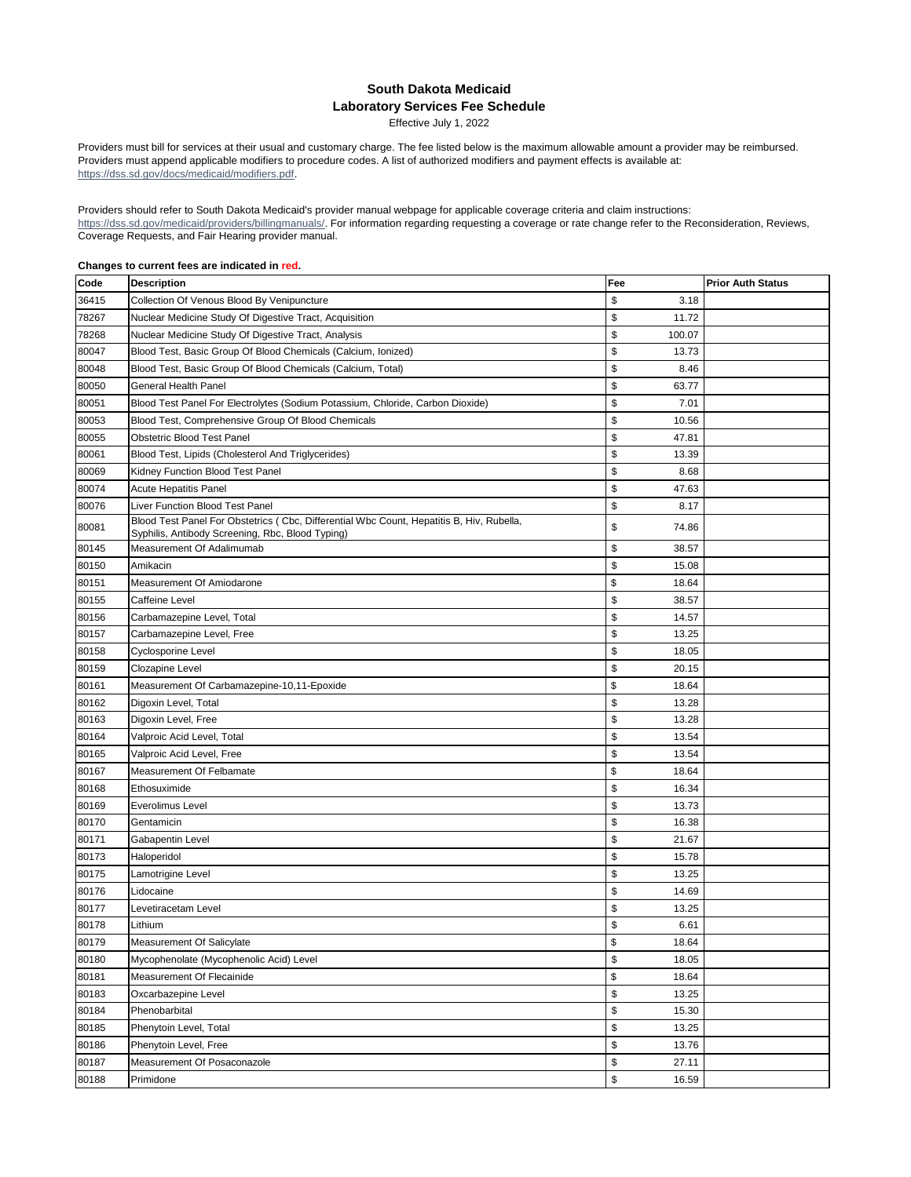## **South Dakota Medicaid Laboratory Services Fee Schedule**

Effective July 1, 2022

Providers must bill for services at their usual and customary charge. The fee listed below is the maximum allowable amount a provider may be reimbursed. Providers must append applicable modifiers to procedure codes. A list of authorized modifiers and payment effects is available at: https://dss.sd.gov/docs/medicaid/modifiers.pdf.

Providers should refer to South Dakota Medicaid's provider manual webpage for applicable coverage criteria and claim instructions: https://dss.sd.gov/medicaid/providers/billingmanuals/. For information regarding requesting a coverage or rate change refer to the Reconsideration, Reviews, Coverage Requests, and Fair Hearing provider manual.

## **Changes to current fees are indicated in red.**

| Code  | <b>Description</b>                                                                                                                           | Fee          | <b>Prior Auth Status</b> |
|-------|----------------------------------------------------------------------------------------------------------------------------------------------|--------------|--------------------------|
| 36415 | Collection Of Venous Blood By Venipuncture                                                                                                   | \$<br>3.18   |                          |
| 78267 | Nuclear Medicine Study Of Digestive Tract, Acquisition                                                                                       | \$<br>11.72  |                          |
| 78268 | Nuclear Medicine Study Of Digestive Tract, Analysis                                                                                          | \$<br>100.07 |                          |
| 80047 | Blood Test, Basic Group Of Blood Chemicals (Calcium, Ionized)                                                                                | \$<br>13.73  |                          |
| 80048 | Blood Test, Basic Group Of Blood Chemicals (Calcium, Total)                                                                                  | \$<br>8.46   |                          |
| 80050 | <b>General Health Panel</b>                                                                                                                  | \$<br>63.77  |                          |
| 80051 | Blood Test Panel For Electrolytes (Sodium Potassium, Chloride, Carbon Dioxide)                                                               | \$<br>7.01   |                          |
| 80053 | Blood Test, Comprehensive Group Of Blood Chemicals                                                                                           | \$<br>10.56  |                          |
| 80055 | Obstetric Blood Test Panel                                                                                                                   | \$<br>47.81  |                          |
| 80061 | Blood Test, Lipids (Cholesterol And Triglycerides)                                                                                           | \$<br>13.39  |                          |
| 80069 | Kidney Function Blood Test Panel                                                                                                             | \$<br>8.68   |                          |
| 80074 | <b>Acute Hepatitis Panel</b>                                                                                                                 | \$<br>47.63  |                          |
| 80076 | Liver Function Blood Test Panel                                                                                                              | \$<br>8.17   |                          |
| 80081 | Blood Test Panel For Obstetrics (Cbc, Differential Wbc Count, Hepatitis B, Hiv, Rubella,<br>Syphilis, Antibody Screening, Rbc, Blood Typing) | \$<br>74.86  |                          |
| 80145 | Measurement Of Adalimumab                                                                                                                    | \$<br>38.57  |                          |
| 80150 | Amikacin                                                                                                                                     | \$<br>15.08  |                          |
| 80151 | Measurement Of Amiodarone                                                                                                                    | \$<br>18.64  |                          |
| 80155 | Caffeine Level                                                                                                                               | \$<br>38.57  |                          |
| 80156 | Carbamazepine Level, Total                                                                                                                   | \$<br>14.57  |                          |
| 80157 | Carbamazepine Level, Free                                                                                                                    | \$<br>13.25  |                          |
| 80158 | Cyclosporine Level                                                                                                                           | \$<br>18.05  |                          |
| 80159 | Clozapine Level                                                                                                                              | \$<br>20.15  |                          |
| 80161 | Measurement Of Carbamazepine-10,11-Epoxide                                                                                                   | \$<br>18.64  |                          |
| 80162 | Digoxin Level, Total                                                                                                                         | \$<br>13.28  |                          |
| 80163 | Digoxin Level, Free                                                                                                                          | \$<br>13.28  |                          |
| 80164 | Valproic Acid Level, Total                                                                                                                   | \$<br>13.54  |                          |
| 80165 | Valproic Acid Level, Free                                                                                                                    | \$<br>13.54  |                          |
| 80167 | Measurement Of Felbamate                                                                                                                     | \$<br>18.64  |                          |
| 80168 | Ethosuximide                                                                                                                                 | \$<br>16.34  |                          |
| 80169 | Everolimus Level                                                                                                                             | \$<br>13.73  |                          |
| 80170 | Gentamicin                                                                                                                                   | \$<br>16.38  |                          |
| 80171 | Gabapentin Level                                                                                                                             | \$<br>21.67  |                          |
| 80173 | Haloperidol                                                                                                                                  | \$<br>15.78  |                          |
| 80175 | Lamotrigine Level                                                                                                                            | \$<br>13.25  |                          |
| 80176 | Lidocaine                                                                                                                                    | \$<br>14.69  |                          |
| 80177 | Levetiracetam Level                                                                                                                          | \$<br>13.25  |                          |
| 80178 | Lithium                                                                                                                                      | \$<br>6.61   |                          |
| 80179 | Measurement Of Salicylate                                                                                                                    | \$<br>18.64  |                          |
| 80180 | Mycophenolate (Mycophenolic Acid) Level                                                                                                      | \$<br>18.05  |                          |
| 80181 | Measurement Of Flecainide                                                                                                                    | \$<br>18.64  |                          |
| 80183 | Oxcarbazepine Level                                                                                                                          | \$<br>13.25  |                          |
| 80184 | Phenobarbital                                                                                                                                | \$<br>15.30  |                          |
| 80185 | Phenytoin Level, Total                                                                                                                       | \$<br>13.25  |                          |
| 80186 | Phenytoin Level, Free                                                                                                                        | \$<br>13.76  |                          |
| 80187 | Measurement Of Posaconazole                                                                                                                  | \$<br>27.11  |                          |
| 80188 | Primidone                                                                                                                                    | \$<br>16.59  |                          |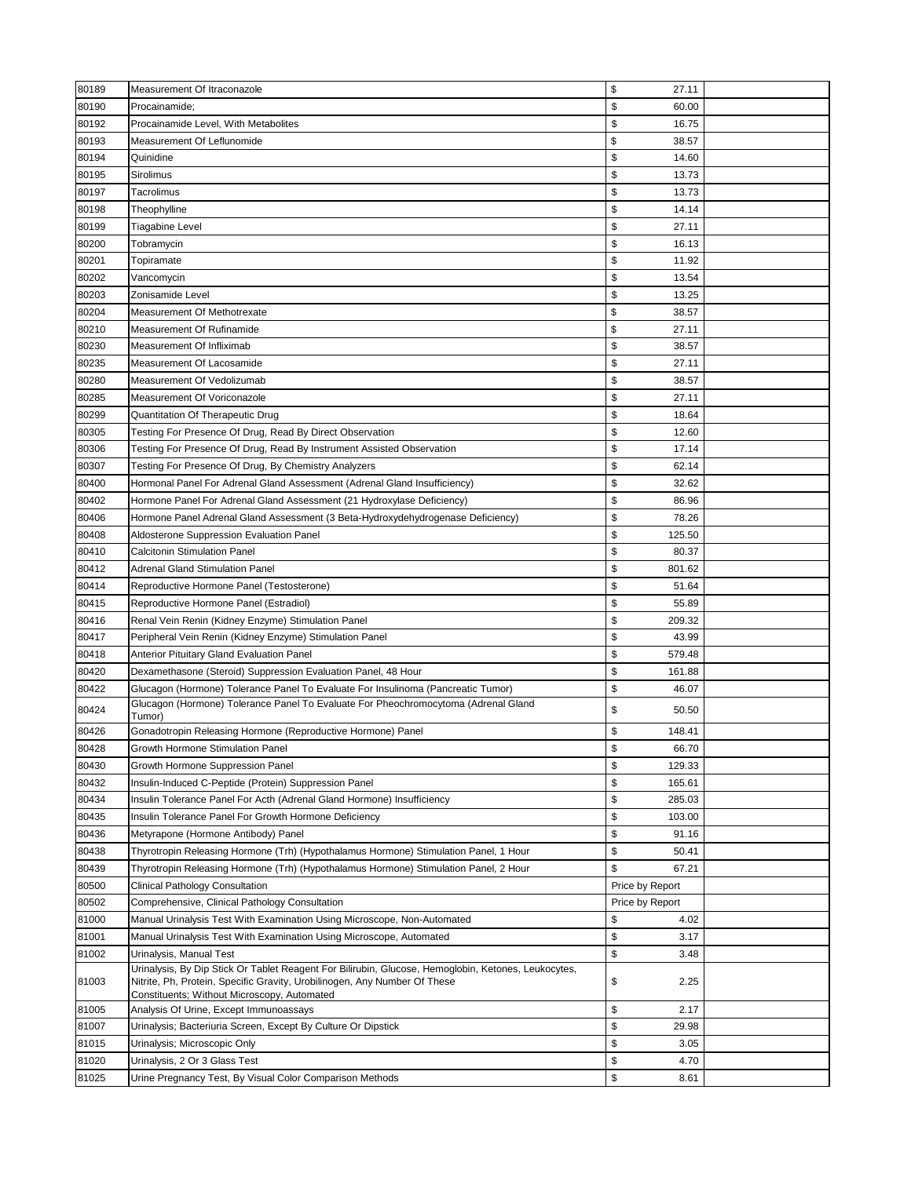| 80189 | Measurement Of Itraconazole                                                                                                                                                                                                     | \$<br>27.11     |  |
|-------|---------------------------------------------------------------------------------------------------------------------------------------------------------------------------------------------------------------------------------|-----------------|--|
| 80190 | Procainamide:                                                                                                                                                                                                                   | \$<br>60.00     |  |
| 80192 | Procainamide Level, With Metabolites                                                                                                                                                                                            | \$<br>16.75     |  |
| 80193 | Measurement Of Leflunomide                                                                                                                                                                                                      | \$<br>38.57     |  |
| 80194 | Quinidine                                                                                                                                                                                                                       | \$<br>14.60     |  |
| 80195 | Sirolimus                                                                                                                                                                                                                       | \$<br>13.73     |  |
| 80197 | Tacrolimus                                                                                                                                                                                                                      | \$<br>13.73     |  |
| 80198 | Theophylline                                                                                                                                                                                                                    | \$<br>14.14     |  |
| 80199 | Tiagabine Level                                                                                                                                                                                                                 | \$<br>27.11     |  |
| 80200 | Tobramycin                                                                                                                                                                                                                      | \$<br>16.13     |  |
| 80201 | Topiramate                                                                                                                                                                                                                      | \$<br>11.92     |  |
| 80202 | Vancomycin                                                                                                                                                                                                                      | \$<br>13.54     |  |
| 80203 | Zonisamide Level                                                                                                                                                                                                                | \$<br>13.25     |  |
| 80204 | Measurement Of Methotrexate                                                                                                                                                                                                     | \$<br>38.57     |  |
| 80210 | Measurement Of Rufinamide                                                                                                                                                                                                       | \$<br>27.11     |  |
| 80230 | Measurement Of Infliximab                                                                                                                                                                                                       | \$<br>38.57     |  |
| 80235 | Measurement Of Lacosamide                                                                                                                                                                                                       | \$<br>27.11     |  |
| 80280 | Measurement Of Vedolizumab                                                                                                                                                                                                      | \$<br>38.57     |  |
| 80285 | Measurement Of Voriconazole                                                                                                                                                                                                     | \$<br>27.11     |  |
| 80299 | Quantitation Of Therapeutic Drug                                                                                                                                                                                                | \$<br>18.64     |  |
| 80305 | Testing For Presence Of Drug, Read By Direct Observation                                                                                                                                                                        | \$<br>12.60     |  |
| 80306 | Testing For Presence Of Drug, Read By Instrument Assisted Observation                                                                                                                                                           | \$<br>17.14     |  |
| 80307 | Testing For Presence Of Drug, By Chemistry Analyzers                                                                                                                                                                            | \$<br>62.14     |  |
| 80400 | Hormonal Panel For Adrenal Gland Assessment (Adrenal Gland Insufficiency)                                                                                                                                                       | \$<br>32.62     |  |
| 80402 | Hormone Panel For Adrenal Gland Assessment (21 Hydroxylase Deficiency)                                                                                                                                                          | \$<br>86.96     |  |
| 80406 | Hormone Panel Adrenal Gland Assessment (3 Beta-Hydroxydehydrogenase Deficiency)                                                                                                                                                 | \$<br>78.26     |  |
| 80408 | Aldosterone Suppression Evaluation Panel                                                                                                                                                                                        | \$<br>125.50    |  |
| 80410 | Calcitonin Stimulation Panel                                                                                                                                                                                                    | \$<br>80.37     |  |
| 80412 | <b>Adrenal Gland Stimulation Panel</b>                                                                                                                                                                                          | \$<br>801.62    |  |
| 80414 | Reproductive Hormone Panel (Testosterone)                                                                                                                                                                                       | \$<br>51.64     |  |
| 80415 | Reproductive Hormone Panel (Estradiol)                                                                                                                                                                                          | \$<br>55.89     |  |
| 80416 | Renal Vein Renin (Kidney Enzyme) Stimulation Panel                                                                                                                                                                              | \$<br>209.32    |  |
| 80417 | Peripheral Vein Renin (Kidney Enzyme) Stimulation Panel                                                                                                                                                                         | \$<br>43.99     |  |
| 80418 | Anterior Pituitary Gland Evaluation Panel                                                                                                                                                                                       | \$<br>579.48    |  |
| 80420 | Dexamethasone (Steroid) Suppression Evaluation Panel, 48 Hour                                                                                                                                                                   | \$<br>161.88    |  |
| 80422 | Glucagon (Hormone) Tolerance Panel To Evaluate For Insulinoma (Pancreatic Tumor)                                                                                                                                                | \$<br>46.07     |  |
|       | Glucagon (Hormone) Tolerance Panel To Evaluate For Pheochromocytoma (Adrenal Gland                                                                                                                                              |                 |  |
| 80424 | Tumor)                                                                                                                                                                                                                          | \$<br>50.50     |  |
| 80426 | Gonadotropin Releasing Hormone (Reproductive Hormone) Panel                                                                                                                                                                     | \$<br>148.41    |  |
| 80428 | Growth Hormone Stimulation Panel                                                                                                                                                                                                | \$<br>66.70     |  |
| 80430 | Growth Hormone Suppression Panel                                                                                                                                                                                                | \$<br>129.33    |  |
| 80432 | Insulin-Induced C-Peptide (Protein) Suppression Panel                                                                                                                                                                           | \$<br>165.61    |  |
| 80434 | Insulin Tolerance Panel For Acth (Adrenal Gland Hormone) Insufficiency                                                                                                                                                          | \$<br>285.03    |  |
| 80435 | Insulin Tolerance Panel For Growth Hormone Deficiency                                                                                                                                                                           | \$<br>103.00    |  |
| 80436 | Metyrapone (Hormone Antibody) Panel                                                                                                                                                                                             | \$<br>91.16     |  |
| 80438 | Thyrotropin Releasing Hormone (Trh) (Hypothalamus Hormone) Stimulation Panel, 1 Hour                                                                                                                                            | \$<br>50.41     |  |
| 80439 | Thyrotropin Releasing Hormone (Trh) (Hypothalamus Hormone) Stimulation Panel, 2 Hour                                                                                                                                            | \$<br>67.21     |  |
| 80500 | Clinical Pathology Consultation                                                                                                                                                                                                 | Price by Report |  |
| 80502 | Comprehensive, Clinical Pathology Consultation                                                                                                                                                                                  | Price by Report |  |
| 81000 | Manual Urinalysis Test With Examination Using Microscope, Non-Automated                                                                                                                                                         | \$<br>4.02      |  |
| 81001 | Manual Urinalysis Test With Examination Using Microscope, Automated                                                                                                                                                             | \$<br>3.17      |  |
| 81002 | Urinalysis, Manual Test                                                                                                                                                                                                         | \$<br>3.48      |  |
| 81003 | Urinalysis, By Dip Stick Or Tablet Reagent For Bilirubin, Glucose, Hemoglobin, Ketones, Leukocytes,<br>Nitrite, Ph, Protein, Specific Gravity, Urobilinogen, Any Number Of These<br>Constituents; Without Microscopy, Automated | \$<br>2.25      |  |
| 81005 | Analysis Of Urine, Except Immunoassays                                                                                                                                                                                          | \$<br>2.17      |  |
| 81007 | Urinalysis; Bacteriuria Screen, Except By Culture Or Dipstick                                                                                                                                                                   | \$<br>29.98     |  |
| 81015 | Urinalysis; Microscopic Only                                                                                                                                                                                                    | \$<br>3.05      |  |
| 81020 | Urinalysis, 2 Or 3 Glass Test                                                                                                                                                                                                   | \$<br>4.70      |  |
| 81025 | Urine Pregnancy Test, By Visual Color Comparison Methods                                                                                                                                                                        | \$<br>8.61      |  |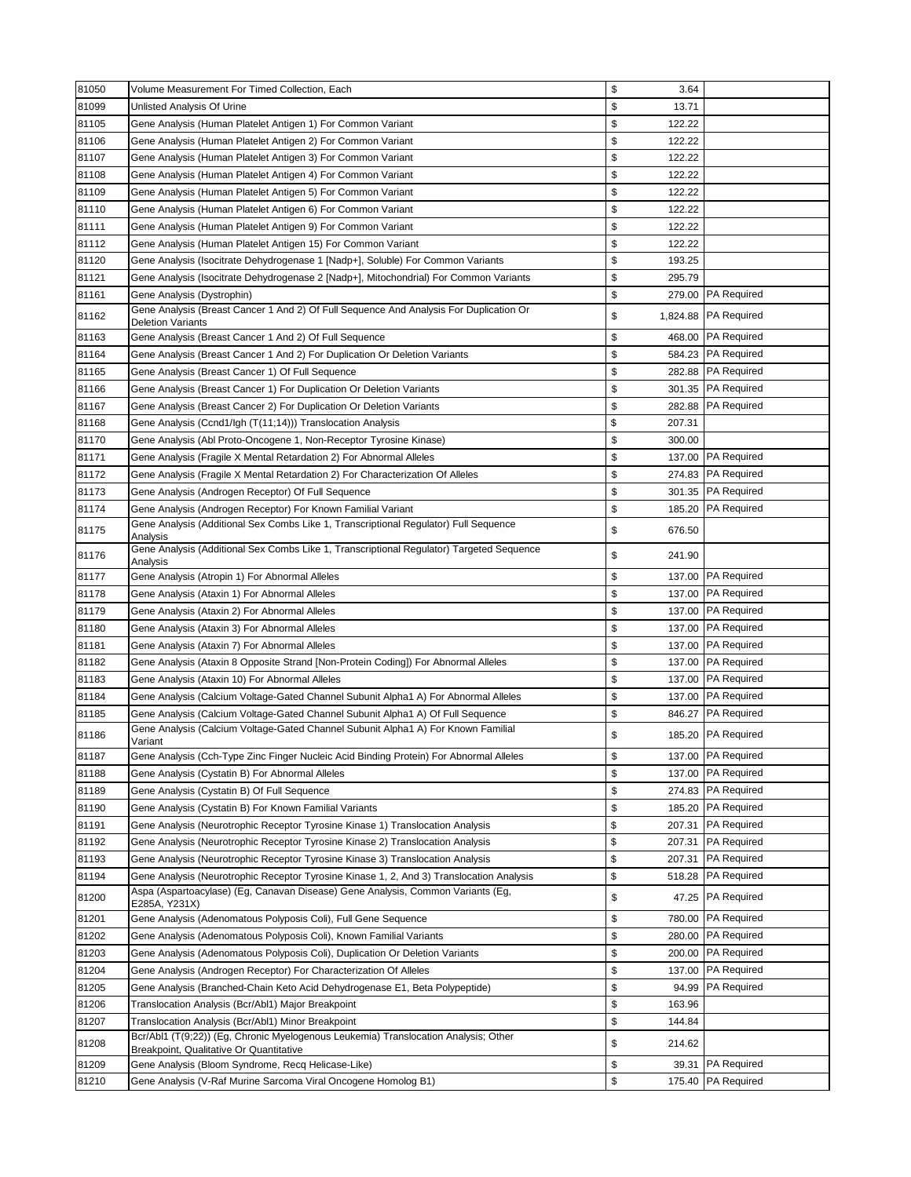| 81050          | Volume Measurement For Timed Collection, Each                                                                                                                               | \$<br>3.64                  |                                          |
|----------------|-----------------------------------------------------------------------------------------------------------------------------------------------------------------------------|-----------------------------|------------------------------------------|
| 81099          | Unlisted Analysis Of Urine                                                                                                                                                  | \$<br>13.71                 |                                          |
| 81105          | Gene Analysis (Human Platelet Antigen 1) For Common Variant                                                                                                                 | \$<br>122.22                |                                          |
| 81106          | Gene Analysis (Human Platelet Antigen 2) For Common Variant                                                                                                                 | \$<br>122.22                |                                          |
| 81107          | Gene Analysis (Human Platelet Antigen 3) For Common Variant                                                                                                                 | \$<br>122.22                |                                          |
| 81108          | Gene Analysis (Human Platelet Antigen 4) For Common Variant                                                                                                                 | \$<br>122.22                |                                          |
| 81109          | Gene Analysis (Human Platelet Antigen 5) For Common Variant                                                                                                                 | \$<br>122.22                |                                          |
| 81110          | Gene Analysis (Human Platelet Antigen 6) For Common Variant                                                                                                                 | \$<br>122.22                |                                          |
| 81111          | Gene Analysis (Human Platelet Antigen 9) For Common Variant                                                                                                                 | \$<br>122.22                |                                          |
| 81112          | Gene Analysis (Human Platelet Antigen 15) For Common Variant                                                                                                                | \$<br>122.22                |                                          |
| 81120          | Gene Analysis (Isocitrate Dehydrogenase 1 [Nadp+], Soluble) For Common Variants                                                                                             | \$<br>193.25                |                                          |
| 81121          | Gene Analysis (Isocitrate Dehydrogenase 2 [Nadp+], Mitochondrial) For Common Variants                                                                                       | \$<br>295.79                |                                          |
| 81161          | Gene Analysis (Dystrophin)                                                                                                                                                  | \$<br>279.00                | <b>PA Required</b>                       |
| 81162          | Gene Analysis (Breast Cancer 1 And 2) Of Full Sequence And Analysis For Duplication Or<br><b>Deletion Variants</b>                                                          | \$                          | 1,824.88   PA Required                   |
| 81163          | Gene Analysis (Breast Cancer 1 And 2) Of Full Sequence                                                                                                                      | \$                          | 468.00 PA Required                       |
| 81164          | Gene Analysis (Breast Cancer 1 And 2) For Duplication Or Deletion Variants                                                                                                  | \$                          | 584.23 PA Required                       |
| 81165          | Gene Analysis (Breast Cancer 1) Of Full Sequence                                                                                                                            | \$<br>282.88                | <b>PA Required</b>                       |
| 81166          | Gene Analysis (Breast Cancer 1) For Duplication Or Deletion Variants                                                                                                        | \$<br>301.35                | <b>PA Required</b>                       |
| 81167          | Gene Analysis (Breast Cancer 2) For Duplication Or Deletion Variants                                                                                                        | \$<br>282.88                | <b>PA Required</b>                       |
| 81168          | Gene Analysis (Ccnd1/Igh (T(11;14))) Translocation Analysis                                                                                                                 | \$<br>207.31                |                                          |
| 81170          | Gene Analysis (Abl Proto-Oncogene 1, Non-Receptor Tyrosine Kinase)                                                                                                          | \$<br>300.00                |                                          |
| 81171          | Gene Analysis (Fragile X Mental Retardation 2) For Abnormal Alleles                                                                                                         | \$<br>137.00                | <b>PA Required</b>                       |
| 81172          | Gene Analysis (Fragile X Mental Retardation 2) For Characterization Of Alleles                                                                                              | \$                          | 274.83 PA Required                       |
| 81173          | Gene Analysis (Androgen Receptor) Of Full Sequence                                                                                                                          | \$                          | 301.35 PA Required                       |
| 81174          | Gene Analysis (Androgen Receptor) For Known Familial Variant                                                                                                                | \$<br>185.20                | <b>PA Required</b>                       |
| 81175          | Gene Analysis (Additional Sex Combs Like 1, Transcriptional Regulator) Full Sequence                                                                                        | \$<br>676.50                |                                          |
| 81176          | Analysis<br>Gene Analysis (Additional Sex Combs Like 1, Transcriptional Regulator) Targeted Sequence                                                                        | \$<br>241.90                |                                          |
| 81177          | Analysis<br>Gene Analysis (Atropin 1) For Abnormal Alleles                                                                                                                  | \$<br>137.00                | <b>PA Required</b>                       |
| 81178          | Gene Analysis (Ataxin 1) For Abnormal Alleles                                                                                                                               | \$<br>137.00                | <b>PA Required</b>                       |
|                |                                                                                                                                                                             |                             |                                          |
|                |                                                                                                                                                                             |                             |                                          |
| 81179          | Gene Analysis (Ataxin 2) For Abnormal Alleles                                                                                                                               | \$<br>137.00                | PA Required                              |
| 81180          | Gene Analysis (Ataxin 3) For Abnormal Alleles                                                                                                                               | \$                          | 137.00 PA Required                       |
| 81181          | Gene Analysis (Ataxin 7) For Abnormal Alleles                                                                                                                               | \$<br>137.00                | <b>PA Required</b>                       |
| 81182          | Gene Analysis (Ataxin 8 Opposite Strand [Non-Protein Coding]) For Abnormal Alleles                                                                                          | \$<br>137.00                | <b>PA Required</b>                       |
| 81183          | Gene Analysis (Ataxin 10) For Abnormal Alleles                                                                                                                              | \$<br>137.00                | <b>PA Required</b>                       |
| 81184          | Gene Analysis (Calcium Voltage-Gated Channel Subunit Alpha1 A) For Abnormal Alleles                                                                                         | \$                          | 137.00 PA Required                       |
| 81185<br>81186 | Gene Analysis (Calcium Voltage-Gated Channel Subunit Alpha1 A) Of Full Sequence<br>Gene Analysis (Calcium Voltage-Gated Channel Subunit Alpha1 A) For Known Familial        | \$<br>846.27<br>\$          | <b>PA Required</b><br>185.20 PA Required |
|                | Variant                                                                                                                                                                     |                             |                                          |
| 81187          | Gene Analysis (Cch-Type Zinc Finger Nucleic Acid Binding Protein) For Abnormal Alleles                                                                                      | \$                          | 137.00 PA Required                       |
| 81188          | Gene Analysis (Cystatin B) For Abnormal Alleles                                                                                                                             | \$<br>137.00                | <b>PA</b> Required                       |
| 81189          | Gene Analysis (Cystatin B) Of Full Sequence                                                                                                                                 | \$<br>274.83                | <b>PA Required</b>                       |
| 81190          | Gene Analysis (Cystatin B) For Known Familial Variants                                                                                                                      | \$<br>185.20                | <b>PA Required</b>                       |
| 81191          | Gene Analysis (Neurotrophic Receptor Tyrosine Kinase 1) Translocation Analysis                                                                                              | \$<br>207.31                | <b>PA Required</b>                       |
| 81192          | Gene Analysis (Neurotrophic Receptor Tyrosine Kinase 2) Translocation Analysis                                                                                              | \$<br>207.31                | <b>PA Required</b>                       |
| 81193          | Gene Analysis (Neurotrophic Receptor Tyrosine Kinase 3) Translocation Analysis                                                                                              | \$<br>207.31                | <b>PA Required</b>                       |
| 81194          | Gene Analysis (Neurotrophic Receptor Tyrosine Kinase 1, 2, And 3) Translocation Analysis<br>Aspa (Aspartoacylase) (Eg, Canavan Disease) Gene Analysis, Common Variants (Eg, | \$<br>518.28<br>\$<br>47.25 | <b>PA Required</b><br><b>PA Required</b> |
| 81200<br>81201 | E285A, Y231X)<br>Gene Analysis (Adenomatous Polyposis Coli), Full Gene Sequence                                                                                             | \$<br>780.00                | <b>PA Required</b>                       |
| 81202          | Gene Analysis (Adenomatous Polyposis Coli), Known Familial Variants                                                                                                         | \$                          | 280.00 PA Required                       |
| 81203          | Gene Analysis (Adenomatous Polyposis Coli), Duplication Or Deletion Variants                                                                                                | \$                          | 200.00 PA Required                       |
| 81204          | Gene Analysis (Androgen Receptor) For Characterization Of Alleles                                                                                                           | \$<br>137.00                | <b>PA Required</b>                       |
| 81205          | Gene Analysis (Branched-Chain Keto Acid Dehydrogenase E1, Beta Polypeptide)                                                                                                 | \$<br>94.99                 | <b>PA Required</b>                       |
| 81206          | Translocation Analysis (Bcr/Abl1) Major Breakpoint                                                                                                                          | \$<br>163.96                |                                          |
| 81207          | Translocation Analysis (Bcr/Abl1) Minor Breakpoint                                                                                                                          | \$<br>144.84                |                                          |
| 81208          | Bcr/Abl1 (T(9;22)) (Eg, Chronic Myelogenous Leukemia) Translocation Analysis; Other                                                                                         | \$<br>214.62                |                                          |
| 81209          | Breakpoint, Qualitative Or Quantitative<br>Gene Analysis (Bloom Syndrome, Recq Helicase-Like)                                                                               | \$<br>39.31                 | <b>PA Required</b>                       |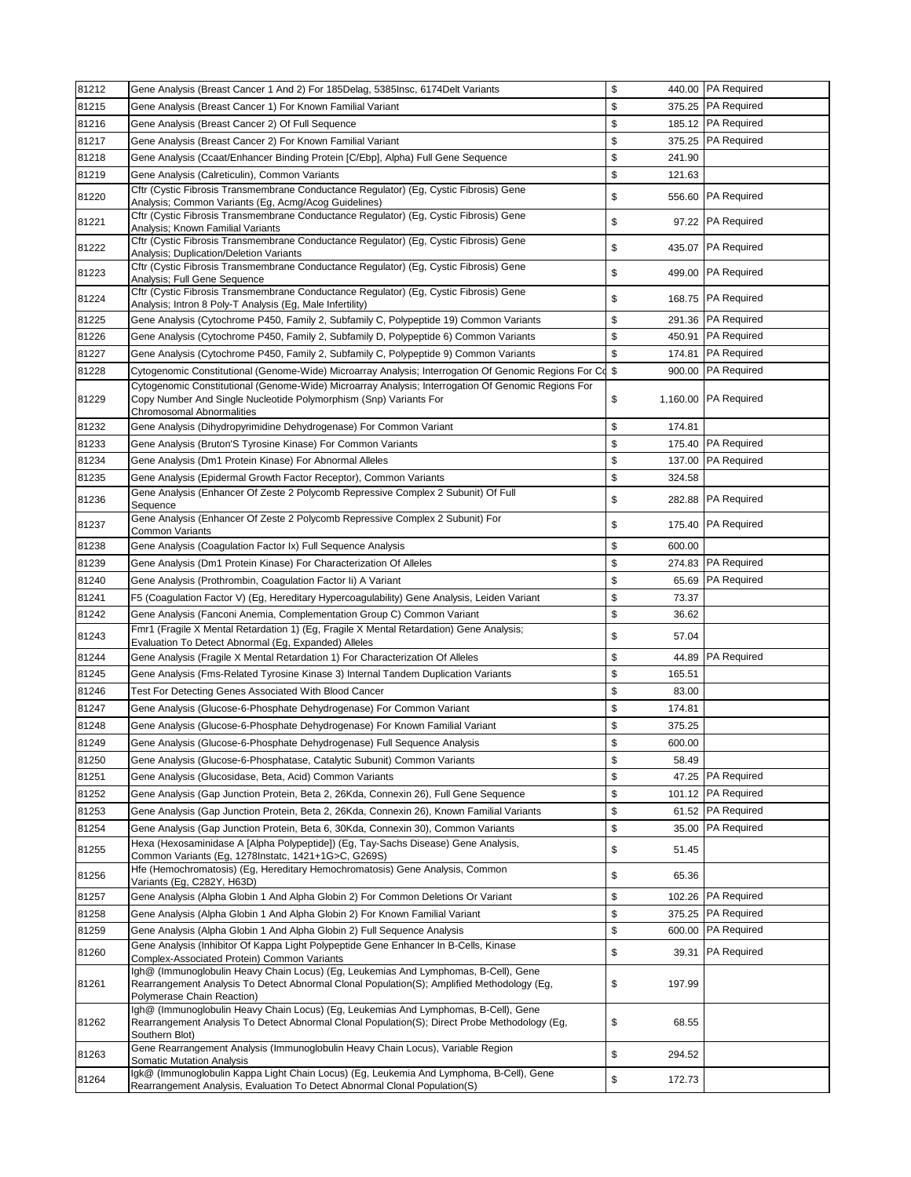| 81212 | Gene Analysis (Breast Cancer 1 And 2) For 185Delag, 5385Insc, 6174Delt Variants                                                                                                                                 | \$                     | 440.00 PA Required   |  |
|-------|-----------------------------------------------------------------------------------------------------------------------------------------------------------------------------------------------------------------|------------------------|----------------------|--|
| 81215 | Gene Analysis (Breast Cancer 1) For Known Familial Variant                                                                                                                                                      | \$                     | 375.25 PA Required   |  |
| 81216 | Gene Analysis (Breast Cancer 2) Of Full Sequence                                                                                                                                                                | \$                     | 185.12 PA Required   |  |
| 81217 | Gene Analysis (Breast Cancer 2) For Known Familial Variant                                                                                                                                                      | \$                     | 375.25 PA Required   |  |
| 81218 | Gene Analysis (Ccaat/Enhancer Binding Protein [C/Ebp], Alpha) Full Gene Sequence                                                                                                                                | \$<br>241.90           |                      |  |
| 81219 | Gene Analysis (Calreticulin), Common Variants                                                                                                                                                                   | \$<br>121.63           |                      |  |
| 81220 | Cftr (Cystic Fibrosis Transmembrane Conductance Regulator) (Eg, Cystic Fibrosis) Gene<br>Analysis; Common Variants (Eg, Acmg/Acog Guidelines)                                                                   | \$                     | 556.60 PA Required   |  |
| 81221 | Cftr (Cystic Fibrosis Transmembrane Conductance Regulator) (Eg, Cystic Fibrosis) Gene<br>Analysis; Known Familial Variants                                                                                      | \$                     | 97.22 PA Required    |  |
| 81222 | Cftr (Cystic Fibrosis Transmembrane Conductance Regulator) (Eg, Cystic Fibrosis) Gene<br>Analysis; Duplication/Deletion Variants                                                                                | \$                     | 435.07 PA Required   |  |
| 81223 | Cftr (Cystic Fibrosis Transmembrane Conductance Regulator) (Eg, Cystic Fibrosis) Gene<br>Analysis; Full Gene Sequence                                                                                           | \$                     | 499.00 PA Required   |  |
| 81224 | Cftr (Cystic Fibrosis Transmembrane Conductance Requlator) (Eq. Cystic Fibrosis) Gene<br>Analysis; Intron 8 Poly-T Analysis (Eg, Male Infertility)                                                              | \$                     | 168.75 PA Required   |  |
| 81225 | Gene Analysis (Cytochrome P450, Family 2, Subfamily C, Polypeptide 19) Common Variants                                                                                                                          | \$                     | 291.36 PA Required   |  |
| 81226 | Gene Analysis (Cytochrome P450, Family 2, Subfamily D, Polypeptide 6) Common Variants                                                                                                                           | \$                     | 450.91 PA Required   |  |
| 81227 | Gene Analysis (Cytochrome P450, Family 2, Subfamily C, Polypeptide 9) Common Variants                                                                                                                           | \$<br>174.81           | <b>PA Required</b>   |  |
| 81228 | Cytogenomic Constitutional (Genome-Wide) Microarray Analysis; Interrogation Of Genomic Regions For Co                                                                                                           | \$<br>900.00           | <b>PA Required</b>   |  |
| 81229 | Cytogenomic Constitutional (Genome-Wide) Microarray Analysis; Interrogation Of Genomic Regions For<br>Copy Number And Single Nucleotide Polymorphism (Snp) Variants For<br>Chromosomal Abnormalities            | \$                     | 1,160.00 PA Required |  |
| 81232 | Gene Analysis (Dihydropyrimidine Dehydrogenase) For Common Variant                                                                                                                                              | \$<br>174.81           |                      |  |
| 81233 | Gene Analysis (Bruton'S Tyrosine Kinase) For Common Variants                                                                                                                                                    | \$<br>175.40           | <b>PA Required</b>   |  |
| 81234 | Gene Analysis (Dm1 Protein Kinase) For Abnormal Alleles                                                                                                                                                         | \$<br>137.00           | <b>PA Required</b>   |  |
| 81235 | Gene Analysis (Epidermal Growth Factor Receptor), Common Variants                                                                                                                                               | \$<br>324.58           |                      |  |
| 81236 | Gene Analysis (Enhancer Of Zeste 2 Polycomb Repressive Complex 2 Subunit) Of Full<br>Sequence                                                                                                                   | \$                     | 282.88 PA Required   |  |
| 81237 | Gene Analysis (Enhancer Of Zeste 2 Polycomb Repressive Complex 2 Subunit) For<br><b>Common Variants</b>                                                                                                         | \$                     | 175.40 PA Required   |  |
| 81238 | Gene Analysis (Coagulation Factor Ix) Full Sequence Analysis                                                                                                                                                    | \$<br>600.00           |                      |  |
| 81239 | Gene Analysis (Dm1 Protein Kinase) For Characterization Of Alleles                                                                                                                                              | \$                     | 274.83 PA Required   |  |
| 81240 | Gene Analysis (Prothrombin, Coagulation Factor Ii) A Variant                                                                                                                                                    | \$                     | 65.69 PA Required    |  |
| 81241 | F5 (Coagulation Factor V) (Eg, Hereditary Hypercoagulability) Gene Analysis, Leiden Variant                                                                                                                     | \$<br>73.37            |                      |  |
| 81242 | Gene Analysis (Fanconi Anemia, Complementation Group C) Common Variant                                                                                                                                          | $\mathbb{S}$<br>36.62  |                      |  |
| 81243 | Fmr1 (Fragile X Mental Retardation 1) (Eg, Fragile X Mental Retardation) Gene Analysis;<br>Evaluation To Detect Abnormal (Eg, Expanded) Alleles                                                                 | $\mathbb{S}$<br>57.04  |                      |  |
| 81244 | Gene Analysis (Fragile X Mental Retardation 1) For Characterization Of Alleles                                                                                                                                  | \$                     | 44.89 PA Required    |  |
| 81245 | Gene Analysis (Fms-Related Tyrosine Kinase 3) Internal Tandem Duplication Variants                                                                                                                              | $\mathbb{S}$<br>165.51 |                      |  |
| 81246 | Test For Detecting Genes Associated With Blood Cancer                                                                                                                                                           | \$<br>83.00            |                      |  |
| 81247 | Gene Analysis (Glucose-6-Phosphate Dehydrogenase) For Common Variant                                                                                                                                            | \$<br>174.81           |                      |  |
| 81248 | Gene Analysis (Glucose-6-Phosphate Dehydrogenase) For Known Familial Variant                                                                                                                                    | \$<br>375.25           |                      |  |
| 81249 | Gene Analysis (Glucose-6-Phosphate Dehydrogenase) Full Sequence Analysis                                                                                                                                        | $\mathbb{S}$<br>600.00 |                      |  |
| 81250 | Gene Analysis (Glucose-6-Phosphatase, Catalytic Subunit) Common Variants                                                                                                                                        | \$<br>58.49            |                      |  |
| 81251 | Gene Analysis (Glucosidase, Beta, Acid) Common Variants                                                                                                                                                         | \$                     | 47.25 PA Required    |  |
| 81252 | Gene Analysis (Gap Junction Protein, Beta 2, 26Kda, Connexin 26), Full Gene Sequence                                                                                                                            | \$                     | 101.12 PA Required   |  |
| 81253 | Gene Analysis (Gap Junction Protein, Beta 2, 26Kda, Connexin 26), Known Familial Variants                                                                                                                       | \$                     | 61.52 PA Required    |  |
| 81254 | Gene Analysis (Gap Junction Protein, Beta 6, 30Kda, Connexin 30), Common Variants                                                                                                                               | \$                     | 35.00 PA Required    |  |
| 81255 | Hexa (Hexosaminidase A [Alpha Polypeptide]) (Eg, Tay-Sachs Disease) Gene Analysis,<br>Common Variants (Eg, 1278Instatc, 1421+1G>C, G269S)                                                                       | \$<br>51.45            |                      |  |
| 81256 | Hfe (Hemochromatosis) (Eg, Hereditary Hemochromatosis) Gene Analysis, Common<br>Variants (Eg, C282Y, H63D)                                                                                                      | $\mathbb{S}$<br>65.36  |                      |  |
| 81257 | Gene Analysis (Alpha Globin 1 And Alpha Globin 2) For Common Deletions Or Variant                                                                                                                               | \$                     | 102.26 PA Required   |  |
| 81258 | Gene Analysis (Alpha Globin 1 And Alpha Globin 2) For Known Familial Variant                                                                                                                                    | \$<br>375.25           | <b>PA Required</b>   |  |
| 81259 | Gene Analysis (Alpha Globin 1 And Alpha Globin 2) Full Sequence Analysis                                                                                                                                        | \$<br>600.00           | <b>PA Required</b>   |  |
| 81260 | Gene Analysis (Inhibitor Of Kappa Light Polypeptide Gene Enhancer In B-Cells, Kinase<br>Complex-Associated Protein) Common Variants                                                                             | \$                     | 39.31 PA Required    |  |
| 81261 | Igh@ (Immunoglobulin Heavy Chain Locus) (Eg, Leukemias And Lymphomas, B-Cell), Gene<br>Rearrangement Analysis To Detect Abnormal Clonal Population(S); Amplified Methodology (Eg,<br>Polymerase Chain Reaction) | \$<br>197.99           |                      |  |
| 81262 | Igh@ (Immunoglobulin Heavy Chain Locus) (Eg, Leukemias And Lymphomas, B-Cell), Gene<br>Rearrangement Analysis To Detect Abnormal Clonal Population(S); Direct Probe Methodology (Eg,<br>Southern Blot)          | \$<br>68.55            |                      |  |
| 81263 | Gene Rearrangement Analysis (Immunoglobulin Heavy Chain Locus), Variable Region                                                                                                                                 | \$<br>294.52           |                      |  |
| 81264 | <b>Somatic Mutation Analysis</b><br>Igk@ (Immunoglobulin Kappa Light Chain Locus) (Eg, Leukemia And Lymphoma, B-Cell), Gene                                                                                     | $\mathbb{S}$<br>172.73 |                      |  |
|       | Rearrangement Analysis, Evaluation To Detect Abnormal Clonal Population(S)                                                                                                                                      |                        |                      |  |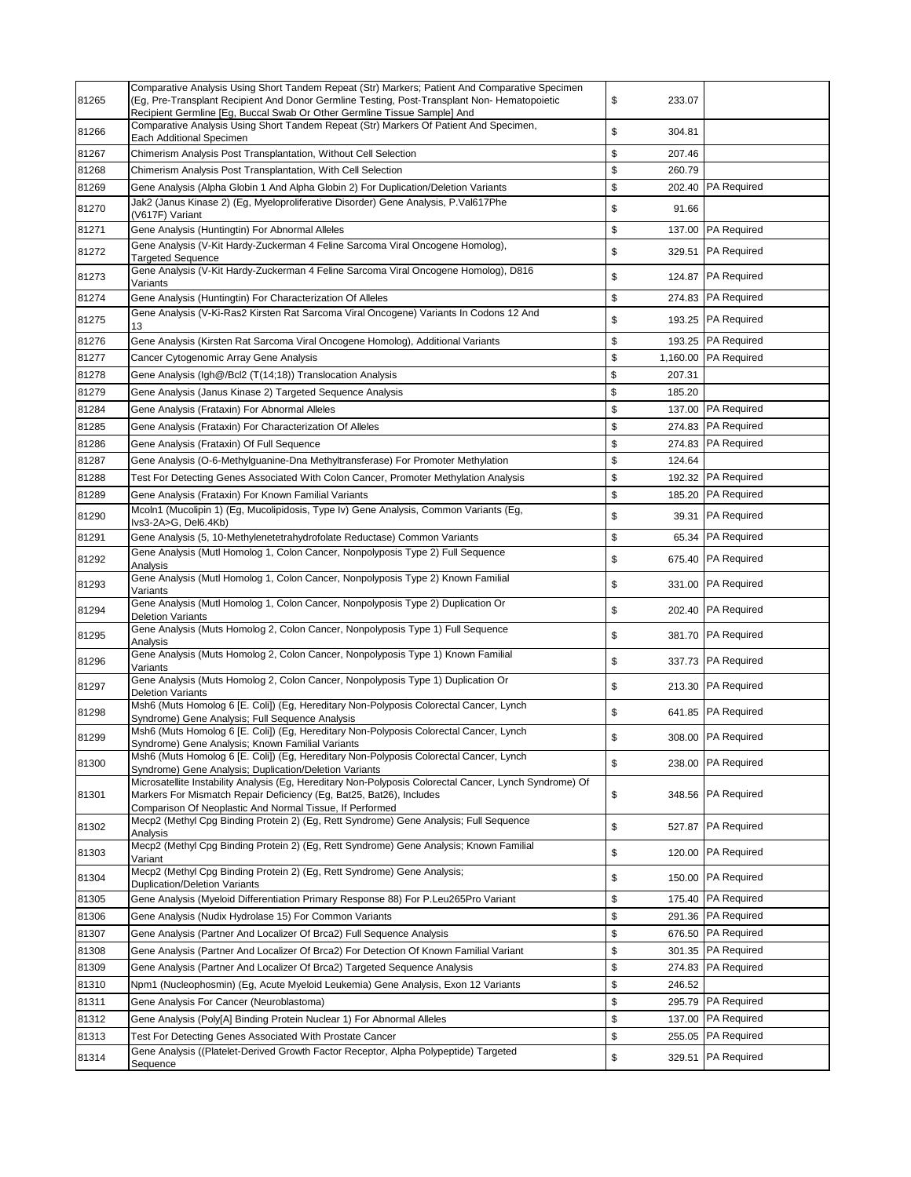| 81265 | Comparative Analysis Using Short Tandem Repeat (Str) Markers; Patient And Comparative Specimen<br>(Eg, Pre-Transplant Recipient And Donor Germline Testing, Post-Transplant Non-Hematopoietic<br>Recipient Germline [Eg, Buccal Swab Or Other Germline Tissue Sample] And | \$<br>233.07   |                    |
|-------|---------------------------------------------------------------------------------------------------------------------------------------------------------------------------------------------------------------------------------------------------------------------------|----------------|--------------------|
| 81266 | Comparative Analysis Using Short Tandem Repeat (Str) Markers Of Patient And Specimen,<br>Each Additional Specimen                                                                                                                                                         | \$<br>304.81   |                    |
| 81267 | Chimerism Analysis Post Transplantation, Without Cell Selection                                                                                                                                                                                                           | \$<br>207.46   |                    |
| 81268 | Chimerism Analysis Post Transplantation, With Cell Selection                                                                                                                                                                                                              | \$<br>260.79   |                    |
| 81269 | Gene Analysis (Alpha Globin 1 And Alpha Globin 2) For Duplication/Deletion Variants                                                                                                                                                                                       | \$<br>202.40   | <b>PA Required</b> |
| 81270 | Jak2 (Janus Kinase 2) (Eg, Myeloproliferative Disorder) Gene Analysis, P.Val617Phe<br>(V617F) Variant                                                                                                                                                                     | \$<br>91.66    |                    |
| 81271 | Gene Analysis (Huntingtin) For Abnormal Alleles                                                                                                                                                                                                                           | \$<br>137.00   | <b>PA Required</b> |
| 81272 | Gene Analysis (V-Kit Hardy-Zuckerman 4 Feline Sarcoma Viral Oncogene Homolog),<br>Targeted Sequence                                                                                                                                                                       | \$<br>329.51   | <b>PA Required</b> |
| 81273 | Gene Analysis (V-Kit Hardy-Zuckerman 4 Feline Sarcoma Viral Oncogene Homolog), D816<br>Variants                                                                                                                                                                           | \$<br>124.87   | <b>PA Required</b> |
| 81274 | Gene Analysis (Huntingtin) For Characterization Of Alleles                                                                                                                                                                                                                | \$<br>274.83   | <b>PA Required</b> |
| 81275 | Gene Analysis (V-Ki-Ras2 Kirsten Rat Sarcoma Viral Oncogene) Variants In Codons 12 And<br>13                                                                                                                                                                              | \$             | 193.25 PA Required |
| 81276 | Gene Analysis (Kirsten Rat Sarcoma Viral Oncogene Homolog), Additional Variants                                                                                                                                                                                           | \$<br>193.25   | <b>PA Required</b> |
| 81277 | Cancer Cytogenomic Array Gene Analysis                                                                                                                                                                                                                                    | \$<br>1,160.00 | <b>PA Required</b> |
| 81278 | Gene Analysis (Igh@/Bcl2 (T(14;18)) Translocation Analysis                                                                                                                                                                                                                | \$<br>207.31   |                    |
| 81279 | Gene Analysis (Janus Kinase 2) Targeted Sequence Analysis                                                                                                                                                                                                                 | \$<br>185.20   |                    |
| 81284 | Gene Analysis (Frataxin) For Abnormal Alleles                                                                                                                                                                                                                             | \$<br>137.00   | <b>PA Required</b> |
| 81285 | Gene Analysis (Frataxin) For Characterization Of Alleles                                                                                                                                                                                                                  | \$             | 274.83 PA Required |
| 81286 | Gene Analysis (Frataxin) Of Full Sequence                                                                                                                                                                                                                                 | \$             | 274.83 PA Required |
| 81287 | Gene Analysis (O-6-Methylguanine-Dna Methyltransferase) For Promoter Methylation                                                                                                                                                                                          | \$<br>124.64   |                    |
| 81288 | Test For Detecting Genes Associated With Colon Cancer, Promoter Methylation Analysis                                                                                                                                                                                      | \$             | 192.32 PA Required |
| 81289 | Gene Analysis (Frataxin) For Known Familial Variants                                                                                                                                                                                                                      | \$<br>185.20   | <b>PA Required</b> |
| 81290 | Mcoln1 (Mucolipin 1) (Eg, Mucolipidosis, Type Iv) Gene Analysis, Common Variants (Eg,<br>Ivs3-2A>G, Del6.4Kb)                                                                                                                                                             | \$<br>39.31    | <b>PA Required</b> |
| 81291 | Gene Analysis (5, 10-Methylenetetrahydrofolate Reductase) Common Variants                                                                                                                                                                                                 | \$<br>65.34    | <b>PA Required</b> |
|       | Gene Analysis (Mutl Homolog 1, Colon Cancer, Nonpolyposis Type 2) Full Sequence                                                                                                                                                                                           |                |                    |
| 81292 | Analysis                                                                                                                                                                                                                                                                  | \$<br>675.40   | <b>PA Required</b> |
| 81293 | Gene Analysis (Mutl Homolog 1, Colon Cancer, Nonpolyposis Type 2) Known Familial<br>Variants                                                                                                                                                                              | \$<br>331.00   | <b>PA Required</b> |
| 81294 | Gene Analysis (Mutl Homolog 1, Colon Cancer, Nonpolyposis Type 2) Duplication Or<br><b>Deletion Variants</b>                                                                                                                                                              | \$<br>202.40   | <b>PA Required</b> |
| 81295 | Gene Analysis (Muts Homolog 2, Colon Cancer, Nonpolyposis Type 1) Full Sequence<br>Analysis                                                                                                                                                                               | \$<br>381.70   | <b>PA Required</b> |
| 81296 | Gene Analysis (Muts Homolog 2, Colon Cancer, Nonpolyposis Type 1) Known Familial<br>Variants                                                                                                                                                                              | \$             | 337.73 PA Required |
| 81297 | Gene Analysis (Muts Homolog 2, Colon Cancer, Nonpolyposis Type 1) Duplication Or<br><b>Deletion Variants</b>                                                                                                                                                              | \$<br>213.30   | <b>PA Required</b> |
| 81298 | Msh6 (Muts Homolog 6 [E. Coli]) (Eg, Hereditary Non-Polyposis Colorectal Cancer, Lynch<br>Syndrome) Gene Analysis; Full Sequence Analysis                                                                                                                                 | \$             | 641.85 PA Required |
| 81299 | Msh6 (Muts Homolog 6 [E. Coli]) (Eg, Hereditary Non-Polyposis Colorectal Cancer, Lynch<br>Syndrome) Gene Analysis; Known Familial Variants                                                                                                                                | \$             | 308.00 PA Required |
| 81300 | Msh6 (Muts Homolog 6 [E. Coli]) (Eg, Hereditary Non-Polyposis Colorectal Cancer, Lynch<br>Syndrome) Gene Analysis; Duplication/Deletion Variants                                                                                                                          | \$             | 238.00 PA Required |
| 81301 | Microsatellite Instability Analysis (Eg, Hereditary Non-Polyposis Colorectal Cancer, Lynch Syndrome) Of<br>Markers For Mismatch Repair Deficiency (Eg, Bat25, Bat26), Includes<br>Comparison Of Neoplastic And Normal Tissue, If Performed                                | \$<br>348.56   | <b>PA Required</b> |
| 81302 | Mecp2 (Methyl Cpg Binding Protein 2) (Eg, Rett Syndrome) Gene Analysis; Full Sequence<br>Analysis                                                                                                                                                                         | \$<br>527.87   | <b>PA Required</b> |
| 81303 | Mecp2 (Methyl Cpg Binding Protein 2) (Eg, Rett Syndrome) Gene Analysis; Known Familial<br>Variant                                                                                                                                                                         | \$<br>120.00   | <b>PA Required</b> |
| 81304 | Mecp2 (Methyl Cpg Binding Protein 2) (Eg, Rett Syndrome) Gene Analysis;<br><b>Duplication/Deletion Variants</b>                                                                                                                                                           | \$<br>150.00   | <b>PA Required</b> |
| 81305 | Gene Analysis (Myeloid Differentiation Primary Response 88) For P.Leu265Pro Variant                                                                                                                                                                                       | \$<br>175.40   | <b>PA Required</b> |
| 81306 | Gene Analysis (Nudix Hydrolase 15) For Common Variants                                                                                                                                                                                                                    | \$             | 291.36 PA Required |
| 81307 | Gene Analysis (Partner And Localizer Of Brca2) Full Sequence Analysis                                                                                                                                                                                                     | \$             | 676.50 PA Required |
| 81308 | Gene Analysis (Partner And Localizer Of Brca2) For Detection Of Known Familial Variant                                                                                                                                                                                    | \$             | 301.35 PA Required |
| 81309 | Gene Analysis (Partner And Localizer Of Brca2) Targeted Sequence Analysis                                                                                                                                                                                                 | \$<br>274.83   | <b>PA Required</b> |
| 81310 | Npm1 (Nucleophosmin) (Eg, Acute Myeloid Leukemia) Gene Analysis, Exon 12 Variants                                                                                                                                                                                         | \$<br>246.52   |                    |
| 81311 | Gene Analysis For Cancer (Neuroblastoma)                                                                                                                                                                                                                                  | \$<br>295.79   | <b>PA Required</b> |
| 81312 | Gene Analysis (Poly[A] Binding Protein Nuclear 1) For Abnormal Alleles                                                                                                                                                                                                    | \$<br>137.00   | <b>PA Required</b> |
| 81313 | Test For Detecting Genes Associated With Prostate Cancer                                                                                                                                                                                                                  | \$<br>255.05   | <b>PA Required</b> |
| 81314 | Gene Analysis ((Platelet-Derived Growth Factor Receptor, Alpha Polypeptide) Targeted<br>Sequence                                                                                                                                                                          | \$<br>329.51   | <b>PA Required</b> |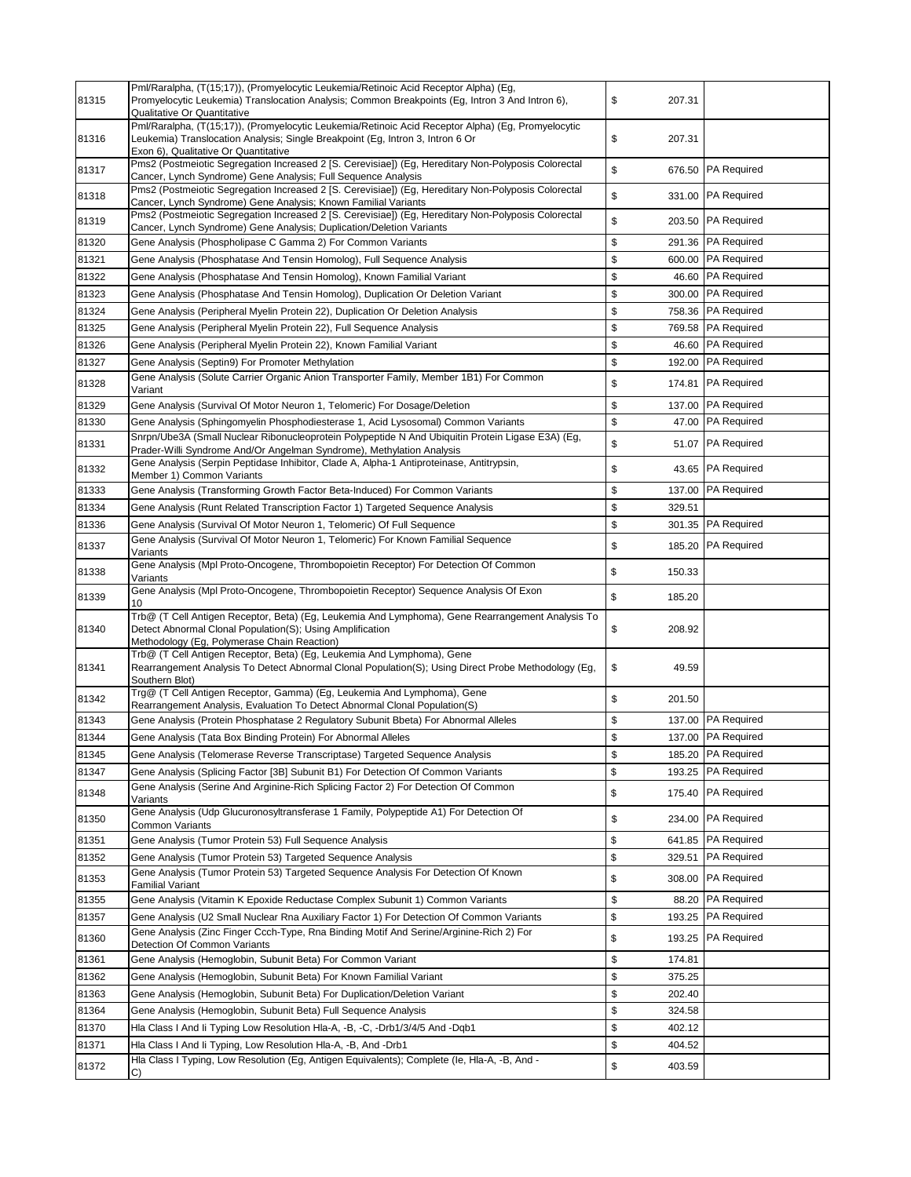| 81315 | Pml/Raralpha, (T(15;17)), (Promyelocytic Leukemia/Retinoic Acid Receptor Alpha) (Eg,<br>Promyelocytic Leukemia) Translocation Analysis; Common Breakpoints (Eg, Intron 3 And Intron 6),<br>Qualitative Or Quantitative       | \$<br>207.31 |                    |
|-------|------------------------------------------------------------------------------------------------------------------------------------------------------------------------------------------------------------------------------|--------------|--------------------|
| 81316 | Pml/Raralpha, (T(15;17)), (Promyelocytic Leukemia/Retinoic Acid Receptor Alpha) (Eg, Promyelocytic<br>Leukemia) Translocation Analysis; Single Breakpoint (Eg, Intron 3, Intron 6 Or<br>Exon 6), Qualitative Or Quantitative | \$<br>207.31 |                    |
| 81317 | Pms2 (Postmeiotic Segregation Increased 2 [S. Cerevisiae]) (Eg, Hereditary Non-Polyposis Colorectal<br>Cancer, Lynch Syndrome) Gene Analysis; Full Sequence Analysis                                                         | \$<br>676.50 | <b>PA Required</b> |
| 81318 | Pms2 (Postmeiotic Segregation Increased 2 [S. Cerevisiae]) (Eg, Hereditary Non-Polyposis Colorectal<br>Cancer, Lynch Syndrome) Gene Analysis; Known Familial Variants                                                        | \$<br>331.00 | <b>PA Required</b> |
| 81319 | Pms2 (Postmeiotic Segregation Increased 2 [S. Cerevisiae]) (Eg, Hereditary Non-Polyposis Colorectal<br>Cancer, Lynch Syndrome) Gene Analysis; Duplication/Deletion Variants                                                  | \$           | 203.50 PA Required |
| 81320 | Gene Analysis (Phospholipase C Gamma 2) For Common Variants                                                                                                                                                                  | \$           | 291.36 PA Required |
| 81321 | Gene Analysis (Phosphatase And Tensin Homolog), Full Sequence Analysis                                                                                                                                                       | \$           | 600.00 PA Required |
| 81322 | Gene Analysis (Phosphatase And Tensin Homolog), Known Familial Variant                                                                                                                                                       | \$<br>46.60  | <b>PA Required</b> |
| 81323 | Gene Analysis (Phosphatase And Tensin Homolog), Duplication Or Deletion Variant                                                                                                                                              | \$<br>300.00 | <b>PA Required</b> |
| 81324 | Gene Analysis (Peripheral Myelin Protein 22), Duplication Or Deletion Analysis                                                                                                                                               | \$           | 758.36 PA Required |
| 81325 | Gene Analysis (Peripheral Myelin Protein 22), Full Sequence Analysis                                                                                                                                                         | \$           | 769.58 PA Required |
| 81326 | Gene Analysis (Peripheral Myelin Protein 22), Known Familial Variant                                                                                                                                                         | \$           | 46.60 PA Required  |
| 81327 | Gene Analysis (Septin9) For Promoter Methylation                                                                                                                                                                             | \$           | 192.00 PA Required |
| 81328 | Gene Analysis (Solute Carrier Organic Anion Transporter Family, Member 1B1) For Common<br>Variant                                                                                                                            | \$<br>174.81 | <b>PA Required</b> |
| 81329 | Gene Analysis (Survival Of Motor Neuron 1, Telomeric) For Dosage/Deletion                                                                                                                                                    | \$<br>137.00 | <b>PA Required</b> |
| 81330 | Gene Analysis (Sphingomyelin Phosphodiesterase 1, Acid Lysosomal) Common Variants                                                                                                                                            | \$<br>47.00  | <b>PA Required</b> |
| 81331 | Snrpn/Ube3A (Small Nuclear Ribonucleoprotein Polypeptide N And Ubiquitin Protein Ligase E3A) (Eg,<br>Prader-Willi Syndrome And/Or Angelman Syndrome), Methylation Analysis                                                   | \$<br>51.07  | <b>PA Required</b> |
| 81332 | Gene Analysis (Serpin Peptidase Inhibitor, Clade A, Alpha-1 Antiproteinase, Antitrypsin,<br>Member 1) Common Variants                                                                                                        | \$<br>43.65  | <b>PA Required</b> |
| 81333 | Gene Analysis (Transforming Growth Factor Beta-Induced) For Common Variants                                                                                                                                                  | \$<br>137.00 | <b>PA Required</b> |
| 81334 | Gene Analysis (Runt Related Transcription Factor 1) Targeted Sequence Analysis                                                                                                                                               | \$<br>329.51 |                    |
| 81336 | Gene Analysis (Survival Of Motor Neuron 1, Telomeric) Of Full Sequence                                                                                                                                                       | \$<br>301.35 | <b>PA Required</b> |
| 81337 | Gene Analysis (Survival Of Motor Neuron 1, Telomeric) For Known Familial Sequence<br>Variants                                                                                                                                | \$<br>185.20 | <b>PA Required</b> |
| 81338 | Gene Analysis (Mpl Proto-Oncogene, Thrombopoietin Receptor) For Detection Of Common<br>Variants                                                                                                                              | \$<br>150.33 |                    |
| 81339 | Gene Analysis (Mpl Proto-Oncogene, Thrombopoietin Receptor) Sequence Analysis Of Exon                                                                                                                                        | \$<br>185.20 |                    |
| 81340 | Trb@ (T Cell Antigen Receptor, Beta) (Eg, Leukemia And Lymphoma), Gene Rearrangement Analysis To<br>Detect Abnormal Clonal Population(S); Using Amplification<br>Methodology (Eg, Polymerase Chain Reaction)                 | \$<br>208.92 |                    |
| 81341 | Trb@ (T Cell Antigen Receptor, Beta) (Eg, Leukemia And Lymphoma), Gene<br>Rearrangement Analysis To Detect Abnormal Clonal Population(S); Using Direct Probe Methodology (Eg,<br>Southern Blot)                              | \$<br>49.59  |                    |
| 81342 | Trg@ (T Cell Antigen Receptor, Gamma) (Eg, Leukemia And Lymphoma), Gene<br>Rearrangement Analysis, Evaluation To Detect Abnormal Clonal Population(S)                                                                        | \$<br>201.50 |                    |
| 81343 | Gene Analysis (Protein Phosphatase 2 Regulatory Subunit Bbeta) For Abnormal Alleles                                                                                                                                          | \$           | 137.00 PA Required |
| 81344 | Gene Analysis (Tata Box Binding Protein) For Abnormal Alleles                                                                                                                                                                | \$           | 137.00 PA Required |
| 81345 | Gene Analysis (Telomerase Reverse Transcriptase) Targeted Sequence Analysis                                                                                                                                                  | \$           | 185.20 PA Required |
| 81347 | Gene Analysis (Splicing Factor [3B] Subunit B1) For Detection Of Common Variants                                                                                                                                             | \$<br>193.25 | <b>PA Required</b> |
| 81348 | Gene Analysis (Serine And Arginine-Rich Splicing Factor 2) For Detection Of Common<br>Variants                                                                                                                               | \$<br>175.40 | <b>PA Required</b> |
| 81350 | Gene Analysis (Udp Glucuronosyltransferase 1 Family, Polypeptide A1) For Detection Of<br><b>Common Variants</b>                                                                                                              | \$<br>234.00 | <b>PA Required</b> |
| 81351 | Gene Analysis (Tumor Protein 53) Full Sequence Analysis                                                                                                                                                                      | \$<br>641.85 | <b>PA Required</b> |
| 81352 | Gene Analysis (Tumor Protein 53) Targeted Sequence Analysis                                                                                                                                                                  | \$<br>329.51 | <b>PA Required</b> |
| 81353 | Gene Analysis (Tumor Protein 53) Targeted Sequence Analysis For Detection Of Known<br><b>Familial Variant</b>                                                                                                                | \$<br>308.00 | <b>PA Required</b> |
| 81355 | Gene Analysis (Vitamin K Epoxide Reductase Complex Subunit 1) Common Variants                                                                                                                                                | \$<br>88.20  | <b>PA Required</b> |
| 81357 | Gene Analysis (U2 Small Nuclear Rna Auxiliary Factor 1) For Detection Of Common Variants                                                                                                                                     | \$<br>193.25 | <b>PA Required</b> |
| 81360 | Gene Analysis (Zinc Finger Ccch-Type, Rna Binding Motif And Serine/Arginine-Rich 2) For<br>Detection Of Common Variants                                                                                                      | \$<br>193.25 | <b>PA Required</b> |
| 81361 | Gene Analysis (Hemoglobin, Subunit Beta) For Common Variant                                                                                                                                                                  | \$<br>174.81 |                    |
| 81362 | Gene Analysis (Hemoglobin, Subunit Beta) For Known Familial Variant                                                                                                                                                          | \$<br>375.25 |                    |
| 81363 | Gene Analysis (Hemoglobin, Subunit Beta) For Duplication/Deletion Variant                                                                                                                                                    | \$<br>202.40 |                    |
| 81364 | Gene Analysis (Hemoglobin, Subunit Beta) Full Sequence Analysis                                                                                                                                                              | \$<br>324.58 |                    |
| 81370 | Hla Class I And Ii Typing Low Resolution Hla-A, -B, -C, -Drb1/3/4/5 And -Dqb1                                                                                                                                                | \$<br>402.12 |                    |
| 81371 | Hla Class I And Ii Typing, Low Resolution Hla-A, -B, And -Drb1                                                                                                                                                               | \$<br>404.52 |                    |
| 81372 | Hla Class I Typing, Low Resolution (Eg, Antigen Equivalents); Complete (le, Hla-A, -B, And -<br>C)                                                                                                                           | \$<br>403.59 |                    |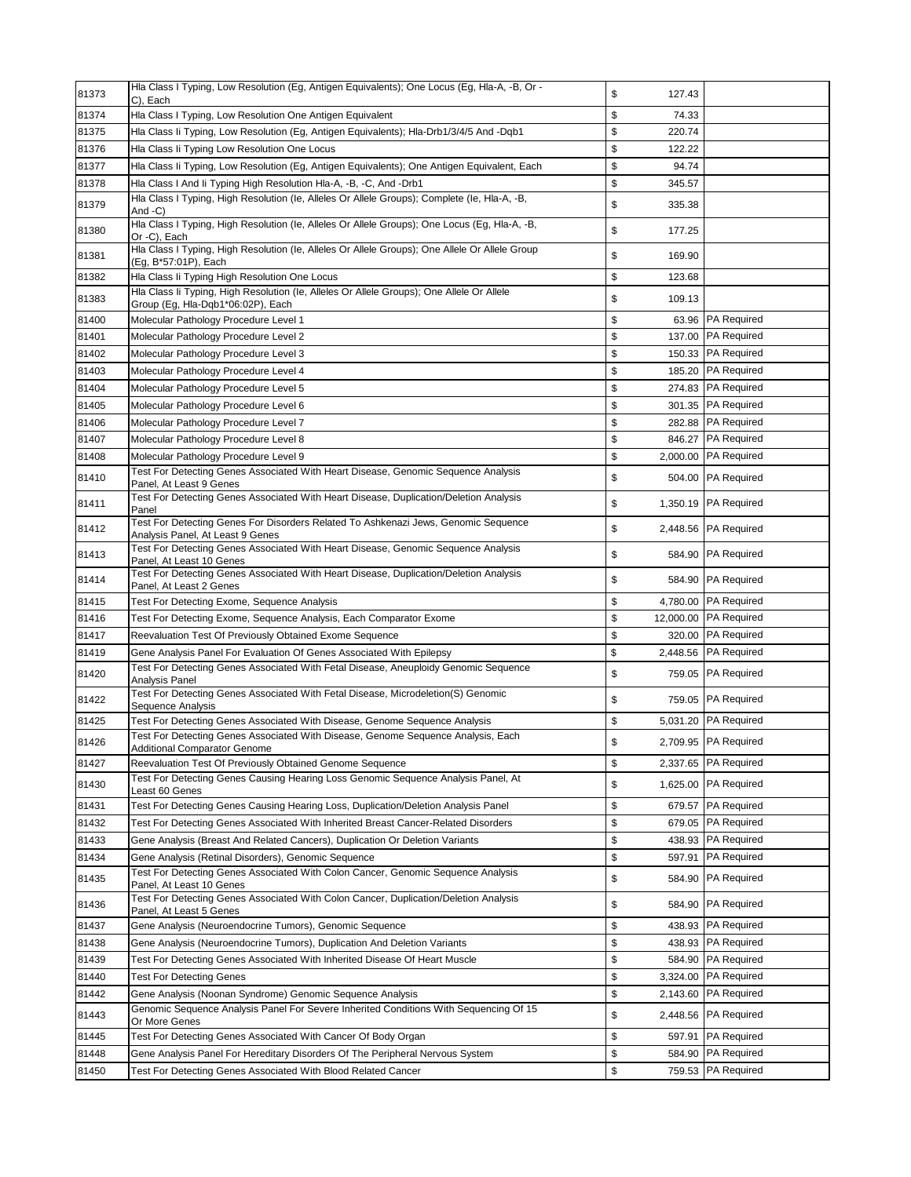| 81373 | Hla Class I Typing, Low Resolution (Eq. Antigen Equivalents); One Locus (Eq. Hla-A, -B, Or -<br>C), Each                       | \$<br>127.43   |                        |
|-------|--------------------------------------------------------------------------------------------------------------------------------|----------------|------------------------|
| 81374 | Hla Class I Typing, Low Resolution One Antigen Equivalent                                                                      | \$<br>74.33    |                        |
| 81375 | Hla Class li Typing, Low Resolution (Eg, Antigen Equivalents); Hla-Drb1/3/4/5 And -Dqb1                                        | \$<br>220.74   |                        |
| 81376 | Hla Class Ii Typing Low Resolution One Locus                                                                                   | \$<br>122.22   |                        |
| 81377 | Hla Class Ii Typing, Low Resolution (Eg, Antigen Equivalents); One Antigen Equivalent, Each                                    | \$<br>94.74    |                        |
| 81378 | Hla Class I And Ii Typing High Resolution Hla-A, -B, -C, And -Drb1                                                             | \$<br>345.57   |                        |
| 81379 | Hla Class I Typing, High Resolution (le, Alleles Or Allele Groups); Complete (le, Hla-A, -B,<br>And -C)                        | \$<br>335.38   |                        |
| 81380 | Hla Class I Typing, High Resolution (le, Alleles Or Allele Groups); One Locus (Eg, Hla-A, -B,<br>Or -C), Each                  | \$<br>177.25   |                        |
| 81381 | Hla Class I Typing, High Resolution (le, Alleles Or Allele Groups); One Allele Or Allele Group<br>(Eg, B*57:01P), Each         | \$<br>169.90   |                        |
| 81382 | Hla Class li Typing High Resolution One Locus                                                                                  | \$<br>123.68   |                        |
| 81383 | Hla Class li Typing, High Resolution (le, Alleles Or Allele Groups); One Allele Or Allele<br>Group (Eg, Hla-Dqb1*06:02P), Each | \$<br>109.13   |                        |
| 81400 | Molecular Pathology Procedure Level 1                                                                                          | \$             | 63.96 PA Required      |
| 81401 | Molecular Pathology Procedure Level 2                                                                                          | \$             | 137.00 PA Required     |
| 81402 | Molecular Pathology Procedure Level 3                                                                                          | \$             | 150.33 PA Required     |
| 81403 | Molecular Pathology Procedure Level 4                                                                                          | \$<br>185.20   | <b>PA Required</b>     |
| 81404 | Molecular Pathology Procedure Level 5                                                                                          | \$             | 274.83 PA Required     |
| 81405 | Molecular Pathology Procedure Level 6                                                                                          | \$             | 301.35   PA Required   |
| 81406 | Molecular Pathology Procedure Level 7                                                                                          | \$             | 282.88 PA Required     |
| 81407 | Molecular Pathology Procedure Level 8                                                                                          | \$             | 846.27 PA Required     |
| 81408 | Molecular Pathology Procedure Level 9                                                                                          | \$<br>2,000.00 | <b>PA Required</b>     |
| 81410 | Test For Detecting Genes Associated With Heart Disease, Genomic Sequence Analysis<br>Panel, At Least 9 Genes                   | \$<br>504.00   | <b>PA Required</b>     |
| 81411 | Test For Detecting Genes Associated With Heart Disease, Duplication/Deletion Analysis<br>Panel                                 | \$             | 1,350.19 PA Required   |
| 81412 | Test For Detecting Genes For Disorders Related To Ashkenazi Jews, Genomic Sequence<br>Analysis Panel, At Least 9 Genes         | \$             | 2,448.56 PA Required   |
| 81413 | Test For Detecting Genes Associated With Heart Disease, Genomic Sequence Analysis<br>Panel, At Least 10 Genes                  | \$             | 584.90 PA Required     |
| 81414 | Test For Detecting Genes Associated With Heart Disease, Duplication/Deletion Analysis<br>Panel, At Least 2 Genes               | \$             | 584.90 PA Required     |
| 81415 | Test For Detecting Exome, Sequence Analysis                                                                                    | \$             | 4,780.00   PA Required |
| 81416 | Test For Detecting Exome, Sequence Analysis, Each Comparator Exome                                                             | \$             | 12,000.00  PA Required |
| 81417 | Reevaluation Test Of Previously Obtained Exome Sequence                                                                        | \$<br>320.00   | <b>PA Required</b>     |
| 81419 | Gene Analysis Panel For Evaluation Of Genes Associated With Epilepsy                                                           | \$<br>2,448.56 | <b>PA Required</b>     |
| 81420 | Test For Detecting Genes Associated With Fetal Disease, Aneuploidy Genomic Sequence<br>Analvsis Panel                          | \$             | 759.05 PA Required     |
| 81422 | Test For Detecting Genes Associated With Fetal Disease, Microdeletion(S) Genomic<br>Sequence Analysis                          | \$             | 759.05 PA Required     |
| 81425 | Test For Detecting Genes Associated With Disease, Genome Sequence Analysis                                                     | \$             | 5,031.20 PA Required   |
| 81426 | Test For Detecting Genes Associated With Disease, Genome Sequence Analysis, Each<br><b>Additional Comparator Genome</b>        | \$             | 2.709.95 PA Required   |
| 81427 | Reevaluation Test Of Previously Obtained Genome Sequence                                                                       | \$             | 2,337.65 PA Required   |
| 81430 | Test For Detecting Genes Causing Hearing Loss Genomic Sequence Analysis Panel, At<br>Least 60 Genes                            | \$             | 1,625.00 PA Required   |
| 81431 | Test For Detecting Genes Causing Hearing Loss, Duplication/Deletion Analysis Panel                                             | \$<br>679.57   | <b>PA Required</b>     |
| 81432 | Test For Detecting Genes Associated With Inherited Breast Cancer-Related Disorders                                             | \$             | 679.05   PA Required   |
| 81433 | Gene Analysis (Breast And Related Cancers), Duplication Or Deletion Variants                                                   | \$<br>438.93   | <b>PA Required</b>     |
| 81434 | Gene Analysis (Retinal Disorders), Genomic Sequence                                                                            | \$<br>597.91   | <b>PA Required</b>     |
| 81435 | Test For Detecting Genes Associated With Colon Cancer, Genomic Sequence Analysis<br>Panel, At Least 10 Genes                   | \$<br>584.90   | <b>PA Required</b>     |
| 81436 | Test For Detecting Genes Associated With Colon Cancer, Duplication/Deletion Analysis<br>Panel, At Least 5 Genes                | \$<br>584.90   | <b>PA Required</b>     |
| 81437 | Gene Analysis (Neuroendocrine Tumors), Genomic Sequence                                                                        | \$<br>438.93   | <b>PA Required</b>     |
| 81438 | Gene Analysis (Neuroendocrine Tumors), Duplication And Deletion Variants                                                       | \$<br>438.93   | <b>PA Required</b>     |
| 81439 | Test For Detecting Genes Associated With Inherited Disease Of Heart Muscle                                                     | \$<br>584.90   | <b>PA Required</b>     |
| 81440 | Test For Detecting Genes                                                                                                       | \$<br>3,324.00 | <b>PA Required</b>     |
| 81442 | Gene Analysis (Noonan Syndrome) Genomic Sequence Analysis                                                                      | \$<br>2,143.60 | PA Required            |
| 81443 | Genomic Sequence Analysis Panel For Severe Inherited Conditions With Sequencing Of 15<br>Or More Genes                         | \$             | 2,448.56 PA Required   |
| 81445 | Test For Detecting Genes Associated With Cancer Of Body Organ                                                                  | \$<br>597.91   | <b>PA Required</b>     |
| 81448 | Gene Analysis Panel For Hereditary Disorders Of The Peripheral Nervous System                                                  | \$<br>584.90   | <b>PA Required</b>     |
| 81450 | Test For Detecting Genes Associated With Blood Related Cancer                                                                  | \$<br>759.53   | <b>PA Required</b>     |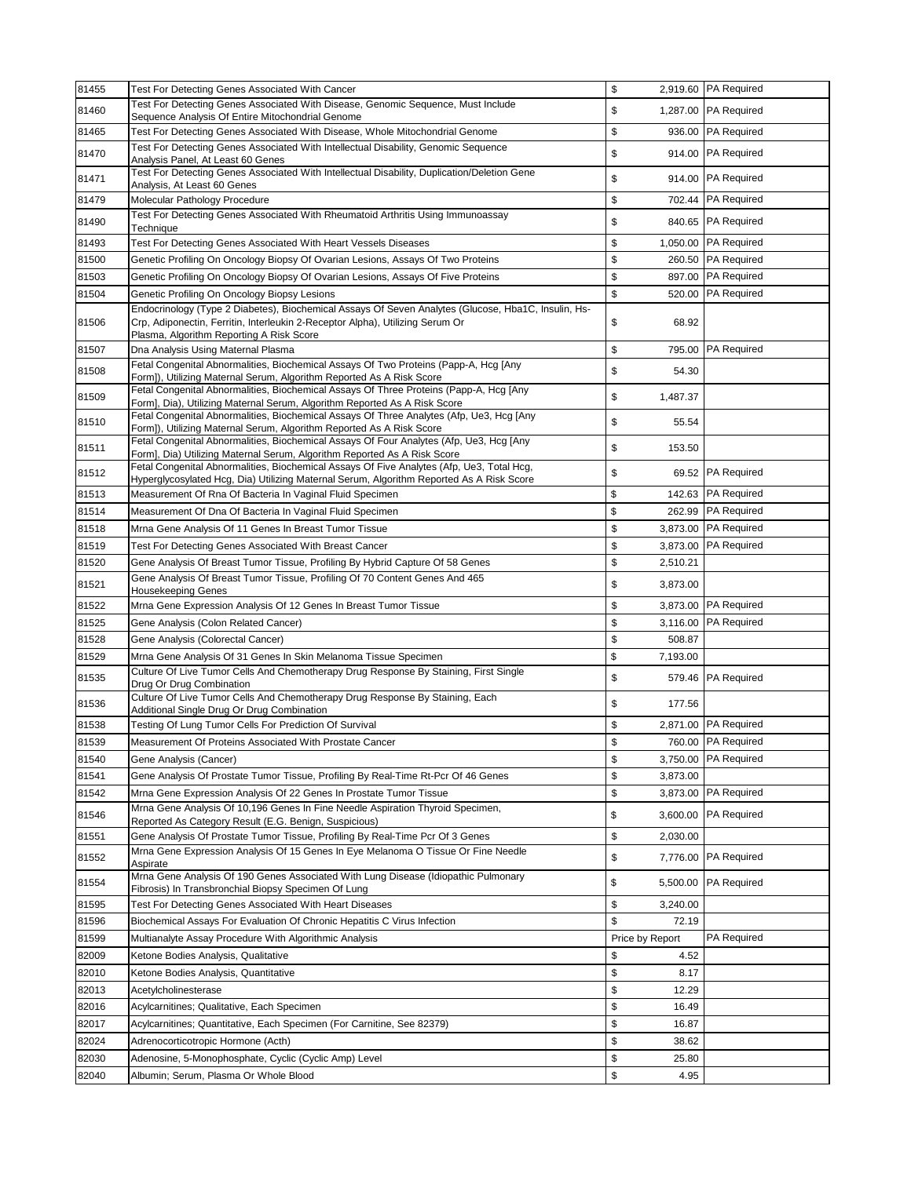| 81455 | Test For Detecting Genes Associated With Cancer                                                                                                                                                                                  | \$              | 2,919.60 PA Required   |
|-------|----------------------------------------------------------------------------------------------------------------------------------------------------------------------------------------------------------------------------------|-----------------|------------------------|
| 81460 | Test For Detecting Genes Associated With Disease, Genomic Sequence, Must Include<br>Sequence Analysis Of Entire Mitochondrial Genome                                                                                             | \$              | 1,287.00 PA Required   |
| 81465 | Test For Detecting Genes Associated With Disease, Whole Mitochondrial Genome                                                                                                                                                     | \$<br>936.00    | <b>PA Required</b>     |
| 81470 | Test For Detecting Genes Associated With Intellectual Disability, Genomic Sequence<br>Analysis Panel, At Least 60 Genes                                                                                                          | \$              | 914.00 PA Required     |
| 81471 | Test For Detecting Genes Associated With Intellectual Disability, Duplication/Deletion Gene<br>Analysis, At Least 60 Genes                                                                                                       | \$<br>914.00    | <b>PA Required</b>     |
| 81479 | Molecular Pathology Procedure                                                                                                                                                                                                    | \$<br>702.44    | <b>PA Required</b>     |
| 81490 | Test For Detecting Genes Associated With Rheumatoid Arthritis Using Immunoassay<br>Technique                                                                                                                                     | \$              | 840.65 PA Required     |
| 81493 | Test For Detecting Genes Associated With Heart Vessels Diseases                                                                                                                                                                  | \$              | 1,050.00   PA Required |
| 81500 | Genetic Profiling On Oncology Biopsy Of Ovarian Lesions, Assays Of Two Proteins                                                                                                                                                  | \$              | 260.50 PA Required     |
| 81503 | Genetic Profiling On Oncology Biopsy Of Ovarian Lesions, Assays Of Five Proteins                                                                                                                                                 | \$              | 897.00 PA Required     |
| 81504 | Genetic Profiling On Oncology Biopsy Lesions                                                                                                                                                                                     | \$<br>520.00    | <b>PA Required</b>     |
| 81506 | Endocrinology (Type 2 Diabetes), Biochemical Assays Of Seven Analytes (Glucose, Hba1C, Insulin, Hs-<br>Crp, Adiponectin, Ferritin, Interleukin 2-Receptor Alpha), Utilizing Serum Or<br>Plasma, Algorithm Reporting A Risk Score | \$<br>68.92     |                        |
| 81507 | Dna Analysis Using Maternal Plasma                                                                                                                                                                                               | \$<br>795.00    | <b>PA Required</b>     |
| 81508 | Fetal Congenital Abnormalities, Biochemical Assays Of Two Proteins (Papp-A, Hcg [Any<br>Form]), Utilizing Maternal Serum, Algorithm Reported As A Risk Score                                                                     | \$<br>54.30     |                        |
| 81509 | Fetal Congenital Abnormalities, Biochemical Assays Of Three Proteins (Papp-A, Hcq [Any<br>Form], Dia), Utilizing Maternal Serum, Algorithm Reported As A Risk Score                                                              | \$<br>1,487.37  |                        |
| 81510 | Fetal Congenital Abnormalities, Biochemical Assays Of Three Analytes (Afp, Ue3, Hcg [Any<br>Form]), Utilizing Maternal Serum, Algorithm Reported As A Risk Score                                                                 | \$<br>55.54     |                        |
| 81511 | Fetal Congenital Abnormalities, Biochemical Assays Of Four Analytes (Afp, Ue3, Hcq [Any<br>Form], Dia) Utilizing Maternal Serum, Algorithm Reported As A Risk Score                                                              | \$<br>153.50    |                        |
| 81512 | Fetal Congenital Abnormalities, Biochemical Assays Of Five Analytes (Afp, Ue3, Total Hcg,<br>Hyperglycosylated Hcg, Dia) Utilizing Maternal Serum, Algorithm Reported As A Risk Score                                            | \$              | 69.52 PA Required      |
| 81513 | Measurement Of Rna Of Bacteria In Vaginal Fluid Specimen                                                                                                                                                                         | \$<br>142.63    | <b>PA Required</b>     |
| 81514 | Measurement Of Dna Of Bacteria In Vaginal Fluid Specimen                                                                                                                                                                         | \$<br>262.99    | <b>PA Required</b>     |
| 81518 | Mrna Gene Analysis Of 11 Genes In Breast Tumor Tissue                                                                                                                                                                            | \$<br>3,873.00  | <b>PA Required</b>     |
| 81519 | Test For Detecting Genes Associated With Breast Cancer                                                                                                                                                                           | \$<br>3,873.00  | <b>PA Required</b>     |
| 81520 | Gene Analysis Of Breast Tumor Tissue, Profiling By Hybrid Capture Of 58 Genes                                                                                                                                                    | \$<br>2,510.21  |                        |
| 81521 | Gene Analysis Of Breast Tumor Tissue, Profiling Of 70 Content Genes And 465<br><b>Housekeeping Genes</b>                                                                                                                         | \$<br>3,873.00  |                        |
| 81522 | Mrna Gene Expression Analysis Of 12 Genes In Breast Tumor Tissue                                                                                                                                                                 | \$<br>3,873.00  | <b>PA Required</b>     |
| 81525 | Gene Analysis (Colon Related Cancer)                                                                                                                                                                                             | \$<br>3,116.00  | <b>PA Required</b>     |
| 81528 | Gene Analysis (Colorectal Cancer)                                                                                                                                                                                                | \$<br>508.87    |                        |
| 81529 | Mrna Gene Analysis Of 31 Genes In Skin Melanoma Tissue Specimen                                                                                                                                                                  | \$<br>7,193.00  |                        |
| 81535 | Culture Of Live Tumor Cells And Chemotherapy Drug Response By Staining, First Single<br>Drug Or Drug Combination                                                                                                                 | \$              | 579.46 PA Required     |
| 81536 | Culture Of Live Tumor Cells And Chemotherapy Drug Response By Staining, Each<br>Additional Single Drug Or Drug Combination                                                                                                       | \$<br>177.56    |                        |
| 81538 | Testing Of Lung Tumor Cells For Prediction Of Survival                                                                                                                                                                           | \$              | 2,871.00 PA Required   |
| 81539 | Measurement Of Proteins Associated With Prostate Cancer                                                                                                                                                                          | \$              | 760.00 PA Required     |
| 81540 | Gene Analysis (Cancer)                                                                                                                                                                                                           | \$<br>3,750.00  | <b>PA Required</b>     |
| 81541 | Gene Analysis Of Prostate Tumor Tissue, Profiling By Real-Time Rt-Pcr Of 46 Genes                                                                                                                                                | \$<br>3,873.00  |                        |
| 81542 | Mrna Gene Expression Analysis Of 22 Genes In Prostate Tumor Tissue                                                                                                                                                               | \$<br>3,873.00  | PA Required            |
| 81546 | Mrna Gene Analysis Of 10,196 Genes In Fine Needle Aspiration Thyroid Specimen,<br>Reported As Category Result (E.G. Benign, Suspicious)                                                                                          | \$<br>3,600.00  | <b>PA Required</b>     |
| 81551 | Gene Analysis Of Prostate Tumor Tissue, Profiling By Real-Time Pcr Of 3 Genes                                                                                                                                                    | \$<br>2,030.00  |                        |
| 81552 | Mrna Gene Expression Analysis Of 15 Genes In Eye Melanoma O Tissue Or Fine Needle<br>Aspirate<br>Mrna Gene Analysis Of 190 Genes Associated With Lung Disease (Idiopathic Pulmonary                                              | \$<br>7,776.00  | <b>PA Required</b>     |
| 81554 | Fibrosis) In Transbronchial Biopsy Specimen Of Lung                                                                                                                                                                              | \$<br>5,500.00  | <b>PA Required</b>     |
| 81595 | Test For Detecting Genes Associated With Heart Diseases                                                                                                                                                                          | \$<br>3,240.00  |                        |
| 81596 | Biochemical Assays For Evaluation Of Chronic Hepatitis C Virus Infection                                                                                                                                                         | \$<br>72.19     |                        |
| 81599 | Multianalyte Assay Procedure With Algorithmic Analysis                                                                                                                                                                           | Price by Report | <b>PA Required</b>     |
| 82009 | Ketone Bodies Analysis, Qualitative                                                                                                                                                                                              | \$<br>4.52      |                        |
| 82010 | Ketone Bodies Analysis, Quantitative                                                                                                                                                                                             | \$<br>8.17      |                        |
| 82013 | Acetylcholinesterase                                                                                                                                                                                                             | \$<br>12.29     |                        |
| 82016 | Acylcarnitines; Qualitative, Each Specimen                                                                                                                                                                                       | \$<br>16.49     |                        |
| 82017 | Acylcarnitines; Quantitative, Each Specimen (For Carnitine, See 82379)                                                                                                                                                           | \$<br>16.87     |                        |
| 82024 | Adrenocorticotropic Hormone (Acth)                                                                                                                                                                                               | \$<br>38.62     |                        |
| 82030 | Adenosine, 5-Monophosphate, Cyclic (Cyclic Amp) Level                                                                                                                                                                            | \$<br>25.80     |                        |
| 82040 | Albumin; Serum, Plasma Or Whole Blood                                                                                                                                                                                            | \$<br>4.95      |                        |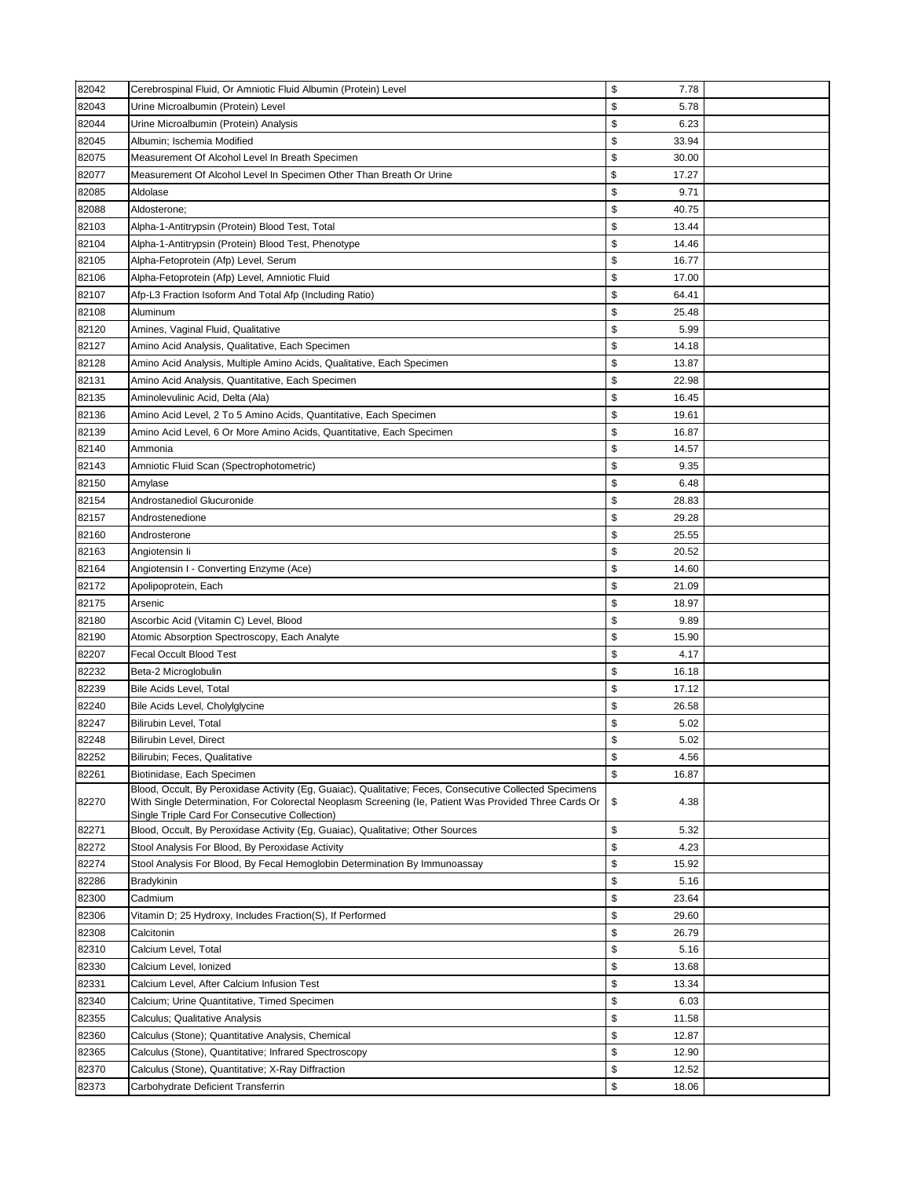| 82042 | Cerebrospinal Fluid, Or Amniotic Fluid Albumin (Protein) Level                                                                                                                                                                                                     | \$<br>7.78  |  |
|-------|--------------------------------------------------------------------------------------------------------------------------------------------------------------------------------------------------------------------------------------------------------------------|-------------|--|
| 82043 | Urine Microalbumin (Protein) Level                                                                                                                                                                                                                                 | \$<br>5.78  |  |
| 82044 | Urine Microalbumin (Protein) Analysis                                                                                                                                                                                                                              | \$<br>6.23  |  |
| 82045 | Albumin; Ischemia Modified                                                                                                                                                                                                                                         | \$<br>33.94 |  |
| 82075 | Measurement Of Alcohol Level In Breath Specimen                                                                                                                                                                                                                    | \$<br>30.00 |  |
| 82077 | Measurement Of Alcohol Level In Specimen Other Than Breath Or Urine                                                                                                                                                                                                | \$<br>17.27 |  |
| 82085 | Aldolase                                                                                                                                                                                                                                                           | \$<br>9.71  |  |
| 82088 | Aldosterone;                                                                                                                                                                                                                                                       | \$<br>40.75 |  |
| 82103 | Alpha-1-Antitrypsin (Protein) Blood Test, Total                                                                                                                                                                                                                    | \$<br>13.44 |  |
|       | Alpha-1-Antitrypsin (Protein) Blood Test, Phenotype                                                                                                                                                                                                                | \$<br>14.46 |  |
| 82104 |                                                                                                                                                                                                                                                                    |             |  |
| 82105 | Alpha-Fetoprotein (Afp) Level, Serum                                                                                                                                                                                                                               | \$<br>16.77 |  |
| 82106 | Alpha-Fetoprotein (Afp) Level, Amniotic Fluid                                                                                                                                                                                                                      | \$<br>17.00 |  |
| 82107 | Afp-L3 Fraction Isoform And Total Afp (Including Ratio)                                                                                                                                                                                                            | \$<br>64.41 |  |
| 82108 | Aluminum                                                                                                                                                                                                                                                           | \$<br>25.48 |  |
| 82120 | Amines, Vaginal Fluid, Qualitative                                                                                                                                                                                                                                 | \$<br>5.99  |  |
| 82127 | Amino Acid Analysis, Qualitative, Each Specimen                                                                                                                                                                                                                    | \$<br>14.18 |  |
| 82128 | Amino Acid Analysis, Multiple Amino Acids, Qualitative, Each Specimen                                                                                                                                                                                              | \$<br>13.87 |  |
| 82131 | Amino Acid Analysis, Quantitative, Each Specimen                                                                                                                                                                                                                   | \$<br>22.98 |  |
| 82135 | Aminolevulinic Acid, Delta (Ala)                                                                                                                                                                                                                                   | \$<br>16.45 |  |
| 82136 | Amino Acid Level, 2 To 5 Amino Acids, Quantitative, Each Specimen                                                                                                                                                                                                  | \$<br>19.61 |  |
| 82139 | Amino Acid Level, 6 Or More Amino Acids, Quantitative, Each Specimen                                                                                                                                                                                               | \$<br>16.87 |  |
| 82140 | Ammonia                                                                                                                                                                                                                                                            | \$<br>14.57 |  |
| 82143 | Amniotic Fluid Scan (Spectrophotometric)                                                                                                                                                                                                                           | \$<br>9.35  |  |
| 82150 | Amylase                                                                                                                                                                                                                                                            | \$<br>6.48  |  |
| 82154 | Androstanediol Glucuronide                                                                                                                                                                                                                                         | \$<br>28.83 |  |
| 82157 | Androstenedione                                                                                                                                                                                                                                                    | \$<br>29.28 |  |
| 82160 | Androsterone                                                                                                                                                                                                                                                       | \$<br>25.55 |  |
| 82163 | Angiotensin li                                                                                                                                                                                                                                                     | \$<br>20.52 |  |
| 82164 | Angiotensin I - Converting Enzyme (Ace)                                                                                                                                                                                                                            | \$<br>14.60 |  |
| 82172 | Apolipoprotein, Each                                                                                                                                                                                                                                               | \$<br>21.09 |  |
| 82175 | Arsenic                                                                                                                                                                                                                                                            | \$<br>18.97 |  |
|       |                                                                                                                                                                                                                                                                    |             |  |
| 82180 | Ascorbic Acid (Vitamin C) Level, Blood                                                                                                                                                                                                                             | \$<br>9.89  |  |
| 82190 | Atomic Absorption Spectroscopy, Each Analyte                                                                                                                                                                                                                       | \$<br>15.90 |  |
| 82207 | <b>Fecal Occult Blood Test</b>                                                                                                                                                                                                                                     | \$<br>4.17  |  |
| 82232 | Beta-2 Microglobulin                                                                                                                                                                                                                                               | \$<br>16.18 |  |
| 82239 | Bile Acids Level, Total                                                                                                                                                                                                                                            | \$<br>17.12 |  |
| 82240 | Bile Acids Level, Cholylglycine                                                                                                                                                                                                                                    | \$<br>26.58 |  |
| 82247 | Bilirubin Level, Total                                                                                                                                                                                                                                             | \$<br>5.02  |  |
| 82248 | <b>Bilirubin Level, Direct</b>                                                                                                                                                                                                                                     | \$<br>5.02  |  |
| 82252 | Bilirubin; Feces, Qualitative                                                                                                                                                                                                                                      | \$<br>4.56  |  |
| 82261 | Biotinidase, Each Specimen                                                                                                                                                                                                                                         | \$<br>16.87 |  |
| 82270 | Blood, Occult, By Peroxidase Activity (Eg, Guaiac), Qualitative; Feces, Consecutive Collected Specimens<br>With Single Determination, For Colorectal Neoplasm Screening (le, Patient Was Provided Three Cards Or<br>Single Triple Card For Consecutive Collection) | \$<br>4.38  |  |
| 82271 | Blood, Occult, By Peroxidase Activity (Eg, Guaiac), Qualitative; Other Sources                                                                                                                                                                                     | \$<br>5.32  |  |
| 82272 | Stool Analysis For Blood, By Peroxidase Activity                                                                                                                                                                                                                   | \$<br>4.23  |  |
| 82274 | Stool Analysis For Blood, By Fecal Hemoglobin Determination By Immunoassay                                                                                                                                                                                         | \$<br>15.92 |  |
| 82286 | Bradykinin                                                                                                                                                                                                                                                         | \$<br>5.16  |  |
| 82300 | Cadmium                                                                                                                                                                                                                                                            | \$<br>23.64 |  |
| 82306 | Vitamin D; 25 Hydroxy, Includes Fraction(S), If Performed                                                                                                                                                                                                          | \$<br>29.60 |  |
| 82308 | Calcitonin                                                                                                                                                                                                                                                         | \$<br>26.79 |  |
| 82310 | Calcium Level, Total                                                                                                                                                                                                                                               | \$<br>5.16  |  |
| 82330 | Calcium Level, Ionized                                                                                                                                                                                                                                             | \$<br>13.68 |  |
| 82331 | Calcium Level, After Calcium Infusion Test                                                                                                                                                                                                                         | \$<br>13.34 |  |
| 82340 | Calcium; Urine Quantitative, Timed Specimen                                                                                                                                                                                                                        | \$<br>6.03  |  |
| 82355 | Calculus; Qualitative Analysis                                                                                                                                                                                                                                     | \$<br>11.58 |  |
| 82360 |                                                                                                                                                                                                                                                                    | \$          |  |
|       | Calculus (Stone); Quantitative Analysis, Chemical                                                                                                                                                                                                                  | 12.87       |  |
| 82365 | Calculus (Stone), Quantitative; Infrared Spectroscopy                                                                                                                                                                                                              | \$<br>12.90 |  |
| 82370 | Calculus (Stone), Quantitative; X-Ray Diffraction                                                                                                                                                                                                                  | \$<br>12.52 |  |
| 82373 | Carbohydrate Deficient Transferrin                                                                                                                                                                                                                                 | \$<br>18.06 |  |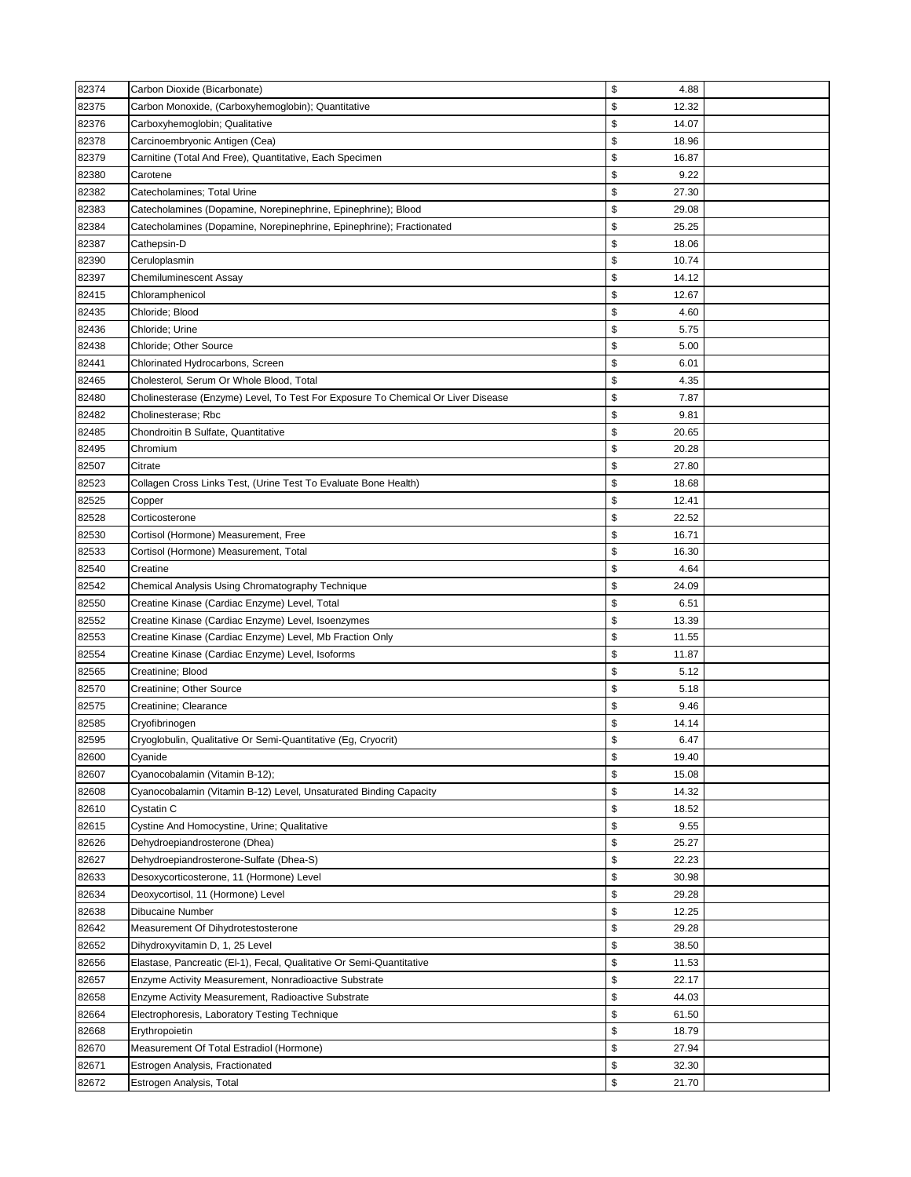| 82374          | Carbon Dioxide (Bicarbonate)                                                                        | \$<br>4.88                |  |
|----------------|-----------------------------------------------------------------------------------------------------|---------------------------|--|
| 82375          | Carbon Monoxide, (Carboxyhemoglobin); Quantitative                                                  | \$<br>12.32               |  |
| 82376          | Carboxyhemoglobin; Qualitative                                                                      | \$<br>14.07               |  |
| 82378          | Carcinoembryonic Antigen (Cea)                                                                      | \$<br>18.96               |  |
| 82379          | Carnitine (Total And Free), Quantitative, Each Specimen                                             | \$<br>16.87               |  |
| 82380          | Carotene                                                                                            | \$<br>9.22                |  |
| 82382          | Catecholamines; Total Urine                                                                         | \$<br>27.30               |  |
| 82383          | Catecholamines (Dopamine, Norepinephrine, Epinephrine); Blood                                       | \$<br>29.08               |  |
| 82384          | Catecholamines (Dopamine, Norepinephrine, Epinephrine); Fractionated                                | \$<br>25.25               |  |
| 82387          | Cathepsin-D                                                                                         | \$<br>18.06               |  |
| 82390          | Ceruloplasmin                                                                                       | \$<br>10.74               |  |
| 82397          | <b>Chemiluminescent Assay</b>                                                                       | \$<br>14.12               |  |
| 82415          | Chloramphenicol                                                                                     | \$<br>12.67               |  |
| 82435          | Chloride; Blood                                                                                     | \$<br>4.60                |  |
| 82436          | Chloride; Urine                                                                                     | \$<br>5.75                |  |
| 82438          | Chloride; Other Source                                                                              | \$<br>5.00                |  |
| 82441          | Chlorinated Hydrocarbons, Screen                                                                    | \$<br>6.01                |  |
| 82465          | Cholesterol, Serum Or Whole Blood, Total                                                            | \$<br>4.35                |  |
| 82480          | Cholinesterase (Enzyme) Level, To Test For Exposure To Chemical Or Liver Disease                    | \$<br>7.87                |  |
| 82482          | Cholinesterase; Rbc                                                                                 | \$<br>9.81                |  |
|                |                                                                                                     | \$                        |  |
| 82485          | Chondroitin B Sulfate, Quantitative                                                                 | 20.65<br>\$               |  |
| 82495          | Chromium                                                                                            | 20.28                     |  |
| 82507          | Citrate                                                                                             | \$<br>27.80               |  |
| 82523          | Collagen Cross Links Test, (Urine Test To Evaluate Bone Health)                                     | \$<br>18.68               |  |
| 82525          | Copper                                                                                              | \$<br>12.41               |  |
| 82528          | Corticosterone                                                                                      | \$<br>22.52               |  |
| 82530          | Cortisol (Hormone) Measurement, Free                                                                | \$<br>16.71               |  |
| 82533          | Cortisol (Hormone) Measurement, Total                                                               | \$<br>16.30<br>\$         |  |
| 82540          | Creatine                                                                                            | 4.64                      |  |
| 82542          | Chemical Analysis Using Chromatography Technique                                                    | \$<br>24.09<br>\$<br>6.51 |  |
| 82550<br>82552 | Creatine Kinase (Cardiac Enzyme) Level, Total<br>Creatine Kinase (Cardiac Enzyme) Level, Isoenzymes | \$<br>13.39               |  |
| 82553          | Creatine Kinase (Cardiac Enzyme) Level, Mb Fraction Only                                            | \$<br>11.55               |  |
| 82554          | Creatine Kinase (Cardiac Enzyme) Level, Isoforms                                                    | \$<br>11.87               |  |
| 82565          | Creatinine; Blood                                                                                   | \$<br>5.12                |  |
| 82570          | Creatinine; Other Source                                                                            | \$<br>5.18                |  |
| 82575          | Creatinine; Clearance                                                                               | \$<br>9.46                |  |
| 82585          | Cryofibrinogen                                                                                      | \$<br>14.14               |  |
| 82595          | Cryoglobulin, Qualitative Or Semi-Quantitative (Eg, Cryocrit)                                       | \$<br>6.47                |  |
| 82600          | Cyanide                                                                                             | \$<br>19.40               |  |
| 82607          | Cyanocobalamin (Vitamin B-12);                                                                      | \$<br>15.08               |  |
| 82608          | Cyanocobalamin (Vitamin B-12) Level, Unsaturated Binding Capacity                                   | \$<br>14.32               |  |
| 82610          | Cystatin C                                                                                          | \$<br>18.52               |  |
| 82615          | Cystine And Homocystine, Urine; Qualitative                                                         | \$<br>9.55                |  |
| 82626          | Dehydroepiandrosterone (Dhea)                                                                       | \$<br>25.27               |  |
| 82627          | Dehydroepiandrosterone-Sulfate (Dhea-S)                                                             | \$<br>22.23               |  |
| 82633          | Desoxycorticosterone, 11 (Hormone) Level                                                            | \$<br>30.98               |  |
| 82634          | Deoxycortisol, 11 (Hormone) Level                                                                   | \$<br>29.28               |  |
| 82638          | Dibucaine Number                                                                                    | \$<br>12.25               |  |
| 82642          | Measurement Of Dihydrotestosterone                                                                  | \$<br>29.28               |  |
| 82652          | Dihydroxyvitamin D, 1, 25 Level                                                                     | \$<br>38.50               |  |
| 82656          | Elastase, Pancreatic (El-1), Fecal, Qualitative Or Semi-Quantitative                                | \$<br>11.53               |  |
| 82657          | Enzyme Activity Measurement, Nonradioactive Substrate                                               | \$<br>22.17               |  |
| 82658          | Enzyme Activity Measurement, Radioactive Substrate                                                  | \$<br>44.03               |  |
| 82664          | Electrophoresis, Laboratory Testing Technique                                                       | \$<br>61.50               |  |
| 82668          | Erythropoietin                                                                                      | \$<br>18.79               |  |
| 82670          | Measurement Of Total Estradiol (Hormone)                                                            | \$<br>27.94               |  |
| 82671          | Estrogen Analysis, Fractionated                                                                     | \$<br>32.30               |  |
| 82672          | Estrogen Analysis, Total                                                                            | \$<br>21.70               |  |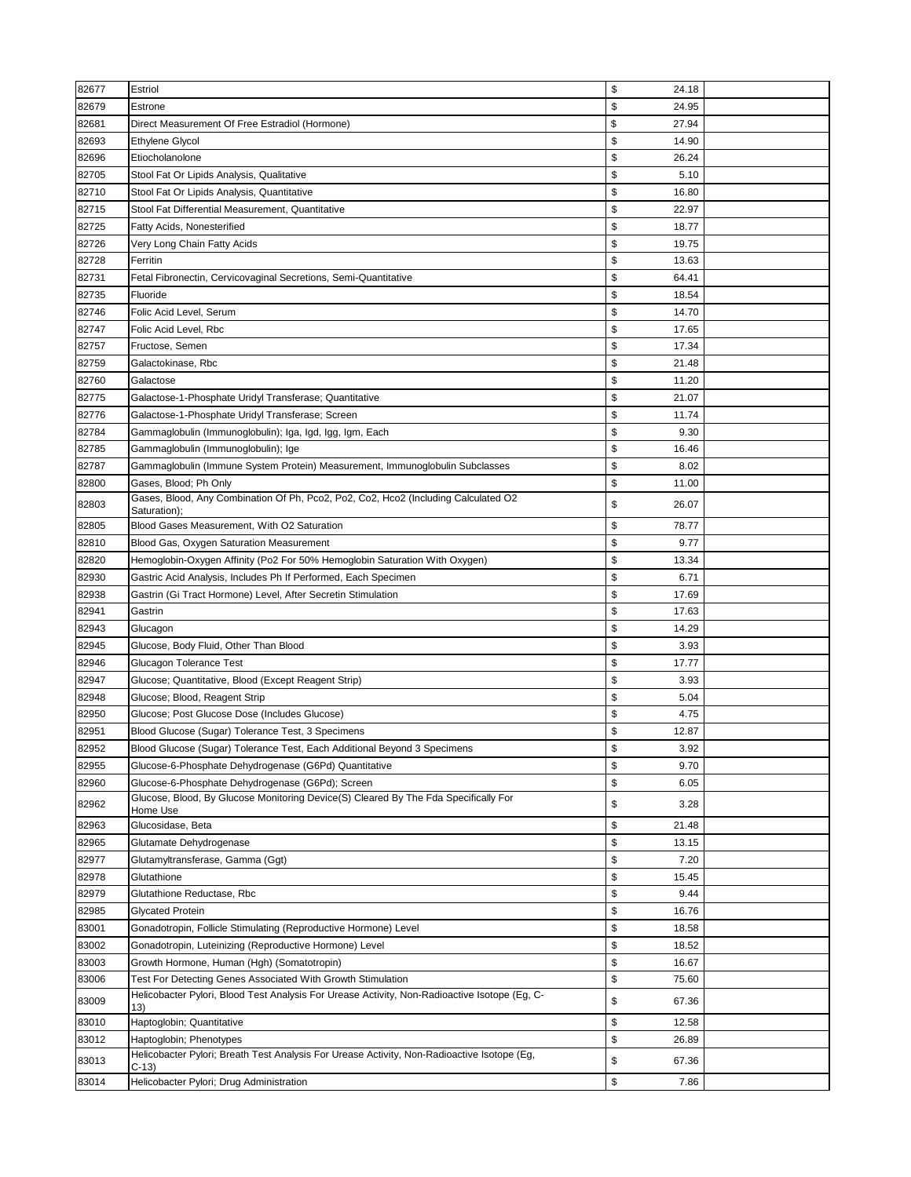| 82677 | Estriol                                                                                                                                 | \$<br>24.18 |  |
|-------|-----------------------------------------------------------------------------------------------------------------------------------------|-------------|--|
| 82679 | Estrone                                                                                                                                 | \$<br>24.95 |  |
| 82681 | Direct Measurement Of Free Estradiol (Hormone)                                                                                          | \$<br>27.94 |  |
| 82693 | Ethylene Glycol                                                                                                                         | \$<br>14.90 |  |
| 82696 | Etiocholanolone                                                                                                                         | \$<br>26.24 |  |
| 82705 | Stool Fat Or Lipids Analysis, Qualitative                                                                                               | \$<br>5.10  |  |
| 82710 | Stool Fat Or Lipids Analysis, Quantitative                                                                                              | \$<br>16.80 |  |
| 82715 | Stool Fat Differential Measurement, Quantitative                                                                                        | \$<br>22.97 |  |
| 82725 | Fatty Acids, Nonesterified                                                                                                              | \$<br>18.77 |  |
| 82726 | Very Long Chain Fatty Acids                                                                                                             | \$<br>19.75 |  |
| 82728 | Ferritin                                                                                                                                | \$<br>13.63 |  |
| 82731 | Fetal Fibronectin, Cervicovaginal Secretions, Semi-Quantitative                                                                         | \$<br>64.41 |  |
| 82735 | Fluoride                                                                                                                                | \$<br>18.54 |  |
| 82746 | Folic Acid Level, Serum                                                                                                                 | \$<br>14.70 |  |
| 82747 | Folic Acid Level, Rbc                                                                                                                   | \$<br>17.65 |  |
| 82757 | Fructose, Semen                                                                                                                         | \$<br>17.34 |  |
| 82759 | Galactokinase, Rbc                                                                                                                      | \$<br>21.48 |  |
| 82760 | Galactose                                                                                                                               | \$<br>11.20 |  |
| 82775 | Galactose-1-Phosphate Uridyl Transferase; Quantitative                                                                                  | \$<br>21.07 |  |
| 82776 | Galactose-1-Phosphate Uridyl Transferase; Screen                                                                                        | \$<br>11.74 |  |
| 82784 | Gammaglobulin (Immunoglobulin); Iga, Igd, Igg, Igm, Each                                                                                | \$<br>9.30  |  |
| 82785 | Gammaglobulin (Immunoglobulin); Ige                                                                                                     | \$<br>16.46 |  |
| 82787 | Gammaglobulin (Immune System Protein) Measurement, Immunoglobulin Subclasses                                                            | \$<br>8.02  |  |
| 82800 | Gases, Blood: Ph Only                                                                                                                   | \$<br>11.00 |  |
|       | Gases, Blood, Any Combination Of Ph, Pco2, Po2, Co2, Hco2 (Including Calculated O2                                                      |             |  |
| 82803 | Saturation);                                                                                                                            | \$<br>26.07 |  |
| 82805 | Blood Gases Measurement, With O2 Saturation                                                                                             | \$<br>78.77 |  |
| 82810 | Blood Gas, Oxygen Saturation Measurement                                                                                                | \$<br>9.77  |  |
| 82820 | Hemoglobin-Oxygen Affinity (Po2 For 50% Hemoglobin Saturation With Oxygen)                                                              | \$<br>13.34 |  |
| 82930 | Gastric Acid Analysis, Includes Ph If Performed, Each Specimen                                                                          | \$<br>6.71  |  |
| 82938 | Gastrin (Gi Tract Hormone) Level, After Secretin Stimulation                                                                            | \$<br>17.69 |  |
| 82941 | Gastrin                                                                                                                                 | \$<br>17.63 |  |
| 82943 | Glucagon                                                                                                                                | \$<br>14.29 |  |
| 82945 | Glucose, Body Fluid, Other Than Blood                                                                                                   | \$<br>3.93  |  |
| 82946 | Glucagon Tolerance Test                                                                                                                 | \$<br>17.77 |  |
| 82947 | Glucose; Quantitative, Blood (Except Reagent Strip)                                                                                     | \$<br>3.93  |  |
| 82948 | Glucose; Blood, Reagent Strip                                                                                                           | \$<br>5.04  |  |
| 82950 | Glucose; Post Glucose Dose (Includes Glucose)                                                                                           | \$<br>4.75  |  |
| 82951 | Blood Glucose (Sugar) Tolerance Test, 3 Specimens                                                                                       | \$<br>12.87 |  |
| 82952 | Blood Glucose (Sugar) Tolerance Test, Each Additional Beyond 3 Specimens                                                                | 3.92<br>P.  |  |
| 82955 | Glucose-6-Phosphate Dehydrogenase (G6Pd) Quantitative                                                                                   | \$<br>9.70  |  |
| 82960 | Glucose-6-Phosphate Dehydrogenase (G6Pd); Screen<br>Glucose, Blood, By Glucose Monitoring Device(S) Cleared By The Fda Specifically For | \$<br>6.05  |  |
| 82962 | Home Use                                                                                                                                | \$<br>3.28  |  |
| 82963 | Glucosidase, Beta                                                                                                                       | \$<br>21.48 |  |
| 82965 | Glutamate Dehydrogenase                                                                                                                 | \$<br>13.15 |  |
| 82977 | Glutamyltransferase, Gamma (Ggt)                                                                                                        | \$<br>7.20  |  |
| 82978 | Glutathione                                                                                                                             | \$<br>15.45 |  |
| 82979 | Glutathione Reductase, Rbc                                                                                                              | \$<br>9.44  |  |
| 82985 | Glycated Protein                                                                                                                        | \$<br>16.76 |  |
| 83001 | Gonadotropin, Follicle Stimulating (Reproductive Hormone) Level                                                                         | \$<br>18.58 |  |
| 83002 | Gonadotropin, Luteinizing (Reproductive Hormone) Level                                                                                  | \$<br>18.52 |  |
| 83003 | Growth Hormone, Human (Hgh) (Somatotropin)                                                                                              | \$<br>16.67 |  |
| 83006 | Test For Detecting Genes Associated With Growth Stimulation                                                                             | \$<br>75.60 |  |
| 83009 | Helicobacter Pylori, Blood Test Analysis For Urease Activity, Non-Radioactive Isotope (Eg, C-<br>13)                                    | \$<br>67.36 |  |
| 83010 | Haptoglobin; Quantitative                                                                                                               | \$<br>12.58 |  |
| 83012 | Haptoglobin; Phenotypes                                                                                                                 | \$<br>26.89 |  |
| 83013 | Helicobacter Pylori; Breath Test Analysis For Urease Activity, Non-Radioactive Isotope (Eg,<br>$C-13$                                   | \$<br>67.36 |  |
| 83014 | Helicobacter Pylori; Drug Administration                                                                                                | \$<br>7.86  |  |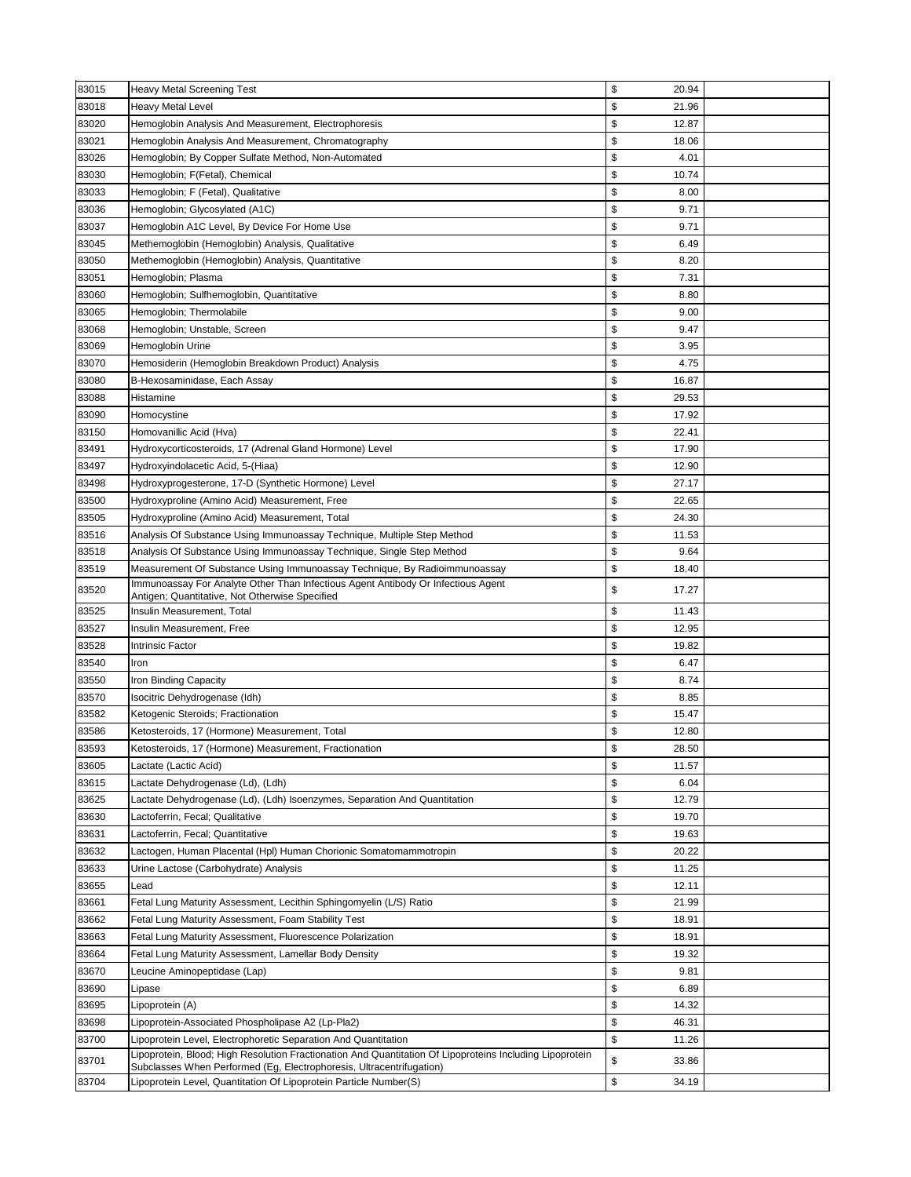| \$<br>83018<br>Heavy Metal Level<br>21.96<br>\$<br>83020<br>12.87<br>Hemoglobin Analysis And Measurement, Electrophoresis<br>\$<br>83021<br>Hemoglobin Analysis And Measurement, Chromatography<br>18.06<br>\$<br>83026<br>Hemoglobin; By Copper Sulfate Method, Non-Automated<br>4.01<br>\$<br>83030<br>Hemoglobin; F(Fetal), Chemical<br>10.74<br>\$<br>83033<br>Hemoglobin; F (Fetal), Qualitative<br>8.00<br>\$<br>83036<br>Hemoglobin; Glycosylated (A1C)<br>9.71<br>\$<br>83037<br>Hemoglobin A1C Level, By Device For Home Use<br>9.71<br>\$<br>83045<br>Methemoglobin (Hemoglobin) Analysis, Qualitative<br>6.49<br>\$<br>83050<br>Methemoglobin (Hemoglobin) Analysis, Quantitative<br>8.20<br>\$<br>83051<br>7.31<br>Hemoglobin; Plasma<br>\$<br>83060<br>Hemoglobin; Sulfhemoglobin, Quantitative<br>8.80<br>\$<br>83065<br>Hemoglobin; Thermolabile<br>9.00<br>\$<br>83068<br>Hemoglobin; Unstable, Screen<br>9.47<br>\$<br>83069<br>Hemoglobin Urine<br>3.95<br>\$<br>83070<br>4.75<br>Hemosiderin (Hemoglobin Breakdown Product) Analysis<br>\$<br>83080<br>B-Hexosaminidase, Each Assay<br>16.87<br>\$<br>83088<br>29.53<br>Histamine<br>\$<br>83090<br>17.92<br>Homocystine<br>\$<br>83150<br>22.41<br>Homovanillic Acid (Hva)<br>83491<br>\$<br>Hydroxycorticosteroids, 17 (Adrenal Gland Hormone) Level<br>17.90<br>\$<br>83497<br>Hydroxyindolacetic Acid, 5-(Hiaa)<br>12.90<br>\$<br>83498<br>Hydroxyprogesterone, 17-D (Synthetic Hormone) Level<br>27.17<br>\$<br>83500<br>Hydroxyproline (Amino Acid) Measurement, Free<br>22.65<br>\$<br>24.30<br>83505<br>Hydroxyproline (Amino Acid) Measurement, Total<br>\$<br>83516<br>11.53<br>Analysis Of Substance Using Immunoassay Technique, Multiple Step Method<br>\$<br>83518<br>Analysis Of Substance Using Immunoassay Technique, Single Step Method<br>9.64<br>\$<br>83519<br>Measurement Of Substance Using Immunoassay Technique, By Radioimmunoassay<br>18.40<br>Immunoassay For Analyte Other Than Infectious Agent Antibody Or Infectious Agent<br>\$<br>83520<br>17.27<br>Antigen; Quantitative, Not Otherwise Specified<br>\$<br>83525<br>Insulin Measurement, Total<br>11.43<br>83527<br>Insulin Measurement, Free<br>\$<br>12.95<br>\$<br>83528<br><b>Intrinsic Factor</b><br>19.82<br>\$<br>83540<br>Iron<br>6.47<br>\$<br>83550<br>Iron Binding Capacity<br>8.74<br>\$<br>83570<br>Isocitric Dehydrogenase (Idh)<br>8.85<br>\$<br>83582<br>Ketogenic Steroids; Fractionation<br>15.47<br>\$<br>83586<br>12.80<br>Ketosteroids, 17 (Hormone) Measurement, Total<br>\$<br>83593<br>Ketosteroids, 17 (Hormone) Measurement, Fractionation<br>28.50<br>\$<br>83605<br>11.57<br>Lactate (Lactic Acid)<br>\$<br>83615<br>Lactate Dehydrogenase (Ld), (Ldh)<br>6.04<br>\$<br>83625<br>Lactate Dehydrogenase (Ld), (Ldh) Isoenzymes, Separation And Quantitation<br>12.79<br>\$<br>83630<br>19.70<br>Lactoferrin, Fecal; Qualitative<br>\$<br>83631<br>Lactoferrin, Fecal; Quantitative<br>19.63<br>\$<br>83632<br>Lactogen, Human Placental (Hpl) Human Chorionic Somatomammotropin<br>20.22<br>\$<br>83633<br>11.25<br>Urine Lactose (Carbohydrate) Analysis<br>\$<br>83655<br>12.11<br>Lead<br>\$<br>83661<br>Fetal Lung Maturity Assessment, Lecithin Sphingomyelin (L/S) Ratio<br>21.99<br>\$<br>83662<br>Fetal Lung Maturity Assessment, Foam Stability Test<br>18.91<br>\$<br>83663<br>Fetal Lung Maturity Assessment, Fluorescence Polarization<br>18.91<br>\$<br>83664<br>Fetal Lung Maturity Assessment, Lamellar Body Density<br>19.32<br>\$<br>83670<br>Leucine Aminopeptidase (Lap)<br>9.81<br>\$<br>83690<br>Lipase<br>6.89<br>\$<br>83695<br>Lipoprotein (A)<br>14.32<br>\$<br>83698<br>Lipoprotein-Associated Phospholipase A2 (Lp-Pla2)<br>46.31<br>\$<br>83700<br>Lipoprotein Level, Electrophoretic Separation And Quantitation<br>11.26<br>Lipoprotein, Blood; High Resolution Fractionation And Quantitation Of Lipoproteins Including Lipoprotein<br>\$<br>83701<br>33.86<br>Subclasses When Performed (Eg, Electrophoresis, Ultracentrifugation)<br>\$<br>83704<br>Lipoprotein Level, Quantitation Of Lipoprotein Particle Number(S)<br>34.19 | 83015 | Heavy Metal Screening Test | \$<br>20.94 |  |
|--------------------------------------------------------------------------------------------------------------------------------------------------------------------------------------------------------------------------------------------------------------------------------------------------------------------------------------------------------------------------------------------------------------------------------------------------------------------------------------------------------------------------------------------------------------------------------------------------------------------------------------------------------------------------------------------------------------------------------------------------------------------------------------------------------------------------------------------------------------------------------------------------------------------------------------------------------------------------------------------------------------------------------------------------------------------------------------------------------------------------------------------------------------------------------------------------------------------------------------------------------------------------------------------------------------------------------------------------------------------------------------------------------------------------------------------------------------------------------------------------------------------------------------------------------------------------------------------------------------------------------------------------------------------------------------------------------------------------------------------------------------------------------------------------------------------------------------------------------------------------------------------------------------------------------------------------------------------------------------------------------------------------------------------------------------------------------------------------------------------------------------------------------------------------------------------------------------------------------------------------------------------------------------------------------------------------------------------------------------------------------------------------------------------------------------------------------------------------------------------------------------------------------------------------------------------------------------------------------------------------------------------------------------------------------------------------------------------------------------------------------------------------------------------------------------------------------------------------------------------------------------------------------------------------------------------------------------------------------------------------------------------------------------------------------------------------------------------------------------------------------------------------------------------------------------------------------------------------------------------------------------------------------------------------------------------------------------------------------------------------------------------------------------------------------------------------------------------------------------------------------------------------------------------------------------------------------------------------------------------------------------------------------------------------------------------------------------------------------------------------------------------------------------------------------------------------------------------------------------------------------------------------------------------------------------------------------------------------------------------------------------------------------------------------------------------------------------------------------------------------------------------------|-------|----------------------------|-------------|--|
|                                                                                                                                                                                                                                                                                                                                                                                                                                                                                                                                                                                                                                                                                                                                                                                                                                                                                                                                                                                                                                                                                                                                                                                                                                                                                                                                                                                                                                                                                                                                                                                                                                                                                                                                                                                                                                                                                                                                                                                                                                                                                                                                                                                                                                                                                                                                                                                                                                                                                                                                                                                                                                                                                                                                                                                                                                                                                                                                                                                                                                                                                                                                                                                                                                                                                                                                                                                                                                                                                                                                                                                                                                                                                                                                                                                                                                                                                                                                                                                                                                                                                                                                                  |       |                            |             |  |
|                                                                                                                                                                                                                                                                                                                                                                                                                                                                                                                                                                                                                                                                                                                                                                                                                                                                                                                                                                                                                                                                                                                                                                                                                                                                                                                                                                                                                                                                                                                                                                                                                                                                                                                                                                                                                                                                                                                                                                                                                                                                                                                                                                                                                                                                                                                                                                                                                                                                                                                                                                                                                                                                                                                                                                                                                                                                                                                                                                                                                                                                                                                                                                                                                                                                                                                                                                                                                                                                                                                                                                                                                                                                                                                                                                                                                                                                                                                                                                                                                                                                                                                                                  |       |                            |             |  |
|                                                                                                                                                                                                                                                                                                                                                                                                                                                                                                                                                                                                                                                                                                                                                                                                                                                                                                                                                                                                                                                                                                                                                                                                                                                                                                                                                                                                                                                                                                                                                                                                                                                                                                                                                                                                                                                                                                                                                                                                                                                                                                                                                                                                                                                                                                                                                                                                                                                                                                                                                                                                                                                                                                                                                                                                                                                                                                                                                                                                                                                                                                                                                                                                                                                                                                                                                                                                                                                                                                                                                                                                                                                                                                                                                                                                                                                                                                                                                                                                                                                                                                                                                  |       |                            |             |  |
|                                                                                                                                                                                                                                                                                                                                                                                                                                                                                                                                                                                                                                                                                                                                                                                                                                                                                                                                                                                                                                                                                                                                                                                                                                                                                                                                                                                                                                                                                                                                                                                                                                                                                                                                                                                                                                                                                                                                                                                                                                                                                                                                                                                                                                                                                                                                                                                                                                                                                                                                                                                                                                                                                                                                                                                                                                                                                                                                                                                                                                                                                                                                                                                                                                                                                                                                                                                                                                                                                                                                                                                                                                                                                                                                                                                                                                                                                                                                                                                                                                                                                                                                                  |       |                            |             |  |
|                                                                                                                                                                                                                                                                                                                                                                                                                                                                                                                                                                                                                                                                                                                                                                                                                                                                                                                                                                                                                                                                                                                                                                                                                                                                                                                                                                                                                                                                                                                                                                                                                                                                                                                                                                                                                                                                                                                                                                                                                                                                                                                                                                                                                                                                                                                                                                                                                                                                                                                                                                                                                                                                                                                                                                                                                                                                                                                                                                                                                                                                                                                                                                                                                                                                                                                                                                                                                                                                                                                                                                                                                                                                                                                                                                                                                                                                                                                                                                                                                                                                                                                                                  |       |                            |             |  |
|                                                                                                                                                                                                                                                                                                                                                                                                                                                                                                                                                                                                                                                                                                                                                                                                                                                                                                                                                                                                                                                                                                                                                                                                                                                                                                                                                                                                                                                                                                                                                                                                                                                                                                                                                                                                                                                                                                                                                                                                                                                                                                                                                                                                                                                                                                                                                                                                                                                                                                                                                                                                                                                                                                                                                                                                                                                                                                                                                                                                                                                                                                                                                                                                                                                                                                                                                                                                                                                                                                                                                                                                                                                                                                                                                                                                                                                                                                                                                                                                                                                                                                                                                  |       |                            |             |  |
|                                                                                                                                                                                                                                                                                                                                                                                                                                                                                                                                                                                                                                                                                                                                                                                                                                                                                                                                                                                                                                                                                                                                                                                                                                                                                                                                                                                                                                                                                                                                                                                                                                                                                                                                                                                                                                                                                                                                                                                                                                                                                                                                                                                                                                                                                                                                                                                                                                                                                                                                                                                                                                                                                                                                                                                                                                                                                                                                                                                                                                                                                                                                                                                                                                                                                                                                                                                                                                                                                                                                                                                                                                                                                                                                                                                                                                                                                                                                                                                                                                                                                                                                                  |       |                            |             |  |
|                                                                                                                                                                                                                                                                                                                                                                                                                                                                                                                                                                                                                                                                                                                                                                                                                                                                                                                                                                                                                                                                                                                                                                                                                                                                                                                                                                                                                                                                                                                                                                                                                                                                                                                                                                                                                                                                                                                                                                                                                                                                                                                                                                                                                                                                                                                                                                                                                                                                                                                                                                                                                                                                                                                                                                                                                                                                                                                                                                                                                                                                                                                                                                                                                                                                                                                                                                                                                                                                                                                                                                                                                                                                                                                                                                                                                                                                                                                                                                                                                                                                                                                                                  |       |                            |             |  |
|                                                                                                                                                                                                                                                                                                                                                                                                                                                                                                                                                                                                                                                                                                                                                                                                                                                                                                                                                                                                                                                                                                                                                                                                                                                                                                                                                                                                                                                                                                                                                                                                                                                                                                                                                                                                                                                                                                                                                                                                                                                                                                                                                                                                                                                                                                                                                                                                                                                                                                                                                                                                                                                                                                                                                                                                                                                                                                                                                                                                                                                                                                                                                                                                                                                                                                                                                                                                                                                                                                                                                                                                                                                                                                                                                                                                                                                                                                                                                                                                                                                                                                                                                  |       |                            |             |  |
|                                                                                                                                                                                                                                                                                                                                                                                                                                                                                                                                                                                                                                                                                                                                                                                                                                                                                                                                                                                                                                                                                                                                                                                                                                                                                                                                                                                                                                                                                                                                                                                                                                                                                                                                                                                                                                                                                                                                                                                                                                                                                                                                                                                                                                                                                                                                                                                                                                                                                                                                                                                                                                                                                                                                                                                                                                                                                                                                                                                                                                                                                                                                                                                                                                                                                                                                                                                                                                                                                                                                                                                                                                                                                                                                                                                                                                                                                                                                                                                                                                                                                                                                                  |       |                            |             |  |
|                                                                                                                                                                                                                                                                                                                                                                                                                                                                                                                                                                                                                                                                                                                                                                                                                                                                                                                                                                                                                                                                                                                                                                                                                                                                                                                                                                                                                                                                                                                                                                                                                                                                                                                                                                                                                                                                                                                                                                                                                                                                                                                                                                                                                                                                                                                                                                                                                                                                                                                                                                                                                                                                                                                                                                                                                                                                                                                                                                                                                                                                                                                                                                                                                                                                                                                                                                                                                                                                                                                                                                                                                                                                                                                                                                                                                                                                                                                                                                                                                                                                                                                                                  |       |                            |             |  |
|                                                                                                                                                                                                                                                                                                                                                                                                                                                                                                                                                                                                                                                                                                                                                                                                                                                                                                                                                                                                                                                                                                                                                                                                                                                                                                                                                                                                                                                                                                                                                                                                                                                                                                                                                                                                                                                                                                                                                                                                                                                                                                                                                                                                                                                                                                                                                                                                                                                                                                                                                                                                                                                                                                                                                                                                                                                                                                                                                                                                                                                                                                                                                                                                                                                                                                                                                                                                                                                                                                                                                                                                                                                                                                                                                                                                                                                                                                                                                                                                                                                                                                                                                  |       |                            |             |  |
|                                                                                                                                                                                                                                                                                                                                                                                                                                                                                                                                                                                                                                                                                                                                                                                                                                                                                                                                                                                                                                                                                                                                                                                                                                                                                                                                                                                                                                                                                                                                                                                                                                                                                                                                                                                                                                                                                                                                                                                                                                                                                                                                                                                                                                                                                                                                                                                                                                                                                                                                                                                                                                                                                                                                                                                                                                                                                                                                                                                                                                                                                                                                                                                                                                                                                                                                                                                                                                                                                                                                                                                                                                                                                                                                                                                                                                                                                                                                                                                                                                                                                                                                                  |       |                            |             |  |
|                                                                                                                                                                                                                                                                                                                                                                                                                                                                                                                                                                                                                                                                                                                                                                                                                                                                                                                                                                                                                                                                                                                                                                                                                                                                                                                                                                                                                                                                                                                                                                                                                                                                                                                                                                                                                                                                                                                                                                                                                                                                                                                                                                                                                                                                                                                                                                                                                                                                                                                                                                                                                                                                                                                                                                                                                                                                                                                                                                                                                                                                                                                                                                                                                                                                                                                                                                                                                                                                                                                                                                                                                                                                                                                                                                                                                                                                                                                                                                                                                                                                                                                                                  |       |                            |             |  |
|                                                                                                                                                                                                                                                                                                                                                                                                                                                                                                                                                                                                                                                                                                                                                                                                                                                                                                                                                                                                                                                                                                                                                                                                                                                                                                                                                                                                                                                                                                                                                                                                                                                                                                                                                                                                                                                                                                                                                                                                                                                                                                                                                                                                                                                                                                                                                                                                                                                                                                                                                                                                                                                                                                                                                                                                                                                                                                                                                                                                                                                                                                                                                                                                                                                                                                                                                                                                                                                                                                                                                                                                                                                                                                                                                                                                                                                                                                                                                                                                                                                                                                                                                  |       |                            |             |  |
|                                                                                                                                                                                                                                                                                                                                                                                                                                                                                                                                                                                                                                                                                                                                                                                                                                                                                                                                                                                                                                                                                                                                                                                                                                                                                                                                                                                                                                                                                                                                                                                                                                                                                                                                                                                                                                                                                                                                                                                                                                                                                                                                                                                                                                                                                                                                                                                                                                                                                                                                                                                                                                                                                                                                                                                                                                                                                                                                                                                                                                                                                                                                                                                                                                                                                                                                                                                                                                                                                                                                                                                                                                                                                                                                                                                                                                                                                                                                                                                                                                                                                                                                                  |       |                            |             |  |
|                                                                                                                                                                                                                                                                                                                                                                                                                                                                                                                                                                                                                                                                                                                                                                                                                                                                                                                                                                                                                                                                                                                                                                                                                                                                                                                                                                                                                                                                                                                                                                                                                                                                                                                                                                                                                                                                                                                                                                                                                                                                                                                                                                                                                                                                                                                                                                                                                                                                                                                                                                                                                                                                                                                                                                                                                                                                                                                                                                                                                                                                                                                                                                                                                                                                                                                                                                                                                                                                                                                                                                                                                                                                                                                                                                                                                                                                                                                                                                                                                                                                                                                                                  |       |                            |             |  |
|                                                                                                                                                                                                                                                                                                                                                                                                                                                                                                                                                                                                                                                                                                                                                                                                                                                                                                                                                                                                                                                                                                                                                                                                                                                                                                                                                                                                                                                                                                                                                                                                                                                                                                                                                                                                                                                                                                                                                                                                                                                                                                                                                                                                                                                                                                                                                                                                                                                                                                                                                                                                                                                                                                                                                                                                                                                                                                                                                                                                                                                                                                                                                                                                                                                                                                                                                                                                                                                                                                                                                                                                                                                                                                                                                                                                                                                                                                                                                                                                                                                                                                                                                  |       |                            |             |  |
|                                                                                                                                                                                                                                                                                                                                                                                                                                                                                                                                                                                                                                                                                                                                                                                                                                                                                                                                                                                                                                                                                                                                                                                                                                                                                                                                                                                                                                                                                                                                                                                                                                                                                                                                                                                                                                                                                                                                                                                                                                                                                                                                                                                                                                                                                                                                                                                                                                                                                                                                                                                                                                                                                                                                                                                                                                                                                                                                                                                                                                                                                                                                                                                                                                                                                                                                                                                                                                                                                                                                                                                                                                                                                                                                                                                                                                                                                                                                                                                                                                                                                                                                                  |       |                            |             |  |
|                                                                                                                                                                                                                                                                                                                                                                                                                                                                                                                                                                                                                                                                                                                                                                                                                                                                                                                                                                                                                                                                                                                                                                                                                                                                                                                                                                                                                                                                                                                                                                                                                                                                                                                                                                                                                                                                                                                                                                                                                                                                                                                                                                                                                                                                                                                                                                                                                                                                                                                                                                                                                                                                                                                                                                                                                                                                                                                                                                                                                                                                                                                                                                                                                                                                                                                                                                                                                                                                                                                                                                                                                                                                                                                                                                                                                                                                                                                                                                                                                                                                                                                                                  |       |                            |             |  |
|                                                                                                                                                                                                                                                                                                                                                                                                                                                                                                                                                                                                                                                                                                                                                                                                                                                                                                                                                                                                                                                                                                                                                                                                                                                                                                                                                                                                                                                                                                                                                                                                                                                                                                                                                                                                                                                                                                                                                                                                                                                                                                                                                                                                                                                                                                                                                                                                                                                                                                                                                                                                                                                                                                                                                                                                                                                                                                                                                                                                                                                                                                                                                                                                                                                                                                                                                                                                                                                                                                                                                                                                                                                                                                                                                                                                                                                                                                                                                                                                                                                                                                                                                  |       |                            |             |  |
|                                                                                                                                                                                                                                                                                                                                                                                                                                                                                                                                                                                                                                                                                                                                                                                                                                                                                                                                                                                                                                                                                                                                                                                                                                                                                                                                                                                                                                                                                                                                                                                                                                                                                                                                                                                                                                                                                                                                                                                                                                                                                                                                                                                                                                                                                                                                                                                                                                                                                                                                                                                                                                                                                                                                                                                                                                                                                                                                                                                                                                                                                                                                                                                                                                                                                                                                                                                                                                                                                                                                                                                                                                                                                                                                                                                                                                                                                                                                                                                                                                                                                                                                                  |       |                            |             |  |
|                                                                                                                                                                                                                                                                                                                                                                                                                                                                                                                                                                                                                                                                                                                                                                                                                                                                                                                                                                                                                                                                                                                                                                                                                                                                                                                                                                                                                                                                                                                                                                                                                                                                                                                                                                                                                                                                                                                                                                                                                                                                                                                                                                                                                                                                                                                                                                                                                                                                                                                                                                                                                                                                                                                                                                                                                                                                                                                                                                                                                                                                                                                                                                                                                                                                                                                                                                                                                                                                                                                                                                                                                                                                                                                                                                                                                                                                                                                                                                                                                                                                                                                                                  |       |                            |             |  |
|                                                                                                                                                                                                                                                                                                                                                                                                                                                                                                                                                                                                                                                                                                                                                                                                                                                                                                                                                                                                                                                                                                                                                                                                                                                                                                                                                                                                                                                                                                                                                                                                                                                                                                                                                                                                                                                                                                                                                                                                                                                                                                                                                                                                                                                                                                                                                                                                                                                                                                                                                                                                                                                                                                                                                                                                                                                                                                                                                                                                                                                                                                                                                                                                                                                                                                                                                                                                                                                                                                                                                                                                                                                                                                                                                                                                                                                                                                                                                                                                                                                                                                                                                  |       |                            |             |  |
|                                                                                                                                                                                                                                                                                                                                                                                                                                                                                                                                                                                                                                                                                                                                                                                                                                                                                                                                                                                                                                                                                                                                                                                                                                                                                                                                                                                                                                                                                                                                                                                                                                                                                                                                                                                                                                                                                                                                                                                                                                                                                                                                                                                                                                                                                                                                                                                                                                                                                                                                                                                                                                                                                                                                                                                                                                                                                                                                                                                                                                                                                                                                                                                                                                                                                                                                                                                                                                                                                                                                                                                                                                                                                                                                                                                                                                                                                                                                                                                                                                                                                                                                                  |       |                            |             |  |
|                                                                                                                                                                                                                                                                                                                                                                                                                                                                                                                                                                                                                                                                                                                                                                                                                                                                                                                                                                                                                                                                                                                                                                                                                                                                                                                                                                                                                                                                                                                                                                                                                                                                                                                                                                                                                                                                                                                                                                                                                                                                                                                                                                                                                                                                                                                                                                                                                                                                                                                                                                                                                                                                                                                                                                                                                                                                                                                                                                                                                                                                                                                                                                                                                                                                                                                                                                                                                                                                                                                                                                                                                                                                                                                                                                                                                                                                                                                                                                                                                                                                                                                                                  |       |                            |             |  |
|                                                                                                                                                                                                                                                                                                                                                                                                                                                                                                                                                                                                                                                                                                                                                                                                                                                                                                                                                                                                                                                                                                                                                                                                                                                                                                                                                                                                                                                                                                                                                                                                                                                                                                                                                                                                                                                                                                                                                                                                                                                                                                                                                                                                                                                                                                                                                                                                                                                                                                                                                                                                                                                                                                                                                                                                                                                                                                                                                                                                                                                                                                                                                                                                                                                                                                                                                                                                                                                                                                                                                                                                                                                                                                                                                                                                                                                                                                                                                                                                                                                                                                                                                  |       |                            |             |  |
|                                                                                                                                                                                                                                                                                                                                                                                                                                                                                                                                                                                                                                                                                                                                                                                                                                                                                                                                                                                                                                                                                                                                                                                                                                                                                                                                                                                                                                                                                                                                                                                                                                                                                                                                                                                                                                                                                                                                                                                                                                                                                                                                                                                                                                                                                                                                                                                                                                                                                                                                                                                                                                                                                                                                                                                                                                                                                                                                                                                                                                                                                                                                                                                                                                                                                                                                                                                                                                                                                                                                                                                                                                                                                                                                                                                                                                                                                                                                                                                                                                                                                                                                                  |       |                            |             |  |
|                                                                                                                                                                                                                                                                                                                                                                                                                                                                                                                                                                                                                                                                                                                                                                                                                                                                                                                                                                                                                                                                                                                                                                                                                                                                                                                                                                                                                                                                                                                                                                                                                                                                                                                                                                                                                                                                                                                                                                                                                                                                                                                                                                                                                                                                                                                                                                                                                                                                                                                                                                                                                                                                                                                                                                                                                                                                                                                                                                                                                                                                                                                                                                                                                                                                                                                                                                                                                                                                                                                                                                                                                                                                                                                                                                                                                                                                                                                                                                                                                                                                                                                                                  |       |                            |             |  |
|                                                                                                                                                                                                                                                                                                                                                                                                                                                                                                                                                                                                                                                                                                                                                                                                                                                                                                                                                                                                                                                                                                                                                                                                                                                                                                                                                                                                                                                                                                                                                                                                                                                                                                                                                                                                                                                                                                                                                                                                                                                                                                                                                                                                                                                                                                                                                                                                                                                                                                                                                                                                                                                                                                                                                                                                                                                                                                                                                                                                                                                                                                                                                                                                                                                                                                                                                                                                                                                                                                                                                                                                                                                                                                                                                                                                                                                                                                                                                                                                                                                                                                                                                  |       |                            |             |  |
|                                                                                                                                                                                                                                                                                                                                                                                                                                                                                                                                                                                                                                                                                                                                                                                                                                                                                                                                                                                                                                                                                                                                                                                                                                                                                                                                                                                                                                                                                                                                                                                                                                                                                                                                                                                                                                                                                                                                                                                                                                                                                                                                                                                                                                                                                                                                                                                                                                                                                                                                                                                                                                                                                                                                                                                                                                                                                                                                                                                                                                                                                                                                                                                                                                                                                                                                                                                                                                                                                                                                                                                                                                                                                                                                                                                                                                                                                                                                                                                                                                                                                                                                                  |       |                            |             |  |
|                                                                                                                                                                                                                                                                                                                                                                                                                                                                                                                                                                                                                                                                                                                                                                                                                                                                                                                                                                                                                                                                                                                                                                                                                                                                                                                                                                                                                                                                                                                                                                                                                                                                                                                                                                                                                                                                                                                                                                                                                                                                                                                                                                                                                                                                                                                                                                                                                                                                                                                                                                                                                                                                                                                                                                                                                                                                                                                                                                                                                                                                                                                                                                                                                                                                                                                                                                                                                                                                                                                                                                                                                                                                                                                                                                                                                                                                                                                                                                                                                                                                                                                                                  |       |                            |             |  |
|                                                                                                                                                                                                                                                                                                                                                                                                                                                                                                                                                                                                                                                                                                                                                                                                                                                                                                                                                                                                                                                                                                                                                                                                                                                                                                                                                                                                                                                                                                                                                                                                                                                                                                                                                                                                                                                                                                                                                                                                                                                                                                                                                                                                                                                                                                                                                                                                                                                                                                                                                                                                                                                                                                                                                                                                                                                                                                                                                                                                                                                                                                                                                                                                                                                                                                                                                                                                                                                                                                                                                                                                                                                                                                                                                                                                                                                                                                                                                                                                                                                                                                                                                  |       |                            |             |  |
|                                                                                                                                                                                                                                                                                                                                                                                                                                                                                                                                                                                                                                                                                                                                                                                                                                                                                                                                                                                                                                                                                                                                                                                                                                                                                                                                                                                                                                                                                                                                                                                                                                                                                                                                                                                                                                                                                                                                                                                                                                                                                                                                                                                                                                                                                                                                                                                                                                                                                                                                                                                                                                                                                                                                                                                                                                                                                                                                                                                                                                                                                                                                                                                                                                                                                                                                                                                                                                                                                                                                                                                                                                                                                                                                                                                                                                                                                                                                                                                                                                                                                                                                                  |       |                            |             |  |
|                                                                                                                                                                                                                                                                                                                                                                                                                                                                                                                                                                                                                                                                                                                                                                                                                                                                                                                                                                                                                                                                                                                                                                                                                                                                                                                                                                                                                                                                                                                                                                                                                                                                                                                                                                                                                                                                                                                                                                                                                                                                                                                                                                                                                                                                                                                                                                                                                                                                                                                                                                                                                                                                                                                                                                                                                                                                                                                                                                                                                                                                                                                                                                                                                                                                                                                                                                                                                                                                                                                                                                                                                                                                                                                                                                                                                                                                                                                                                                                                                                                                                                                                                  |       |                            |             |  |
|                                                                                                                                                                                                                                                                                                                                                                                                                                                                                                                                                                                                                                                                                                                                                                                                                                                                                                                                                                                                                                                                                                                                                                                                                                                                                                                                                                                                                                                                                                                                                                                                                                                                                                                                                                                                                                                                                                                                                                                                                                                                                                                                                                                                                                                                                                                                                                                                                                                                                                                                                                                                                                                                                                                                                                                                                                                                                                                                                                                                                                                                                                                                                                                                                                                                                                                                                                                                                                                                                                                                                                                                                                                                                                                                                                                                                                                                                                                                                                                                                                                                                                                                                  |       |                            |             |  |
|                                                                                                                                                                                                                                                                                                                                                                                                                                                                                                                                                                                                                                                                                                                                                                                                                                                                                                                                                                                                                                                                                                                                                                                                                                                                                                                                                                                                                                                                                                                                                                                                                                                                                                                                                                                                                                                                                                                                                                                                                                                                                                                                                                                                                                                                                                                                                                                                                                                                                                                                                                                                                                                                                                                                                                                                                                                                                                                                                                                                                                                                                                                                                                                                                                                                                                                                                                                                                                                                                                                                                                                                                                                                                                                                                                                                                                                                                                                                                                                                                                                                                                                                                  |       |                            |             |  |
|                                                                                                                                                                                                                                                                                                                                                                                                                                                                                                                                                                                                                                                                                                                                                                                                                                                                                                                                                                                                                                                                                                                                                                                                                                                                                                                                                                                                                                                                                                                                                                                                                                                                                                                                                                                                                                                                                                                                                                                                                                                                                                                                                                                                                                                                                                                                                                                                                                                                                                                                                                                                                                                                                                                                                                                                                                                                                                                                                                                                                                                                                                                                                                                                                                                                                                                                                                                                                                                                                                                                                                                                                                                                                                                                                                                                                                                                                                                                                                                                                                                                                                                                                  |       |                            |             |  |
|                                                                                                                                                                                                                                                                                                                                                                                                                                                                                                                                                                                                                                                                                                                                                                                                                                                                                                                                                                                                                                                                                                                                                                                                                                                                                                                                                                                                                                                                                                                                                                                                                                                                                                                                                                                                                                                                                                                                                                                                                                                                                                                                                                                                                                                                                                                                                                                                                                                                                                                                                                                                                                                                                                                                                                                                                                                                                                                                                                                                                                                                                                                                                                                                                                                                                                                                                                                                                                                                                                                                                                                                                                                                                                                                                                                                                                                                                                                                                                                                                                                                                                                                                  |       |                            |             |  |
|                                                                                                                                                                                                                                                                                                                                                                                                                                                                                                                                                                                                                                                                                                                                                                                                                                                                                                                                                                                                                                                                                                                                                                                                                                                                                                                                                                                                                                                                                                                                                                                                                                                                                                                                                                                                                                                                                                                                                                                                                                                                                                                                                                                                                                                                                                                                                                                                                                                                                                                                                                                                                                                                                                                                                                                                                                                                                                                                                                                                                                                                                                                                                                                                                                                                                                                                                                                                                                                                                                                                                                                                                                                                                                                                                                                                                                                                                                                                                                                                                                                                                                                                                  |       |                            |             |  |
|                                                                                                                                                                                                                                                                                                                                                                                                                                                                                                                                                                                                                                                                                                                                                                                                                                                                                                                                                                                                                                                                                                                                                                                                                                                                                                                                                                                                                                                                                                                                                                                                                                                                                                                                                                                                                                                                                                                                                                                                                                                                                                                                                                                                                                                                                                                                                                                                                                                                                                                                                                                                                                                                                                                                                                                                                                                                                                                                                                                                                                                                                                                                                                                                                                                                                                                                                                                                                                                                                                                                                                                                                                                                                                                                                                                                                                                                                                                                                                                                                                                                                                                                                  |       |                            |             |  |
|                                                                                                                                                                                                                                                                                                                                                                                                                                                                                                                                                                                                                                                                                                                                                                                                                                                                                                                                                                                                                                                                                                                                                                                                                                                                                                                                                                                                                                                                                                                                                                                                                                                                                                                                                                                                                                                                                                                                                                                                                                                                                                                                                                                                                                                                                                                                                                                                                                                                                                                                                                                                                                                                                                                                                                                                                                                                                                                                                                                                                                                                                                                                                                                                                                                                                                                                                                                                                                                                                                                                                                                                                                                                                                                                                                                                                                                                                                                                                                                                                                                                                                                                                  |       |                            |             |  |
|                                                                                                                                                                                                                                                                                                                                                                                                                                                                                                                                                                                                                                                                                                                                                                                                                                                                                                                                                                                                                                                                                                                                                                                                                                                                                                                                                                                                                                                                                                                                                                                                                                                                                                                                                                                                                                                                                                                                                                                                                                                                                                                                                                                                                                                                                                                                                                                                                                                                                                                                                                                                                                                                                                                                                                                                                                                                                                                                                                                                                                                                                                                                                                                                                                                                                                                                                                                                                                                                                                                                                                                                                                                                                                                                                                                                                                                                                                                                                                                                                                                                                                                                                  |       |                            |             |  |
|                                                                                                                                                                                                                                                                                                                                                                                                                                                                                                                                                                                                                                                                                                                                                                                                                                                                                                                                                                                                                                                                                                                                                                                                                                                                                                                                                                                                                                                                                                                                                                                                                                                                                                                                                                                                                                                                                                                                                                                                                                                                                                                                                                                                                                                                                                                                                                                                                                                                                                                                                                                                                                                                                                                                                                                                                                                                                                                                                                                                                                                                                                                                                                                                                                                                                                                                                                                                                                                                                                                                                                                                                                                                                                                                                                                                                                                                                                                                                                                                                                                                                                                                                  |       |                            |             |  |
|                                                                                                                                                                                                                                                                                                                                                                                                                                                                                                                                                                                                                                                                                                                                                                                                                                                                                                                                                                                                                                                                                                                                                                                                                                                                                                                                                                                                                                                                                                                                                                                                                                                                                                                                                                                                                                                                                                                                                                                                                                                                                                                                                                                                                                                                                                                                                                                                                                                                                                                                                                                                                                                                                                                                                                                                                                                                                                                                                                                                                                                                                                                                                                                                                                                                                                                                                                                                                                                                                                                                                                                                                                                                                                                                                                                                                                                                                                                                                                                                                                                                                                                                                  |       |                            |             |  |
|                                                                                                                                                                                                                                                                                                                                                                                                                                                                                                                                                                                                                                                                                                                                                                                                                                                                                                                                                                                                                                                                                                                                                                                                                                                                                                                                                                                                                                                                                                                                                                                                                                                                                                                                                                                                                                                                                                                                                                                                                                                                                                                                                                                                                                                                                                                                                                                                                                                                                                                                                                                                                                                                                                                                                                                                                                                                                                                                                                                                                                                                                                                                                                                                                                                                                                                                                                                                                                                                                                                                                                                                                                                                                                                                                                                                                                                                                                                                                                                                                                                                                                                                                  |       |                            |             |  |
|                                                                                                                                                                                                                                                                                                                                                                                                                                                                                                                                                                                                                                                                                                                                                                                                                                                                                                                                                                                                                                                                                                                                                                                                                                                                                                                                                                                                                                                                                                                                                                                                                                                                                                                                                                                                                                                                                                                                                                                                                                                                                                                                                                                                                                                                                                                                                                                                                                                                                                                                                                                                                                                                                                                                                                                                                                                                                                                                                                                                                                                                                                                                                                                                                                                                                                                                                                                                                                                                                                                                                                                                                                                                                                                                                                                                                                                                                                                                                                                                                                                                                                                                                  |       |                            |             |  |
|                                                                                                                                                                                                                                                                                                                                                                                                                                                                                                                                                                                                                                                                                                                                                                                                                                                                                                                                                                                                                                                                                                                                                                                                                                                                                                                                                                                                                                                                                                                                                                                                                                                                                                                                                                                                                                                                                                                                                                                                                                                                                                                                                                                                                                                                                                                                                                                                                                                                                                                                                                                                                                                                                                                                                                                                                                                                                                                                                                                                                                                                                                                                                                                                                                                                                                                                                                                                                                                                                                                                                                                                                                                                                                                                                                                                                                                                                                                                                                                                                                                                                                                                                  |       |                            |             |  |
|                                                                                                                                                                                                                                                                                                                                                                                                                                                                                                                                                                                                                                                                                                                                                                                                                                                                                                                                                                                                                                                                                                                                                                                                                                                                                                                                                                                                                                                                                                                                                                                                                                                                                                                                                                                                                                                                                                                                                                                                                                                                                                                                                                                                                                                                                                                                                                                                                                                                                                                                                                                                                                                                                                                                                                                                                                                                                                                                                                                                                                                                                                                                                                                                                                                                                                                                                                                                                                                                                                                                                                                                                                                                                                                                                                                                                                                                                                                                                                                                                                                                                                                                                  |       |                            |             |  |
|                                                                                                                                                                                                                                                                                                                                                                                                                                                                                                                                                                                                                                                                                                                                                                                                                                                                                                                                                                                                                                                                                                                                                                                                                                                                                                                                                                                                                                                                                                                                                                                                                                                                                                                                                                                                                                                                                                                                                                                                                                                                                                                                                                                                                                                                                                                                                                                                                                                                                                                                                                                                                                                                                                                                                                                                                                                                                                                                                                                                                                                                                                                                                                                                                                                                                                                                                                                                                                                                                                                                                                                                                                                                                                                                                                                                                                                                                                                                                                                                                                                                                                                                                  |       |                            |             |  |
|                                                                                                                                                                                                                                                                                                                                                                                                                                                                                                                                                                                                                                                                                                                                                                                                                                                                                                                                                                                                                                                                                                                                                                                                                                                                                                                                                                                                                                                                                                                                                                                                                                                                                                                                                                                                                                                                                                                                                                                                                                                                                                                                                                                                                                                                                                                                                                                                                                                                                                                                                                                                                                                                                                                                                                                                                                                                                                                                                                                                                                                                                                                                                                                                                                                                                                                                                                                                                                                                                                                                                                                                                                                                                                                                                                                                                                                                                                                                                                                                                                                                                                                                                  |       |                            |             |  |
|                                                                                                                                                                                                                                                                                                                                                                                                                                                                                                                                                                                                                                                                                                                                                                                                                                                                                                                                                                                                                                                                                                                                                                                                                                                                                                                                                                                                                                                                                                                                                                                                                                                                                                                                                                                                                                                                                                                                                                                                                                                                                                                                                                                                                                                                                                                                                                                                                                                                                                                                                                                                                                                                                                                                                                                                                                                                                                                                                                                                                                                                                                                                                                                                                                                                                                                                                                                                                                                                                                                                                                                                                                                                                                                                                                                                                                                                                                                                                                                                                                                                                                                                                  |       |                            |             |  |
|                                                                                                                                                                                                                                                                                                                                                                                                                                                                                                                                                                                                                                                                                                                                                                                                                                                                                                                                                                                                                                                                                                                                                                                                                                                                                                                                                                                                                                                                                                                                                                                                                                                                                                                                                                                                                                                                                                                                                                                                                                                                                                                                                                                                                                                                                                                                                                                                                                                                                                                                                                                                                                                                                                                                                                                                                                                                                                                                                                                                                                                                                                                                                                                                                                                                                                                                                                                                                                                                                                                                                                                                                                                                                                                                                                                                                                                                                                                                                                                                                                                                                                                                                  |       |                            |             |  |
|                                                                                                                                                                                                                                                                                                                                                                                                                                                                                                                                                                                                                                                                                                                                                                                                                                                                                                                                                                                                                                                                                                                                                                                                                                                                                                                                                                                                                                                                                                                                                                                                                                                                                                                                                                                                                                                                                                                                                                                                                                                                                                                                                                                                                                                                                                                                                                                                                                                                                                                                                                                                                                                                                                                                                                                                                                                                                                                                                                                                                                                                                                                                                                                                                                                                                                                                                                                                                                                                                                                                                                                                                                                                                                                                                                                                                                                                                                                                                                                                                                                                                                                                                  |       |                            |             |  |
|                                                                                                                                                                                                                                                                                                                                                                                                                                                                                                                                                                                                                                                                                                                                                                                                                                                                                                                                                                                                                                                                                                                                                                                                                                                                                                                                                                                                                                                                                                                                                                                                                                                                                                                                                                                                                                                                                                                                                                                                                                                                                                                                                                                                                                                                                                                                                                                                                                                                                                                                                                                                                                                                                                                                                                                                                                                                                                                                                                                                                                                                                                                                                                                                                                                                                                                                                                                                                                                                                                                                                                                                                                                                                                                                                                                                                                                                                                                                                                                                                                                                                                                                                  |       |                            |             |  |
|                                                                                                                                                                                                                                                                                                                                                                                                                                                                                                                                                                                                                                                                                                                                                                                                                                                                                                                                                                                                                                                                                                                                                                                                                                                                                                                                                                                                                                                                                                                                                                                                                                                                                                                                                                                                                                                                                                                                                                                                                                                                                                                                                                                                                                                                                                                                                                                                                                                                                                                                                                                                                                                                                                                                                                                                                                                                                                                                                                                                                                                                                                                                                                                                                                                                                                                                                                                                                                                                                                                                                                                                                                                                                                                                                                                                                                                                                                                                                                                                                                                                                                                                                  |       |                            |             |  |
|                                                                                                                                                                                                                                                                                                                                                                                                                                                                                                                                                                                                                                                                                                                                                                                                                                                                                                                                                                                                                                                                                                                                                                                                                                                                                                                                                                                                                                                                                                                                                                                                                                                                                                                                                                                                                                                                                                                                                                                                                                                                                                                                                                                                                                                                                                                                                                                                                                                                                                                                                                                                                                                                                                                                                                                                                                                                                                                                                                                                                                                                                                                                                                                                                                                                                                                                                                                                                                                                                                                                                                                                                                                                                                                                                                                                                                                                                                                                                                                                                                                                                                                                                  |       |                            |             |  |
|                                                                                                                                                                                                                                                                                                                                                                                                                                                                                                                                                                                                                                                                                                                                                                                                                                                                                                                                                                                                                                                                                                                                                                                                                                                                                                                                                                                                                                                                                                                                                                                                                                                                                                                                                                                                                                                                                                                                                                                                                                                                                                                                                                                                                                                                                                                                                                                                                                                                                                                                                                                                                                                                                                                                                                                                                                                                                                                                                                                                                                                                                                                                                                                                                                                                                                                                                                                                                                                                                                                                                                                                                                                                                                                                                                                                                                                                                                                                                                                                                                                                                                                                                  |       |                            |             |  |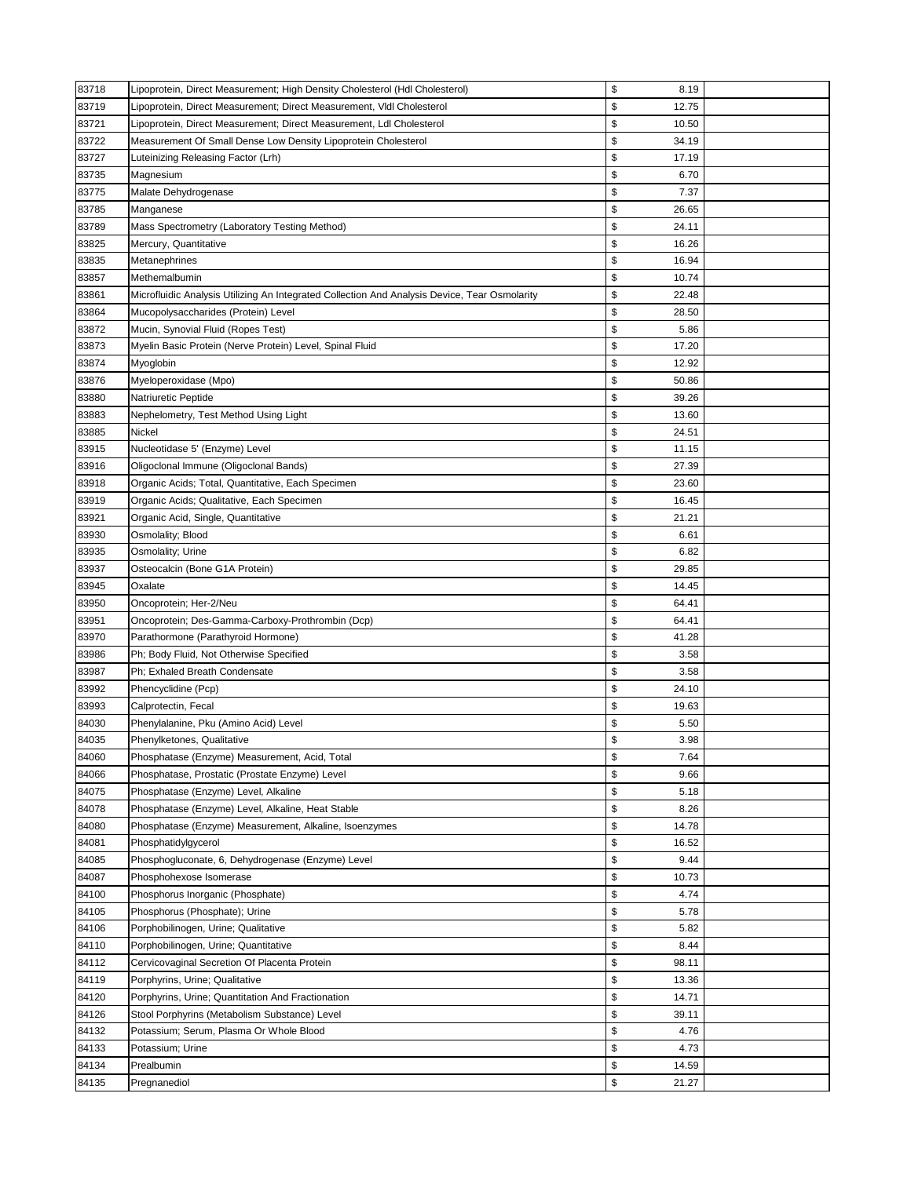| 83718 | Lipoprotein, Direct Measurement; High Density Cholesterol (Hdl Cholesterol)                   | \$<br>8.19  |  |
|-------|-----------------------------------------------------------------------------------------------|-------------|--|
| 83719 | Lipoprotein, Direct Measurement; Direct Measurement, VIdl Cholesterol                         | \$<br>12.75 |  |
| 83721 | Lipoprotein, Direct Measurement; Direct Measurement, Ldl Cholesterol                          | \$<br>10.50 |  |
| 83722 | Measurement Of Small Dense Low Density Lipoprotein Cholesterol                                | \$<br>34.19 |  |
| 83727 | Luteinizing Releasing Factor (Lrh)                                                            | \$<br>17.19 |  |
| 83735 | Magnesium                                                                                     | \$<br>6.70  |  |
| 83775 | Malate Dehydrogenase                                                                          | \$<br>7.37  |  |
| 83785 | Manganese                                                                                     | \$<br>26.65 |  |
| 83789 | Mass Spectrometry (Laboratory Testing Method)                                                 | \$<br>24.11 |  |
| 83825 | Mercury, Quantitative                                                                         | \$<br>16.26 |  |
| 83835 | Metanephrines                                                                                 | \$<br>16.94 |  |
| 83857 | Methemalbumin                                                                                 | \$<br>10.74 |  |
| 83861 | Microfluidic Analysis Utilizing An Integrated Collection And Analysis Device, Tear Osmolarity | \$<br>22.48 |  |
| 83864 | Mucopolysaccharides (Protein) Level                                                           | \$<br>28.50 |  |
| 83872 | Mucin, Synovial Fluid (Ropes Test)                                                            | \$<br>5.86  |  |
| 83873 | Myelin Basic Protein (Nerve Protein) Level, Spinal Fluid                                      | \$<br>17.20 |  |
| 83874 | Myoglobin                                                                                     | \$<br>12.92 |  |
| 83876 | Myeloperoxidase (Mpo)                                                                         | \$<br>50.86 |  |
| 83880 | Natriuretic Peptide                                                                           | \$<br>39.26 |  |
| 83883 | Nephelometry, Test Method Using Light                                                         | \$<br>13.60 |  |
| 83885 | Nickel                                                                                        | \$<br>24.51 |  |
| 83915 | Nucleotidase 5' (Enzyme) Level                                                                | \$<br>11.15 |  |
| 83916 | Oligoclonal Immune (Oligoclonal Bands)                                                        | \$<br>27.39 |  |
| 83918 | Organic Acids; Total, Quantitative, Each Specimen                                             | \$<br>23.60 |  |
| 83919 | Organic Acids; Qualitative, Each Specimen                                                     | \$<br>16.45 |  |
| 83921 | Organic Acid, Single, Quantitative                                                            | \$<br>21.21 |  |
| 83930 | Osmolality; Blood                                                                             | \$<br>6.61  |  |
| 83935 | Osmolality; Urine                                                                             | \$<br>6.82  |  |
| 83937 | Osteocalcin (Bone G1A Protein)                                                                | \$<br>29.85 |  |
| 83945 | Oxalate                                                                                       | \$<br>14.45 |  |
| 83950 | Oncoprotein; Her-2/Neu                                                                        | \$<br>64.41 |  |
| 83951 | Oncoprotein; Des-Gamma-Carboxy-Prothrombin (Dcp)                                              | \$<br>64.41 |  |
| 83970 | Parathormone (Parathyroid Hormone)                                                            | \$<br>41.28 |  |
| 83986 | Ph; Body Fluid, Not Otherwise Specified                                                       | \$<br>3.58  |  |
| 83987 | Ph; Exhaled Breath Condensate                                                                 | \$<br>3.58  |  |
| 83992 | Phencyclidine (Pcp)                                                                           | \$<br>24.10 |  |
| 83993 | Calprotectin, Fecal                                                                           | \$<br>19.63 |  |
| 84030 | Phenylalanine, Pku (Amino Acid) Level                                                         | \$<br>5.50  |  |
| 84035 | Phenylketones, Qualitative                                                                    | \$<br>3.98  |  |
| 84060 | Phosphatase (Enzyme) Measurement, Acid, Total                                                 | \$<br>7.64  |  |
| 84066 | Phosphatase, Prostatic (Prostate Enzyme) Level                                                | \$<br>9.66  |  |
| 84075 | Phosphatase (Enzyme) Level, Alkaline                                                          | \$<br>5.18  |  |
| 84078 | Phosphatase (Enzyme) Level, Alkaline, Heat Stable                                             | \$<br>8.26  |  |
| 84080 | Phosphatase (Enzyme) Measurement, Alkaline, Isoenzymes                                        | \$<br>14.78 |  |
| 84081 | Phosphatidylgycerol                                                                           | \$<br>16.52 |  |
| 84085 | Phosphogluconate, 6, Dehydrogenase (Enzyme) Level                                             | \$<br>9.44  |  |
| 84087 | Phosphohexose Isomerase                                                                       | \$<br>10.73 |  |
| 84100 | Phosphorus Inorganic (Phosphate)                                                              | \$<br>4.74  |  |
| 84105 | Phosphorus (Phosphate); Urine                                                                 | \$<br>5.78  |  |
| 84106 | Porphobilinogen, Urine; Qualitative                                                           | \$<br>5.82  |  |
| 84110 | Porphobilinogen, Urine; Quantitative                                                          | \$<br>8.44  |  |
| 84112 | Cervicovaginal Secretion Of Placenta Protein                                                  | \$<br>98.11 |  |
| 84119 | Porphyrins, Urine; Qualitative                                                                | \$<br>13.36 |  |
| 84120 | Porphyrins, Urine; Quantitation And Fractionation                                             | \$<br>14.71 |  |
| 84126 | Stool Porphyrins (Metabolism Substance) Level                                                 | \$<br>39.11 |  |
| 84132 | Potassium; Serum, Plasma Or Whole Blood                                                       | \$<br>4.76  |  |
| 84133 | Potassium; Urine                                                                              | \$<br>4.73  |  |
| 84134 | Prealbumin                                                                                    | \$<br>14.59 |  |
| 84135 | Pregnanediol                                                                                  | \$<br>21.27 |  |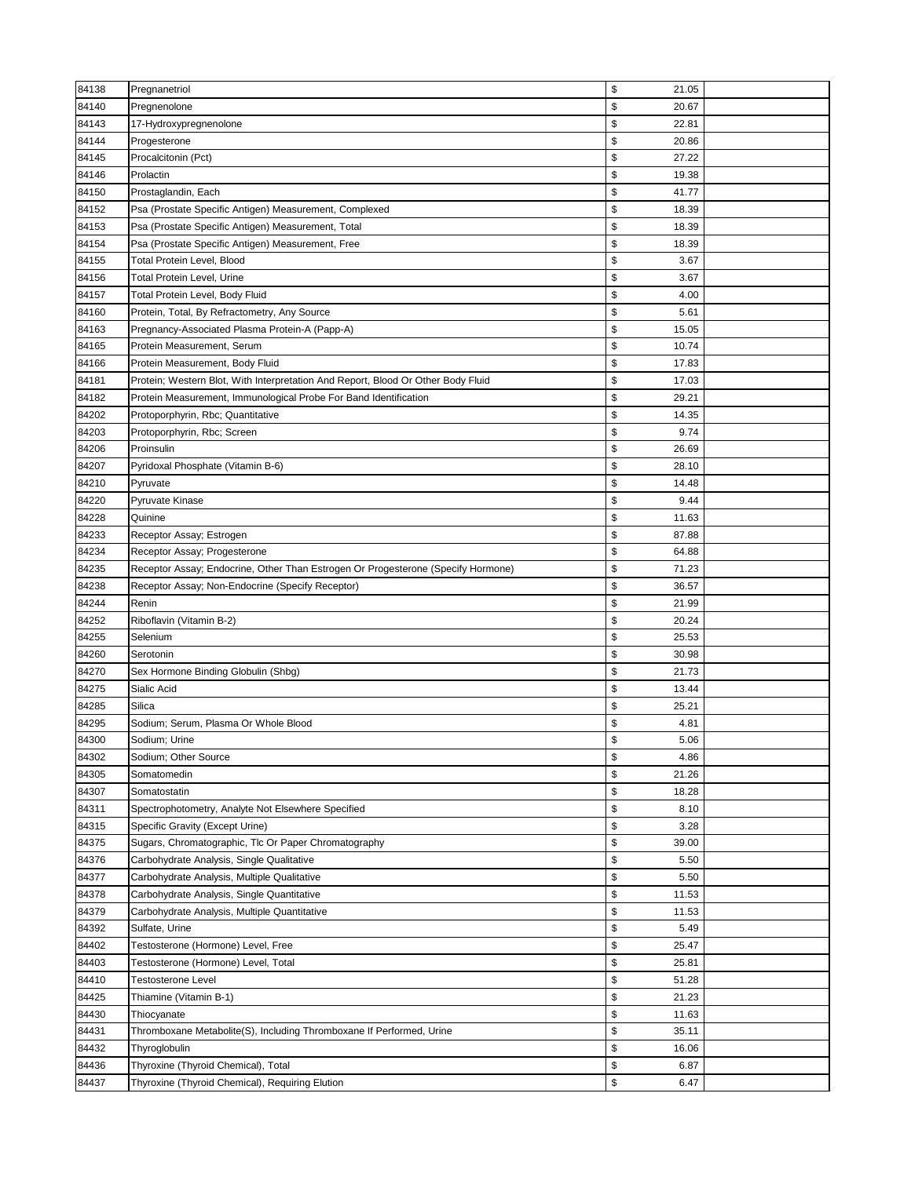| 84138 | Pregnanetriol                                                                    | \$<br>21.05 |  |
|-------|----------------------------------------------------------------------------------|-------------|--|
| 84140 | Pregnenolone                                                                     | \$<br>20.67 |  |
| 84143 | 17-Hydroxypregnenolone                                                           | \$<br>22.81 |  |
| 84144 | Progesterone                                                                     | \$<br>20.86 |  |
| 84145 | Procalcitonin (Pct)                                                              | \$<br>27.22 |  |
| 84146 | Prolactin                                                                        | \$<br>19.38 |  |
| 84150 | Prostaglandin, Each                                                              | \$<br>41.77 |  |
| 84152 | Psa (Prostate Specific Antigen) Measurement, Complexed                           | \$<br>18.39 |  |
| 84153 | Psa (Prostate Specific Antigen) Measurement, Total                               | \$<br>18.39 |  |
| 84154 | Psa (Prostate Specific Antigen) Measurement, Free                                | \$<br>18.39 |  |
| 84155 | Total Protein Level, Blood                                                       | \$<br>3.67  |  |
| 84156 | Total Protein Level, Urine                                                       | \$<br>3.67  |  |
| 84157 | Total Protein Level, Body Fluid                                                  | \$<br>4.00  |  |
| 84160 | Protein, Total, By Refractometry, Any Source                                     | \$<br>5.61  |  |
| 84163 | Pregnancy-Associated Plasma Protein-A (Papp-A)                                   | \$<br>15.05 |  |
| 84165 | Protein Measurement, Serum                                                       | \$<br>10.74 |  |
| 84166 | Protein Measurement, Body Fluid                                                  | \$<br>17.83 |  |
| 84181 | Protein; Western Blot, With Interpretation And Report, Blood Or Other Body Fluid | \$<br>17.03 |  |
| 84182 | Protein Measurement, Immunological Probe For Band Identification                 | \$<br>29.21 |  |
| 84202 | Protoporphyrin, Rbc; Quantitative                                                | \$<br>14.35 |  |
| 84203 | Protoporphyrin, Rbc; Screen                                                      | \$<br>9.74  |  |
| 84206 | Proinsulin                                                                       | \$<br>26.69 |  |
| 84207 | Pyridoxal Phosphate (Vitamin B-6)                                                | \$<br>28.10 |  |
| 84210 | Pyruvate                                                                         | \$<br>14.48 |  |
| 84220 | Pyruvate Kinase                                                                  | \$<br>9.44  |  |
| 84228 | Quinine                                                                          | \$<br>11.63 |  |
| 84233 | Receptor Assay; Estrogen                                                         | \$<br>87.88 |  |
| 84234 | Receptor Assay; Progesterone                                                     | \$<br>64.88 |  |
| 84235 | Receptor Assay; Endocrine, Other Than Estrogen Or Progesterone (Specify Hormone) | \$<br>71.23 |  |
| 84238 | Receptor Assay; Non-Endocrine (Specify Receptor)                                 | \$<br>36.57 |  |
| 84244 | Renin                                                                            | \$<br>21.99 |  |
| 84252 | Riboflavin (Vitamin B-2)                                                         | \$<br>20.24 |  |
| 84255 | Selenium                                                                         | \$<br>25.53 |  |
| 84260 | Serotonin                                                                        | \$<br>30.98 |  |
| 84270 | Sex Hormone Binding Globulin (Shbg)                                              | \$<br>21.73 |  |
| 84275 | Sialic Acid                                                                      | \$<br>13.44 |  |
| 84285 | Silica                                                                           | \$<br>25.21 |  |
| 84295 | Sodium; Serum, Plasma Or Whole Blood                                             | \$<br>4.81  |  |
| 84300 | Sodium; Urine                                                                    | \$<br>5.06  |  |
| 84302 | Sodium; Other Source                                                             | \$<br>4.86  |  |
| 84305 | Somatomedin                                                                      | \$<br>21.26 |  |
| 84307 | Somatostatin                                                                     | \$<br>18.28 |  |
| 84311 | Spectrophotometry, Analyte Not Elsewhere Specified                               | \$<br>8.10  |  |
| 84315 | Specific Gravity (Except Urine)                                                  | \$<br>3.28  |  |
| 84375 | Sugars, Chromatographic, Tlc Or Paper Chromatography                             | \$<br>39.00 |  |
| 84376 | Carbohydrate Analysis, Single Qualitative                                        | \$<br>5.50  |  |
| 84377 | Carbohydrate Analysis, Multiple Qualitative                                      | \$<br>5.50  |  |
| 84378 | Carbohydrate Analysis, Single Quantitative                                       | \$<br>11.53 |  |
| 84379 | Carbohydrate Analysis, Multiple Quantitative                                     | \$<br>11.53 |  |
| 84392 | Sulfate, Urine                                                                   | \$<br>5.49  |  |
| 84402 | Testosterone (Hormone) Level, Free                                               | \$<br>25.47 |  |
| 84403 | Testosterone (Hormone) Level, Total                                              | \$<br>25.81 |  |
| 84410 | <b>Testosterone Level</b>                                                        | \$<br>51.28 |  |
| 84425 | Thiamine (Vitamin B-1)                                                           | \$<br>21.23 |  |
| 84430 | Thiocyanate                                                                      | \$<br>11.63 |  |
| 84431 | Thromboxane Metabolite(S), Including Thromboxane If Performed, Urine             | \$<br>35.11 |  |
| 84432 | Thyroglobulin                                                                    | \$<br>16.06 |  |
| 84436 | Thyroxine (Thyroid Chemical), Total                                              | \$<br>6.87  |  |
| 84437 | Thyroxine (Thyroid Chemical), Requiring Elution                                  | \$<br>6.47  |  |
|       |                                                                                  |             |  |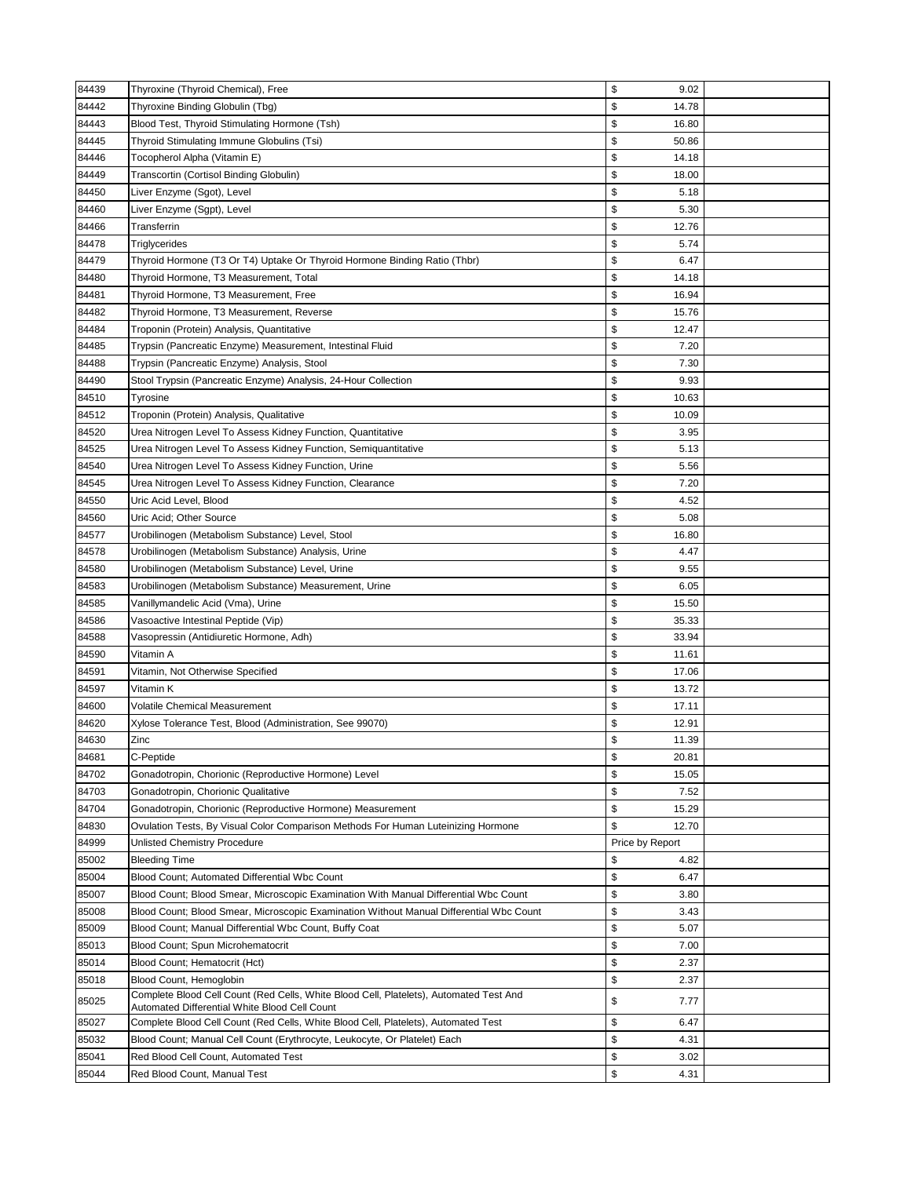| 84439          | Thyroxine (Thyroid Chemical), Free                                                      | \$<br>9.02           |  |
|----------------|-----------------------------------------------------------------------------------------|----------------------|--|
| 84442          | Thyroxine Binding Globulin (Tbg)                                                        | \$<br>14.78          |  |
| 84443          | Blood Test, Thyroid Stimulating Hormone (Tsh)                                           | \$<br>16.80          |  |
| 84445          | Thyroid Stimulating Immune Globulins (Tsi)                                              | \$<br>50.86          |  |
| 84446          | Tocopherol Alpha (Vitamin E)                                                            | \$<br>14.18          |  |
| 84449          | Transcortin (Cortisol Binding Globulin)                                                 | \$<br>18.00          |  |
| 84450          | Liver Enzyme (Sgot), Level                                                              | \$<br>5.18           |  |
| 84460          | Liver Enzyme (Sgpt), Level                                                              | \$<br>5.30           |  |
| 84466          | Transferrin                                                                             | \$<br>12.76          |  |
| 84478          | Triglycerides                                                                           | \$<br>5.74           |  |
| 84479          | Thyroid Hormone (T3 Or T4) Uptake Or Thyroid Hormone Binding Ratio (Thbr)               | \$<br>6.47           |  |
| 84480          | Thyroid Hormone, T3 Measurement, Total                                                  | \$<br>14.18          |  |
| 84481          | Thyroid Hormone, T3 Measurement, Free                                                   | \$<br>16.94          |  |
| 84482          | Thyroid Hormone, T3 Measurement, Reverse                                                | \$<br>15.76          |  |
| 84484          | Troponin (Protein) Analysis, Quantitative                                               | \$<br>12.47          |  |
| 84485          | Trypsin (Pancreatic Enzyme) Measurement, Intestinal Fluid                               | \$<br>7.20           |  |
| 84488          |                                                                                         | \$<br>7.30           |  |
|                | Trypsin (Pancreatic Enzyme) Analysis, Stool                                             | \$<br>9.93           |  |
| 84490          | Stool Trypsin (Pancreatic Enzyme) Analysis, 24-Hour Collection                          |                      |  |
| 84510          | Tyrosine                                                                                | \$<br>10.63          |  |
| 84512          | Troponin (Protein) Analysis, Qualitative                                                | \$<br>10.09          |  |
| 84520          | Urea Nitrogen Level To Assess Kidney Function, Quantitative                             | \$<br>3.95           |  |
| 84525          | Urea Nitrogen Level To Assess Kidney Function, Semiquantitative                         | \$<br>5.13           |  |
| 84540          | Urea Nitrogen Level To Assess Kidney Function, Urine                                    | \$<br>5.56           |  |
| 84545          | Urea Nitrogen Level To Assess Kidney Function, Clearance                                | \$<br>7.20           |  |
| 84550          | Uric Acid Level, Blood                                                                  | \$<br>4.52           |  |
| 84560          | Uric Acid; Other Source                                                                 | \$<br>5.08           |  |
| 84577          | Urobilinogen (Metabolism Substance) Level, Stool                                        | \$<br>16.80          |  |
| 84578          | Urobilinogen (Metabolism Substance) Analysis, Urine                                     | \$<br>4.47<br>\$     |  |
| 84580          | Urobilinogen (Metabolism Substance) Level, Urine                                        | 9.55                 |  |
| 84583          | Urobilinogen (Metabolism Substance) Measurement, Urine                                  | \$<br>6.05<br>\$     |  |
| 84585<br>84586 | Vanillymandelic Acid (Vma), Urine<br>Vasoactive Intestinal Peptide (Vip)                | 15.50<br>\$<br>35.33 |  |
| 84588          | Vasopressin (Antidiuretic Hormone, Adh)                                                 | \$<br>33.94          |  |
| 84590          | Vitamin A                                                                               | \$<br>11.61          |  |
| 84591          | Vitamin, Not Otherwise Specified                                                        | \$<br>17.06          |  |
| 84597          | Vitamin K                                                                               | \$<br>13.72          |  |
| 84600          | <b>Volatile Chemical Measurement</b>                                                    | \$<br>17.11          |  |
| 84620          | Xylose Tolerance Test, Blood (Administration, See 99070)                                | \$<br>12.91          |  |
| 84630          | Zinc                                                                                    | \$<br>11.39          |  |
| 84681          | C-Peptide                                                                               | \$<br>20.81          |  |
| 84702          | Gonadotropin, Chorionic (Reproductive Hormone) Level                                    | \$<br>15.05          |  |
| 84703          | Gonadotropin, Chorionic Qualitative                                                     | \$<br>7.52           |  |
| 84704          | Gonadotropin, Chorionic (Reproductive Hormone) Measurement                              | \$<br>15.29          |  |
| 84830          | Ovulation Tests, By Visual Color Comparison Methods For Human Luteinizing Hormone       | \$<br>12.70          |  |
| 84999          | <b>Unlisted Chemistry Procedure</b>                                                     | Price by Report      |  |
| 85002          | <b>Bleeding Time</b>                                                                    | \$<br>4.82           |  |
| 85004          | Blood Count; Automated Differential Wbc Count                                           | \$<br>6.47           |  |
| 85007          | Blood Count; Blood Smear, Microscopic Examination With Manual Differential Wbc Count    | \$<br>3.80           |  |
| 85008          | Blood Count; Blood Smear, Microscopic Examination Without Manual Differential Wbc Count | \$<br>3.43           |  |
| 85009          | Blood Count; Manual Differential Wbc Count, Buffy Coat                                  | \$<br>5.07           |  |
| 85013          | Blood Count; Spun Microhematocrit                                                       | \$<br>7.00           |  |
| 85014          | Blood Count; Hematocrit (Hct)                                                           | \$<br>2.37           |  |
| 85018          | Blood Count, Hemoglobin                                                                 | \$<br>2.37           |  |
| 85025          | Complete Blood Cell Count (Red Cells, White Blood Cell, Platelets), Automated Test And  | \$<br>7.77           |  |
|                | Automated Differential White Blood Cell Count                                           |                      |  |
| 85027          | Complete Blood Cell Count (Red Cells, White Blood Cell, Platelets), Automated Test      | \$<br>6.47           |  |
| 85032          | Blood Count; Manual Cell Count (Erythrocyte, Leukocyte, Or Platelet) Each               | \$<br>4.31           |  |
| 85041          | Red Blood Cell Count, Automated Test                                                    | \$<br>3.02           |  |
| 85044          | Red Blood Count, Manual Test                                                            | \$<br>4.31           |  |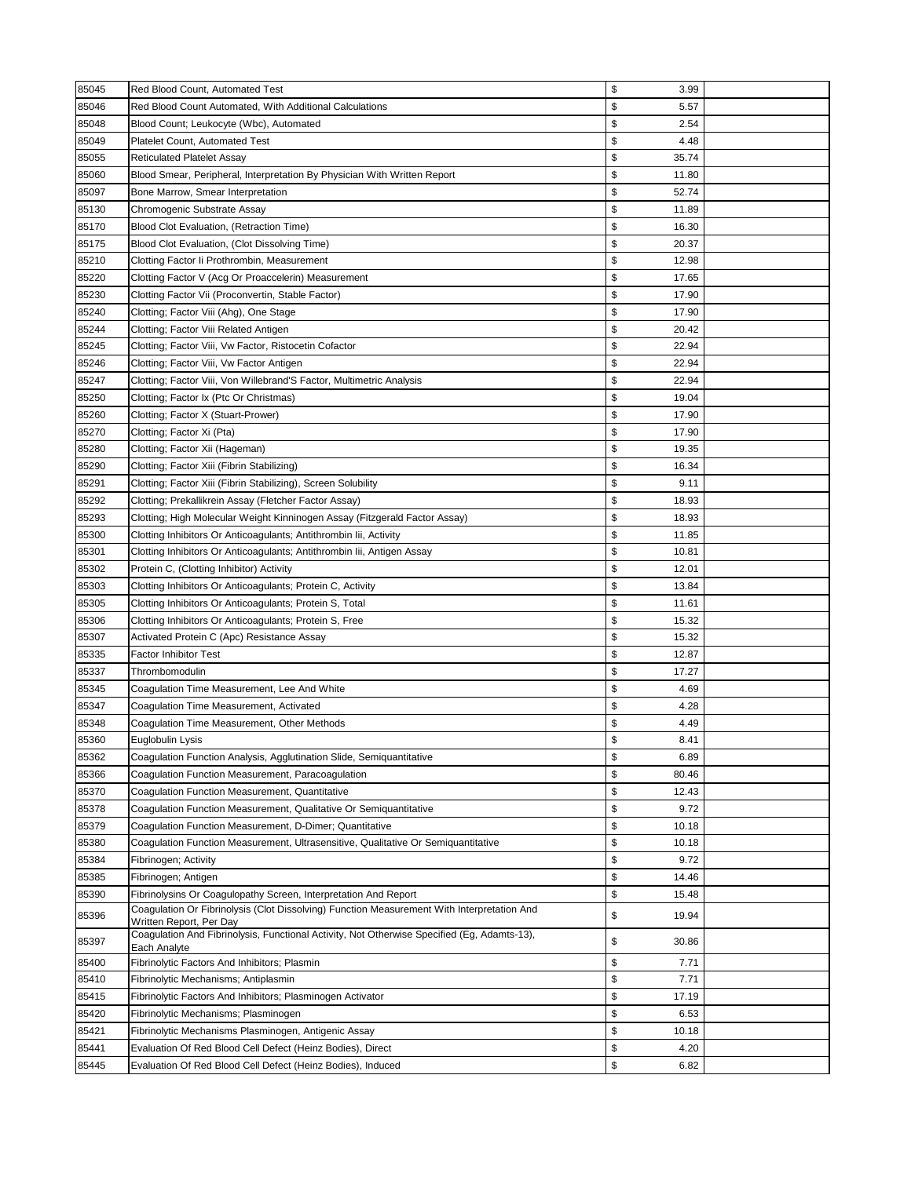| 85045 | Red Blood Count, Automated Test                                                                                       | \$<br>3.99  |  |
|-------|-----------------------------------------------------------------------------------------------------------------------|-------------|--|
| 85046 | Red Blood Count Automated, With Additional Calculations                                                               | \$<br>5.57  |  |
| 85048 | Blood Count; Leukocyte (Wbc), Automated                                                                               | \$<br>2.54  |  |
| 85049 | <b>Platelet Count, Automated Test</b>                                                                                 | \$<br>4.48  |  |
| 85055 | <b>Reticulated Platelet Assay</b>                                                                                     | \$<br>35.74 |  |
| 85060 | Blood Smear, Peripheral, Interpretation By Physician With Written Report                                              | \$<br>11.80 |  |
| 85097 | Bone Marrow, Smear Interpretation                                                                                     | \$<br>52.74 |  |
| 85130 | Chromogenic Substrate Assay                                                                                           | \$<br>11.89 |  |
| 85170 | Blood Clot Evaluation, (Retraction Time)                                                                              | \$<br>16.30 |  |
| 85175 | Blood Clot Evaluation, (Clot Dissolving Time)                                                                         | \$<br>20.37 |  |
| 85210 | Clotting Factor Ii Prothrombin, Measurement                                                                           | \$<br>12.98 |  |
| 85220 | Clotting Factor V (Acg Or Proaccelerin) Measurement                                                                   | \$<br>17.65 |  |
| 85230 | Clotting Factor Vii (Proconvertin, Stable Factor)                                                                     | \$<br>17.90 |  |
| 85240 | Clotting; Factor Viii (Ahg), One Stage                                                                                | \$<br>17.90 |  |
| 85244 | Clotting; Factor Viii Related Antigen                                                                                 | \$<br>20.42 |  |
| 85245 | Clotting; Factor Viii, Vw Factor, Ristocetin Cofactor                                                                 | \$<br>22.94 |  |
| 85246 | Clotting; Factor Viii, Vw Factor Antigen                                                                              | \$<br>22.94 |  |
| 85247 | Clotting; Factor Viii, Von Willebrand'S Factor, Multimetric Analysis                                                  | \$<br>22.94 |  |
| 85250 | Clotting; Factor Ix (Ptc Or Christmas)                                                                                | \$<br>19.04 |  |
| 85260 | Clotting; Factor X (Stuart-Prower)                                                                                    | \$<br>17.90 |  |
| 85270 | Clotting; Factor Xi (Pta)                                                                                             | \$<br>17.90 |  |
| 85280 | Clotting; Factor Xii (Hageman)                                                                                        | \$<br>19.35 |  |
| 85290 | Clotting; Factor Xiii (Fibrin Stabilizing)                                                                            | \$<br>16.34 |  |
| 85291 | Clotting; Factor Xiii (Fibrin Stabilizing), Screen Solubility                                                         | \$<br>9.11  |  |
| 85292 | Clotting; Prekallikrein Assay (Fletcher Factor Assay)                                                                 | \$<br>18.93 |  |
| 85293 | Clotting; High Molecular Weight Kinninogen Assay (Fitzgerald Factor Assay)                                            | \$<br>18.93 |  |
| 85300 | Clotting Inhibitors Or Anticoagulants; Antithrombin Iii, Activity                                                     | \$<br>11.85 |  |
| 85301 | Clotting Inhibitors Or Anticoagulants; Antithrombin lii, Antigen Assay                                                | \$<br>10.81 |  |
| 85302 | Protein C, (Clotting Inhibitor) Activity                                                                              | \$<br>12.01 |  |
| 85303 | Clotting Inhibitors Or Anticoagulants; Protein C, Activity                                                            | \$<br>13.84 |  |
| 85305 | Clotting Inhibitors Or Anticoagulants; Protein S, Total                                                               | \$<br>11.61 |  |
| 85306 | Clotting Inhibitors Or Anticoagulants; Protein S, Free                                                                | \$<br>15.32 |  |
| 85307 | Activated Protein C (Apc) Resistance Assay                                                                            | \$<br>15.32 |  |
| 85335 | <b>Factor Inhibitor Test</b>                                                                                          | \$<br>12.87 |  |
| 85337 | Thrombomodulin                                                                                                        | \$<br>17.27 |  |
| 85345 | Coagulation Time Measurement, Lee And White                                                                           | \$<br>4.69  |  |
| 85347 | Coaqulation Time Measurement, Activated                                                                               | \$<br>4.28  |  |
| 85348 | Coaqulation Time Measurement, Other Methods                                                                           | \$<br>4.49  |  |
| 85360 | Euglobulin Lysis                                                                                                      | \$<br>8.41  |  |
| 85362 | Coagulation Function Analysis, Agglutination Slide, Semiquantitative                                                  | \$<br>6.89  |  |
| 85366 | Coagulation Function Measurement, Paracoagulation                                                                     | \$<br>80.46 |  |
| 85370 | Coagulation Function Measurement, Quantitative                                                                        | \$<br>12.43 |  |
| 85378 | Coagulation Function Measurement, Qualitative Or Semiquantitative                                                     | \$<br>9.72  |  |
| 85379 | Coagulation Function Measurement, D-Dimer; Quantitative                                                               | \$<br>10.18 |  |
| 85380 | Coagulation Function Measurement, Ultrasensitive, Qualitative Or Semiquantitative                                     | \$<br>10.18 |  |
| 85384 | Fibrinogen; Activity                                                                                                  | \$<br>9.72  |  |
| 85385 | Fibrinogen; Antigen                                                                                                   | \$<br>14.46 |  |
| 85390 | Fibrinolysins Or Coagulopathy Screen, Interpretation And Report                                                       | \$<br>15.48 |  |
| 85396 | Coaqulation Or Fibrinolysis (Clot Dissolving) Function Measurement With Interpretation And<br>Written Report, Per Day | \$<br>19.94 |  |
| 85397 | Coagulation And Fibrinolysis, Functional Activity, Not Otherwise Specified (Eg, Adamts-13),<br>Each Analyte           | \$<br>30.86 |  |
| 85400 | Fibrinolytic Factors And Inhibitors; Plasmin                                                                          | \$<br>7.71  |  |
| 85410 | Fibrinolytic Mechanisms; Antiplasmin                                                                                  | \$<br>7.71  |  |
| 85415 | Fibrinolytic Factors And Inhibitors; Plasminogen Activator                                                            | \$<br>17.19 |  |
| 85420 | Fibrinolytic Mechanisms; Plasminogen                                                                                  | \$<br>6.53  |  |
| 85421 | Fibrinolytic Mechanisms Plasminogen, Antigenic Assay                                                                  | \$<br>10.18 |  |
| 85441 | Evaluation Of Red Blood Cell Defect (Heinz Bodies), Direct                                                            | \$<br>4.20  |  |
| 85445 | Evaluation Of Red Blood Cell Defect (Heinz Bodies), Induced                                                           | \$<br>6.82  |  |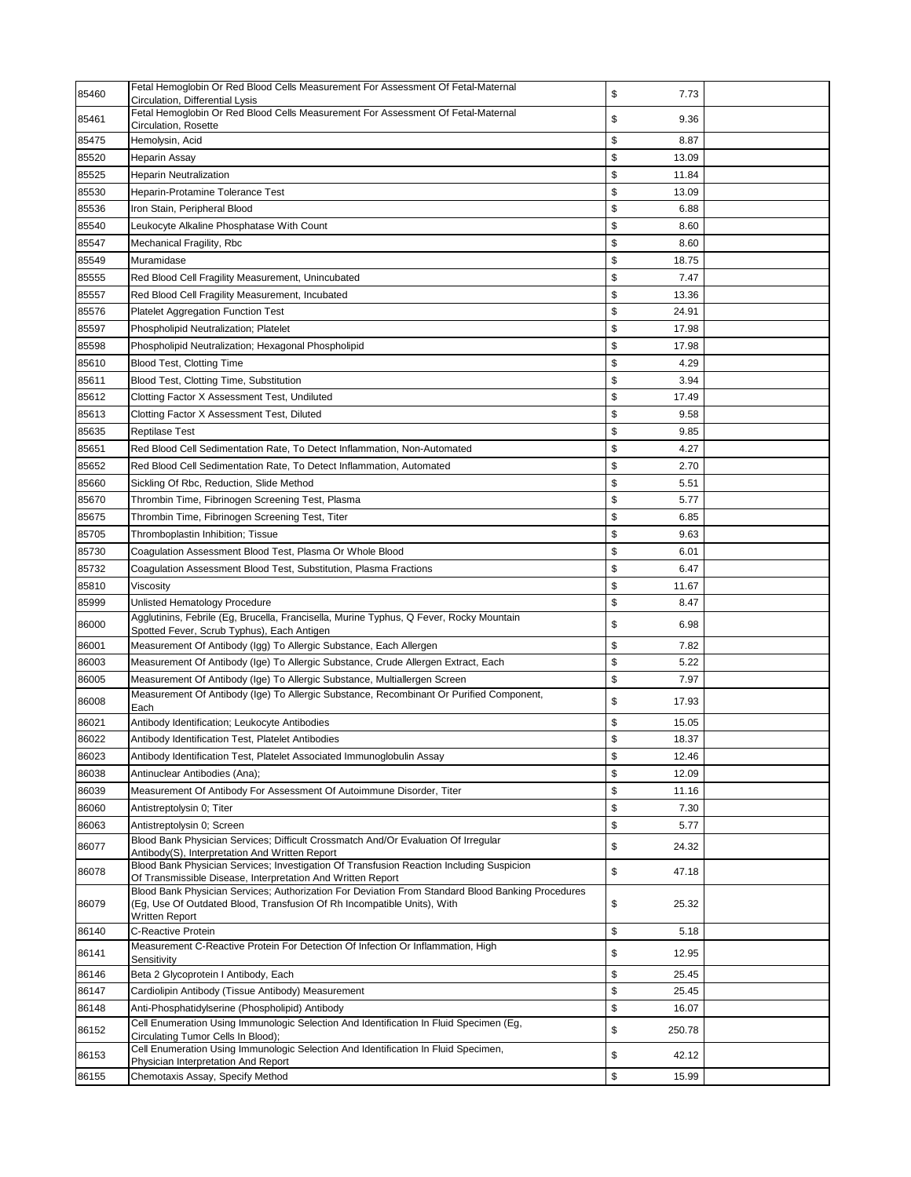| 85460 | Fetal Hemoglobin Or Red Blood Cells Measurement For Assessment Of Fetal-Maternal<br>Circulation, Differential Lysis                                                                                   | \$<br>7.73   |  |
|-------|-------------------------------------------------------------------------------------------------------------------------------------------------------------------------------------------------------|--------------|--|
| 85461 | Fetal Hemoglobin Or Red Blood Cells Measurement For Assessment Of Fetal-Maternal<br>Circulation, Rosette                                                                                              | \$<br>9.36   |  |
| 85475 | Hemolysin, Acid                                                                                                                                                                                       | \$<br>8.87   |  |
| 85520 | Heparin Assay                                                                                                                                                                                         | \$<br>13.09  |  |
| 85525 | <b>Heparin Neutralization</b>                                                                                                                                                                         | \$<br>11.84  |  |
| 85530 | Heparin-Protamine Tolerance Test                                                                                                                                                                      | \$<br>13.09  |  |
| 85536 | Iron Stain, Peripheral Blood                                                                                                                                                                          | \$<br>6.88   |  |
| 85540 | Leukocyte Alkaline Phosphatase With Count                                                                                                                                                             | \$<br>8.60   |  |
| 85547 | Mechanical Fragility, Rbc                                                                                                                                                                             | \$<br>8.60   |  |
| 85549 | Muramidase                                                                                                                                                                                            | \$<br>18.75  |  |
| 85555 | Red Blood Cell Fragility Measurement, Unincubated                                                                                                                                                     | \$<br>7.47   |  |
| 85557 | Red Blood Cell Fragility Measurement, Incubated                                                                                                                                                       | \$<br>13.36  |  |
| 85576 | <b>Platelet Aggregation Function Test</b>                                                                                                                                                             | \$<br>24.91  |  |
| 85597 | Phospholipid Neutralization; Platelet                                                                                                                                                                 | \$<br>17.98  |  |
| 85598 | Phospholipid Neutralization; Hexagonal Phospholipid                                                                                                                                                   | \$<br>17.98  |  |
| 85610 | Blood Test, Clotting Time                                                                                                                                                                             | \$<br>4.29   |  |
| 85611 | Blood Test, Clotting Time, Substitution                                                                                                                                                               | \$<br>3.94   |  |
| 85612 | Clotting Factor X Assessment Test, Undiluted                                                                                                                                                          | \$<br>17.49  |  |
| 85613 | Clotting Factor X Assessment Test, Diluted                                                                                                                                                            | \$<br>9.58   |  |
| 85635 | <b>Reptilase Test</b>                                                                                                                                                                                 | \$<br>9.85   |  |
| 85651 | Red Blood Cell Sedimentation Rate, To Detect Inflammation, Non-Automated                                                                                                                              | \$<br>4.27   |  |
| 85652 | Red Blood Cell Sedimentation Rate, To Detect Inflammation, Automated                                                                                                                                  | \$<br>2.70   |  |
| 85660 | Sickling Of Rbc, Reduction, Slide Method                                                                                                                                                              | \$<br>5.51   |  |
| 85670 | Thrombin Time, Fibrinogen Screening Test, Plasma                                                                                                                                                      | \$<br>5.77   |  |
| 85675 | Thrombin Time, Fibrinogen Screening Test, Titer                                                                                                                                                       | \$<br>6.85   |  |
| 85705 | Thromboplastin Inhibition; Tissue                                                                                                                                                                     | \$<br>9.63   |  |
| 85730 | Coagulation Assessment Blood Test, Plasma Or Whole Blood                                                                                                                                              | \$<br>6.01   |  |
| 85732 | Coagulation Assessment Blood Test, Substitution, Plasma Fractions                                                                                                                                     | \$<br>6.47   |  |
| 85810 | Viscosity                                                                                                                                                                                             | \$<br>11.67  |  |
| 85999 | Unlisted Hematology Procedure                                                                                                                                                                         | \$<br>8.47   |  |
| 86000 | Agglutinins, Febrile (Eg, Brucella, Francisella, Murine Typhus, Q Fever, Rocky Mountain                                                                                                               | \$<br>6.98   |  |
|       | Spotted Fever, Scrub Typhus), Each Antigen                                                                                                                                                            |              |  |
| 86001 | Measurement Of Antibody (Igg) To Allergic Substance, Each Allergen                                                                                                                                    | \$<br>7.82   |  |
| 86003 | Measurement Of Antibody (Ige) To Allergic Substance, Crude Allergen Extract, Each                                                                                                                     | \$<br>5.22   |  |
| 86005 | Measurement Of Antibody (Ige) To Allergic Substance, Multiallergen Screen                                                                                                                             | \$<br>7.97   |  |
| 86008 | Measurement Of Antibody (Ige) To Allergic Substance, Recombinant Or Purified Component,<br>Each                                                                                                       | \$<br>17.93  |  |
| 86021 | Antibody Identification; Leukocyte Antibodies                                                                                                                                                         | \$<br>15.05  |  |
| 86022 | Antibody Identification Test, Platelet Antibodies                                                                                                                                                     | \$<br>18.37  |  |
| 86023 | Antibody Identification Test, Platelet Associated Immunoglobulin Assay                                                                                                                                | \$<br>12.46  |  |
| 86038 | Antinuclear Antibodies (Ana);                                                                                                                                                                         | \$<br>12.09  |  |
| 86039 | Measurement Of Antibody For Assessment Of Autoimmune Disorder, Titer                                                                                                                                  | \$<br>11.16  |  |
| 86060 | Antistreptolysin 0; Titer                                                                                                                                                                             | \$<br>7.30   |  |
| 86063 | Antistreptolysin 0; Screen                                                                                                                                                                            | \$<br>5.77   |  |
| 86077 | Blood Bank Physician Services; Difficult Crossmatch And/Or Evaluation Of Irregular<br>Antibody(S), Interpretation And Written Report                                                                  | \$<br>24.32  |  |
| 86078 | Blood Bank Physician Services; Investigation Of Transfusion Reaction Including Suspicion<br>Of Transmissible Disease, Interpretation And Written Report                                               | \$<br>47.18  |  |
| 86079 | Blood Bank Physician Services; Authorization For Deviation From Standard Blood Banking Procedures<br>(Eg, Use Of Outdated Blood, Transfusion Of Rh Incompatible Units), With<br><b>Written Report</b> | \$<br>25.32  |  |
| 86140 | <b>C-Reactive Protein</b>                                                                                                                                                                             | \$<br>5.18   |  |
| 86141 | Measurement C-Reactive Protein For Detection Of Infection Or Inflammation, High<br>Sensitivity                                                                                                        | \$<br>12.95  |  |
| 86146 | Beta 2 Glycoprotein I Antibody, Each                                                                                                                                                                  | \$<br>25.45  |  |
| 86147 | Cardiolipin Antibody (Tissue Antibody) Measurement                                                                                                                                                    | \$<br>25.45  |  |
| 86148 | Anti-Phosphatidylserine (Phospholipid) Antibody                                                                                                                                                       | \$<br>16.07  |  |
| 86152 | Cell Enumeration Using Immunologic Selection And Identification In Fluid Specimen (Eg,<br>Circulating Tumor Cells In Blood);                                                                          | \$<br>250.78 |  |
| 86153 | Cell Enumeration Using Immunologic Selection And Identification In Fluid Specimen,<br>Physician Interpretation And Report                                                                             | \$<br>42.12  |  |
| 86155 | Chemotaxis Assay, Specify Method                                                                                                                                                                      | \$<br>15.99  |  |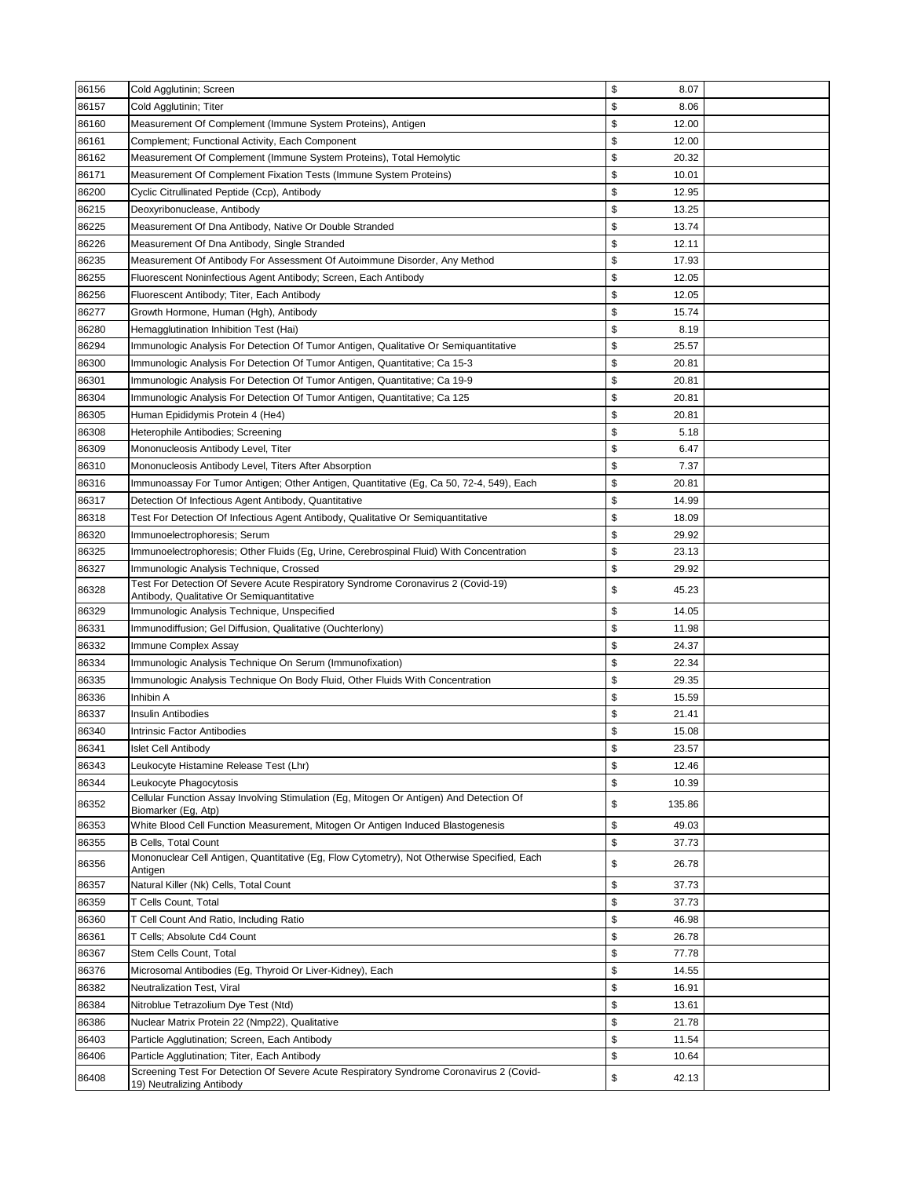| 86156 | Cold Agglutinin; Screen                                                                                        | \$<br>8.07   |  |
|-------|----------------------------------------------------------------------------------------------------------------|--------------|--|
| 86157 | Cold Agglutinin; Titer                                                                                         | \$<br>8.06   |  |
| 86160 | Measurement Of Complement (Immune System Proteins), Antigen                                                    | \$<br>12.00  |  |
| 86161 | Complement; Functional Activity, Each Component                                                                | \$<br>12.00  |  |
| 86162 | Measurement Of Complement (Immune System Proteins), Total Hemolytic                                            | \$<br>20.32  |  |
| 86171 | Measurement Of Complement Fixation Tests (Immune System Proteins)                                              | \$<br>10.01  |  |
| 86200 | Cyclic Citrullinated Peptide (Ccp), Antibody                                                                   | \$<br>12.95  |  |
| 86215 | Deoxyribonuclease, Antibody                                                                                    | \$<br>13.25  |  |
| 86225 | Measurement Of Dna Antibody, Native Or Double Stranded                                                         | \$<br>13.74  |  |
| 86226 | Measurement Of Dna Antibody, Single Stranded                                                                   | \$<br>12.11  |  |
| 86235 | Measurement Of Antibody For Assessment Of Autoimmune Disorder, Any Method                                      | \$<br>17.93  |  |
| 86255 | Fluorescent Noninfectious Agent Antibody; Screen, Each Antibody                                                | \$<br>12.05  |  |
| 86256 | Fluorescent Antibody; Titer, Each Antibody                                                                     | \$<br>12.05  |  |
| 86277 | Growth Hormone, Human (Hgh), Antibody                                                                          | \$<br>15.74  |  |
| 86280 | Hemagglutination Inhibition Test (Hai)                                                                         | \$<br>8.19   |  |
| 86294 | Immunologic Analysis For Detection Of Tumor Antigen, Qualitative Or Semiquantitative                           | \$<br>25.57  |  |
| 86300 | Immunologic Analysis For Detection Of Tumor Antigen, Quantitative; Ca 15-3                                     | \$<br>20.81  |  |
| 86301 | Immunologic Analysis For Detection Of Tumor Antigen, Quantitative; Ca 19-9                                     | \$<br>20.81  |  |
| 86304 | Immunologic Analysis For Detection Of Tumor Antigen, Quantitative; Ca 125                                      | \$<br>20.81  |  |
| 86305 | Human Epididymis Protein 4 (He4)                                                                               | \$<br>20.81  |  |
| 86308 | Heterophile Antibodies; Screening                                                                              | \$<br>5.18   |  |
| 86309 | Mononucleosis Antibody Level, Titer                                                                            | \$<br>6.47   |  |
| 86310 | Mononucleosis Antibody Level, Titers After Absorption                                                          | \$<br>7.37   |  |
| 86316 | Immunoassay For Tumor Antigen; Other Antigen, Quantitative (Eg, Ca 50, 72-4, 549), Each                        | \$<br>20.81  |  |
| 86317 | Detection Of Infectious Agent Antibody, Quantitative                                                           | \$<br>14.99  |  |
| 86318 | Test For Detection Of Infectious Agent Antibody, Qualitative Or Semiquantitative                               | \$<br>18.09  |  |
| 86320 | Immunoelectrophoresis; Serum                                                                                   | \$<br>29.92  |  |
| 86325 | Immunoelectrophoresis; Other Fluids (Eg, Urine, Cerebrospinal Fluid) With Concentration                        | \$<br>23.13  |  |
| 86327 | Immunologic Analysis Technique, Crossed                                                                        | \$<br>29.92  |  |
|       | Test For Detection Of Severe Acute Respiratory Syndrome Coronavirus 2 (Covid-19)                               |              |  |
| 86328 | Antibody, Qualitative Or Semiquantitative                                                                      | \$<br>45.23  |  |
| 86329 | Immunologic Analysis Technique, Unspecified                                                                    | \$<br>14.05  |  |
| 86331 | Immunodiffusion; Gel Diffusion, Qualitative (Ouchterlony)                                                      | \$<br>11.98  |  |
| 86332 | Immune Complex Assay                                                                                           | \$<br>24.37  |  |
| 86334 | Immunologic Analysis Technique On Serum (Immunofixation)                                                       | \$<br>22.34  |  |
| 86335 | Immunologic Analysis Technique On Body Fluid, Other Fluids With Concentration                                  | \$<br>29.35  |  |
| 86336 | Inhibin A                                                                                                      | \$<br>15.59  |  |
| 86337 | <b>Insulin Antibodies</b>                                                                                      | \$<br>21.41  |  |
| 86340 | Intrinsic Factor Antibodies                                                                                    | \$<br>15.08  |  |
| 86341 | <b>Islet Cell Antibody</b>                                                                                     | 23.57<br>P   |  |
| 86343 | Leukocyte Histamine Release Test (Lhr)                                                                         | \$<br>12.46  |  |
| 86344 | Leukocyte Phagocytosis                                                                                         | \$<br>10.39  |  |
| 86352 | Cellular Function Assay Involving Stimulation (Eg, Mitogen Or Antigen) And Detection Of<br>Biomarker (Eg, Atp) | \$<br>135.86 |  |
| 86353 | White Blood Cell Function Measurement, Mitogen Or Antigen Induced Blastogenesis                                | \$<br>49.03  |  |
| 86355 | <b>B Cells, Total Count</b>                                                                                    | \$<br>37.73  |  |
| 86356 | Mononuclear Cell Antigen, Quantitative (Eg, Flow Cytometry), Not Otherwise Specified, Each                     | \$<br>26.78  |  |
| 86357 | Antigen<br>Natural Killer (Nk) Cells, Total Count                                                              | \$<br>37.73  |  |
| 86359 | T Cells Count, Total                                                                                           | \$<br>37.73  |  |
| 86360 | T Cell Count And Ratio, Including Ratio                                                                        | \$<br>46.98  |  |
| 86361 | T Cells; Absolute Cd4 Count                                                                                    | \$<br>26.78  |  |
| 86367 | Stem Cells Count, Total                                                                                        | \$<br>77.78  |  |
| 86376 | Microsomal Antibodies (Eg, Thyroid Or Liver-Kidney), Each                                                      | \$<br>14.55  |  |
| 86382 | Neutralization Test, Viral                                                                                     | \$<br>16.91  |  |
| 86384 | Nitroblue Tetrazolium Dye Test (Ntd)                                                                           | \$<br>13.61  |  |
| 86386 | Nuclear Matrix Protein 22 (Nmp22), Qualitative                                                                 | \$<br>21.78  |  |
| 86403 | Particle Agglutination; Screen, Each Antibody                                                                  | \$<br>11.54  |  |
| 86406 | Particle Agglutination; Titer, Each Antibody                                                                   | \$<br>10.64  |  |
|       | Screening Test For Detection Of Severe Acute Respiratory Syndrome Coronavirus 2 (Covid-                        |              |  |
| 86408 | 19) Neutralizing Antibody                                                                                      | \$<br>42.13  |  |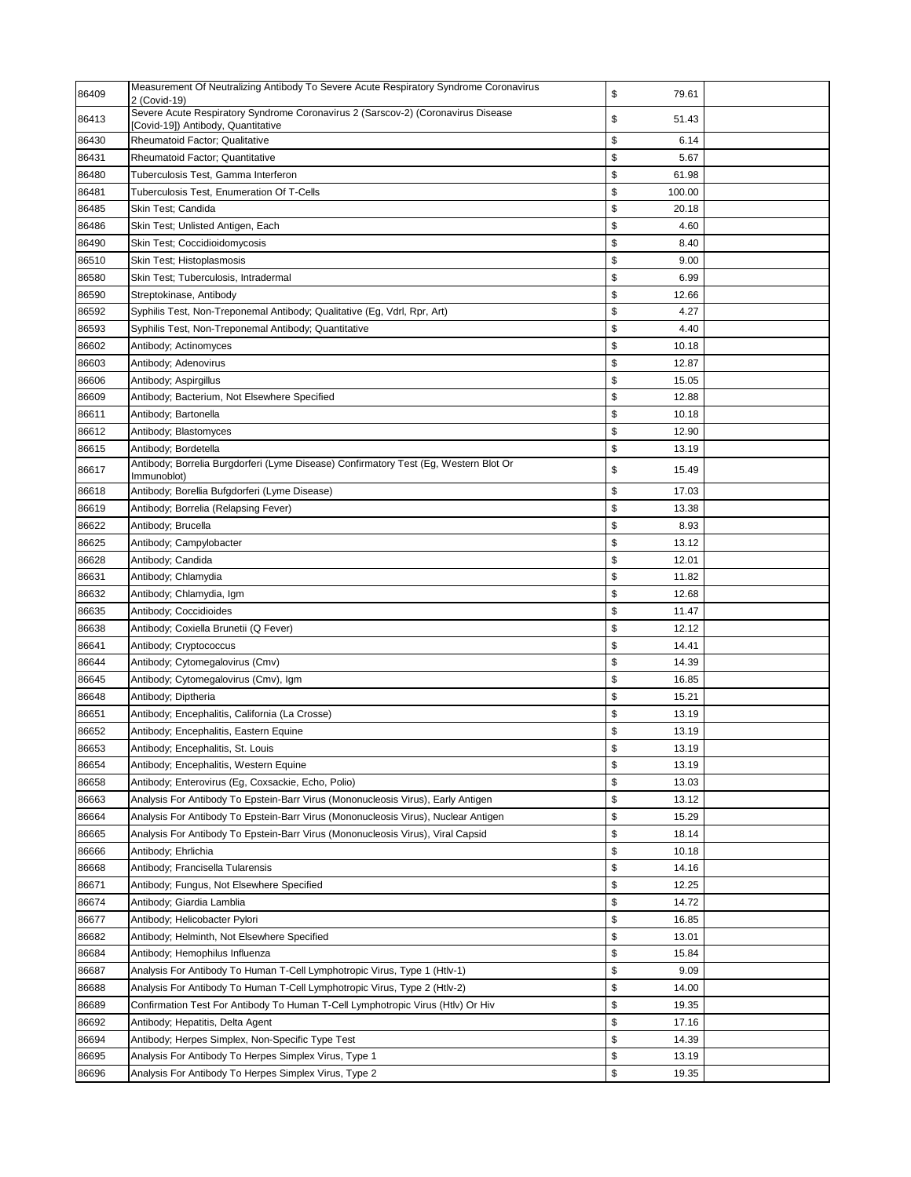| 86409 | Measurement Of Neutralizing Antibody To Severe Acute Respiratory Syndrome Coronavirus<br>2 (Covid-19)                  | \$<br>79.61  |  |
|-------|------------------------------------------------------------------------------------------------------------------------|--------------|--|
| 86413 | Severe Acute Respiratory Syndrome Coronavirus 2 (Sarscov-2) (Coronavirus Disease<br>[Covid-19]) Antibody, Quantitative | \$<br>51.43  |  |
| 86430 | Rheumatoid Factor; Qualitative                                                                                         | \$<br>6.14   |  |
| 86431 | <b>Rheumatoid Factor: Quantitative</b>                                                                                 | \$<br>5.67   |  |
| 86480 | Tuberculosis Test, Gamma Interferon                                                                                    | \$<br>61.98  |  |
| 86481 | Tuberculosis Test, Enumeration Of T-Cells                                                                              | \$<br>100.00 |  |
| 86485 | Skin Test; Candida                                                                                                     | \$<br>20.18  |  |
| 86486 | Skin Test; Unlisted Antigen, Each                                                                                      | \$<br>4.60   |  |
| 86490 | Skin Test; Coccidioidomycosis                                                                                          | \$<br>8.40   |  |
| 86510 | Skin Test; Histoplasmosis                                                                                              | \$<br>9.00   |  |
| 86580 | Skin Test; Tuberculosis, Intradermal                                                                                   | \$<br>6.99   |  |
| 86590 | Streptokinase, Antibody                                                                                                | \$<br>12.66  |  |
| 86592 | Syphilis Test, Non-Treponemal Antibody; Qualitative (Eg, Vdrl, Rpr, Art)                                               | \$<br>4.27   |  |
| 86593 | Syphilis Test, Non-Treponemal Antibody; Quantitative                                                                   | \$<br>4.40   |  |
| 86602 | Antibody; Actinomyces                                                                                                  | \$<br>10.18  |  |
| 86603 | Antibody; Adenovirus                                                                                                   | \$<br>12.87  |  |
| 86606 | Antibody; Aspirgillus                                                                                                  | \$<br>15.05  |  |
| 86609 | Antibody; Bacterium, Not Elsewhere Specified                                                                           | \$<br>12.88  |  |
| 86611 | Antibody; Bartonella                                                                                                   | \$<br>10.18  |  |
| 86612 | Antibody; Blastomyces                                                                                                  | \$<br>12.90  |  |
| 86615 | Antibody; Bordetella                                                                                                   | \$<br>13.19  |  |
| 86617 | Antibody; Borrelia Burgdorferi (Lyme Disease) Confirmatory Test (Eg, Western Blot Or<br>Immunoblot)                    | \$<br>15.49  |  |
| 86618 | Antibody; Borellia Bufgdorferi (Lyme Disease)                                                                          | \$<br>17.03  |  |
| 86619 | Antibody; Borrelia (Relapsing Fever)                                                                                   | \$<br>13.38  |  |
| 86622 | Antibody; Brucella                                                                                                     | \$<br>8.93   |  |
| 86625 | Antibody; Campylobacter                                                                                                | \$<br>13.12  |  |
| 86628 | Antibody; Candida                                                                                                      | \$<br>12.01  |  |
| 86631 | Antibody; Chlamydia                                                                                                    | \$<br>11.82  |  |
| 86632 | Antibody; Chlamydia, Igm                                                                                               | \$<br>12.68  |  |
| 86635 | Antibody; Coccidioides                                                                                                 | \$<br>11.47  |  |
| 86638 | Antibody; Coxiella Brunetii (Q Fever)                                                                                  | \$<br>12.12  |  |
| 86641 | Antibody; Cryptococcus                                                                                                 | \$<br>14.41  |  |
| 86644 | Antibody; Cytomegalovirus (Cmv)                                                                                        | \$<br>14.39  |  |
| 86645 | Antibody; Cytomegalovirus (Cmv), Igm                                                                                   | \$<br>16.85  |  |
| 86648 | Antibody; Diptheria                                                                                                    | \$<br>15.21  |  |
| 86651 | Antibody; Encephalitis, California (La Crosse)                                                                         | \$<br>13.19  |  |
| 86652 | Antibody; Encephalitis, Eastern Equine                                                                                 | \$<br>13.19  |  |
| 86653 | Antibody; Encephalitis, St. Louis                                                                                      | \$<br>13.19  |  |
| 86654 | Antibody; Encephalitis, Western Equine                                                                                 | \$<br>13.19  |  |
| 86658 | Antibody; Enterovirus (Eg, Coxsackie, Echo, Polio)                                                                     | \$<br>13.03  |  |
| 86663 | Analysis For Antibody To Epstein-Barr Virus (Mononucleosis Virus), Early Antigen                                       | \$<br>13.12  |  |
| 86664 | Analysis For Antibody To Epstein-Barr Virus (Mononucleosis Virus), Nuclear Antigen                                     | \$<br>15.29  |  |
| 86665 | Analysis For Antibody To Epstein-Barr Virus (Mononucleosis Virus), Viral Capsid                                        | \$<br>18.14  |  |
| 86666 | Antibody; Ehrlichia                                                                                                    | \$<br>10.18  |  |
| 86668 | Antibody; Francisella Tularensis                                                                                       | \$<br>14.16  |  |
| 86671 | Antibody; Fungus, Not Elsewhere Specified                                                                              | \$<br>12.25  |  |
| 86674 | Antibody; Giardia Lamblia                                                                                              | \$<br>14.72  |  |
| 86677 | Antibody; Helicobacter Pylori                                                                                          | \$<br>16.85  |  |
| 86682 | Antibody; Helminth, Not Elsewhere Specified                                                                            | \$<br>13.01  |  |
| 86684 | Antibody; Hemophilus Influenza                                                                                         | \$<br>15.84  |  |
| 86687 | Analysis For Antibody To Human T-Cell Lymphotropic Virus, Type 1 (Htlv-1)                                              | \$<br>9.09   |  |
| 86688 | Analysis For Antibody To Human T-Cell Lymphotropic Virus, Type 2 (Htlv-2)                                              | \$<br>14.00  |  |
| 86689 | Confirmation Test For Antibody To Human T-Cell Lymphotropic Virus (Htlv) Or Hiv                                        | \$<br>19.35  |  |
| 86692 | Antibody; Hepatitis, Delta Agent                                                                                       | \$<br>17.16  |  |
| 86694 | Antibody; Herpes Simplex, Non-Specific Type Test                                                                       | \$<br>14.39  |  |
| 86695 | Analysis For Antibody To Herpes Simplex Virus, Type 1                                                                  | \$<br>13.19  |  |
| 86696 | Analysis For Antibody To Herpes Simplex Virus, Type 2                                                                  | \$<br>19.35  |  |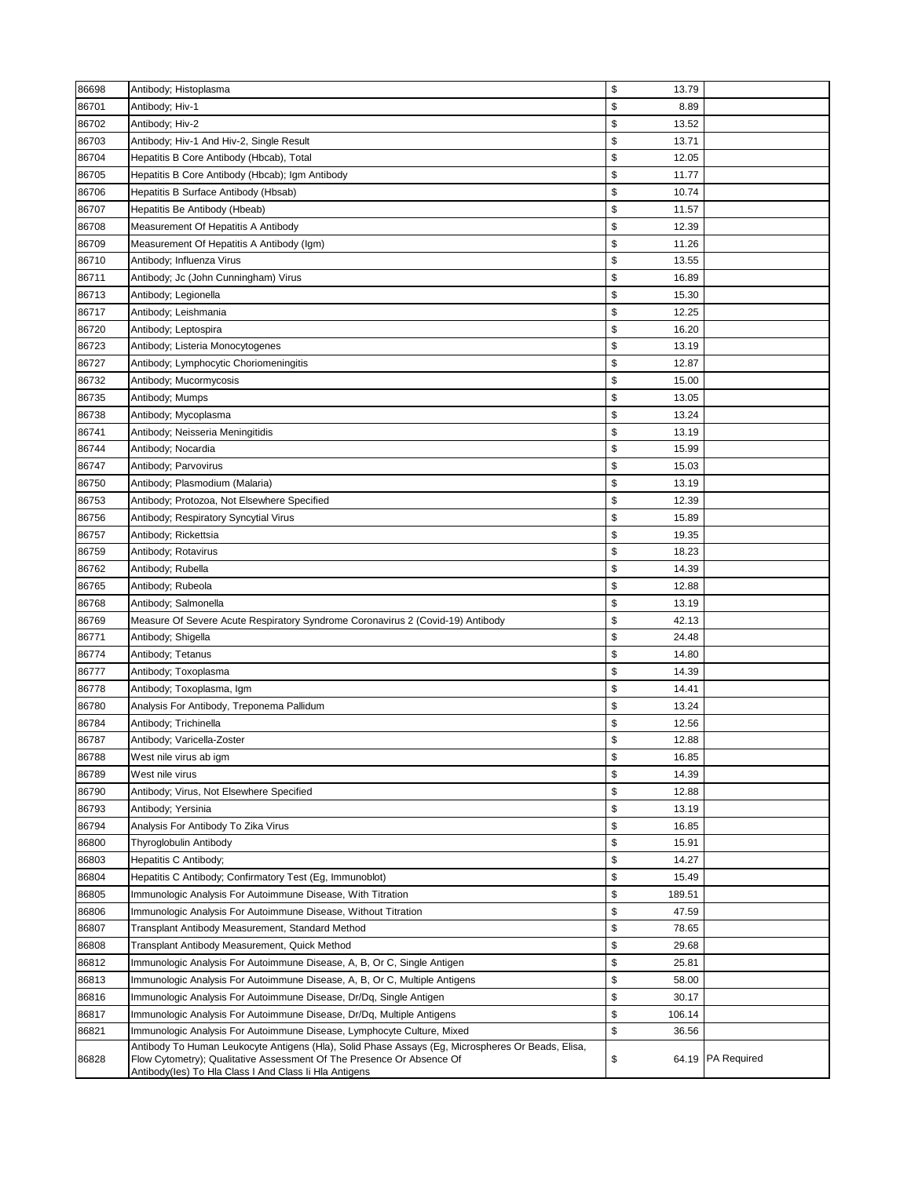| 86698 | Antibody; Histoplasma                                                                                                                                                       | \$<br>13.79  |                   |
|-------|-----------------------------------------------------------------------------------------------------------------------------------------------------------------------------|--------------|-------------------|
| 86701 | Antibody; Hiv-1                                                                                                                                                             | \$<br>8.89   |                   |
| 86702 | Antibody; Hiv-2                                                                                                                                                             | \$<br>13.52  |                   |
| 86703 | Antibody; Hiv-1 And Hiv-2, Single Result                                                                                                                                    | \$<br>13.71  |                   |
| 86704 | Hepatitis B Core Antibody (Hbcab), Total                                                                                                                                    | \$<br>12.05  |                   |
| 86705 | Hepatitis B Core Antibody (Hbcab); Igm Antibody                                                                                                                             | \$<br>11.77  |                   |
| 86706 | Hepatitis B Surface Antibody (Hbsab)                                                                                                                                        | \$<br>10.74  |                   |
| 86707 | Hepatitis Be Antibody (Hbeab)                                                                                                                                               | \$<br>11.57  |                   |
| 86708 | Measurement Of Hepatitis A Antibody                                                                                                                                         | \$<br>12.39  |                   |
| 86709 | Measurement Of Hepatitis A Antibody (Igm)                                                                                                                                   | \$<br>11.26  |                   |
| 86710 | Antibody; Influenza Virus                                                                                                                                                   | \$<br>13.55  |                   |
| 86711 | Antibody; Jc (John Cunningham) Virus                                                                                                                                        | \$<br>16.89  |                   |
| 86713 | Antibody; Legionella                                                                                                                                                        | \$<br>15.30  |                   |
| 86717 | Antibody; Leishmania                                                                                                                                                        | \$<br>12.25  |                   |
| 86720 |                                                                                                                                                                             | \$<br>16.20  |                   |
|       | Antibody; Leptospira                                                                                                                                                        | \$           |                   |
| 86723 | Antibody; Listeria Monocytogenes                                                                                                                                            | 13.19        |                   |
| 86727 | Antibody; Lymphocytic Choriomeningitis                                                                                                                                      | \$<br>12.87  |                   |
| 86732 | Antibody; Mucormycosis                                                                                                                                                      | \$<br>15.00  |                   |
| 86735 | Antibody; Mumps                                                                                                                                                             | \$<br>13.05  |                   |
| 86738 | Antibody; Mycoplasma                                                                                                                                                        | \$<br>13.24  |                   |
| 86741 | Antibody; Neisseria Meningitidis                                                                                                                                            | \$<br>13.19  |                   |
| 86744 | Antibody; Nocardia                                                                                                                                                          | \$<br>15.99  |                   |
| 86747 | Antibody; Parvovirus                                                                                                                                                        | \$<br>15.03  |                   |
| 86750 | Antibody; Plasmodium (Malaria)                                                                                                                                              | \$<br>13.19  |                   |
| 86753 | Antibody; Protozoa, Not Elsewhere Specified                                                                                                                                 | \$<br>12.39  |                   |
| 86756 | Antibody; Respiratory Syncytial Virus                                                                                                                                       | \$<br>15.89  |                   |
| 86757 | Antibody; Rickettsia                                                                                                                                                        | \$<br>19.35  |                   |
| 86759 | Antibody; Rotavirus                                                                                                                                                         | \$<br>18.23  |                   |
| 86762 | Antibody; Rubella                                                                                                                                                           | \$<br>14.39  |                   |
| 86765 | Antibody; Rubeola                                                                                                                                                           | \$<br>12.88  |                   |
| 86768 | Antibody; Salmonella                                                                                                                                                        | \$<br>13.19  |                   |
| 86769 | Measure Of Severe Acute Respiratory Syndrome Coronavirus 2 (Covid-19) Antibody                                                                                              | \$<br>42.13  |                   |
| 86771 | Antibody; Shigella                                                                                                                                                          | \$<br>24.48  |                   |
| 86774 | Antibody; Tetanus                                                                                                                                                           | \$<br>14.80  |                   |
| 86777 | Antibody; Toxoplasma                                                                                                                                                        | \$<br>14.39  |                   |
| 86778 | Antibody; Toxoplasma, Igm                                                                                                                                                   | \$<br>14.41  |                   |
| 86780 | Analysis For Antibody, Treponema Pallidum                                                                                                                                   | \$<br>13.24  |                   |
| 86784 | Antibody; Trichinella                                                                                                                                                       | \$<br>12.56  |                   |
| 86787 | Antibody; Varicella-Zoster                                                                                                                                                  | \$<br>12.88  |                   |
| 86788 | West nile virus ab igm                                                                                                                                                      | \$<br>16.85  |                   |
| 86789 | West nile virus                                                                                                                                                             | \$<br>14.39  |                   |
| 86790 | Antibody; Virus, Not Elsewhere Specified                                                                                                                                    | \$<br>12.88  |                   |
| 86793 | Antibody; Yersinia                                                                                                                                                          | \$<br>13.19  |                   |
| 86794 | Analysis For Antibody To Zika Virus                                                                                                                                         | \$<br>16.85  |                   |
| 86800 | Thyroglobulin Antibody                                                                                                                                                      | \$<br>15.91  |                   |
| 86803 | Hepatitis C Antibody;                                                                                                                                                       | \$<br>14.27  |                   |
| 86804 | Hepatitis C Antibody; Confirmatory Test (Eg, Immunoblot)                                                                                                                    | \$<br>15.49  |                   |
| 86805 | Immunologic Analysis For Autoimmune Disease, With Titration                                                                                                                 | \$<br>189.51 |                   |
| 86806 | Immunologic Analysis For Autoimmune Disease, Without Titration                                                                                                              | \$<br>47.59  |                   |
| 86807 | Transplant Antibody Measurement, Standard Method                                                                                                                            | \$<br>78.65  |                   |
| 86808 | Transplant Antibody Measurement, Quick Method                                                                                                                               | \$<br>29.68  |                   |
| 86812 | Immunologic Analysis For Autoimmune Disease, A, B, Or C, Single Antigen                                                                                                     | \$<br>25.81  |                   |
| 86813 | Immunologic Analysis For Autoimmune Disease, A, B, Or C, Multiple Antigens                                                                                                  | \$<br>58.00  |                   |
| 86816 |                                                                                                                                                                             | \$<br>30.17  |                   |
|       | Immunologic Analysis For Autoimmune Disease, Dr/Dq, Single Antigen                                                                                                          |              |                   |
| 86817 | Immunologic Analysis For Autoimmune Disease, Dr/Dq, Multiple Antigens                                                                                                       | \$<br>106.14 |                   |
| 86821 | Immunologic Analysis For Autoimmune Disease, Lymphocyte Culture, Mixed<br>Antibody To Human Leukocyte Antigens (Hla), Solid Phase Assays (Eg, Microspheres Or Beads, Elisa, | \$<br>36.56  |                   |
| 86828 | Flow Cytometry); Qualitative Assessment Of The Presence Or Absence Of<br>Antibody(les) To Hla Class I And Class Ii Hla Antigens                                             | \$           | 64.19 PA Required |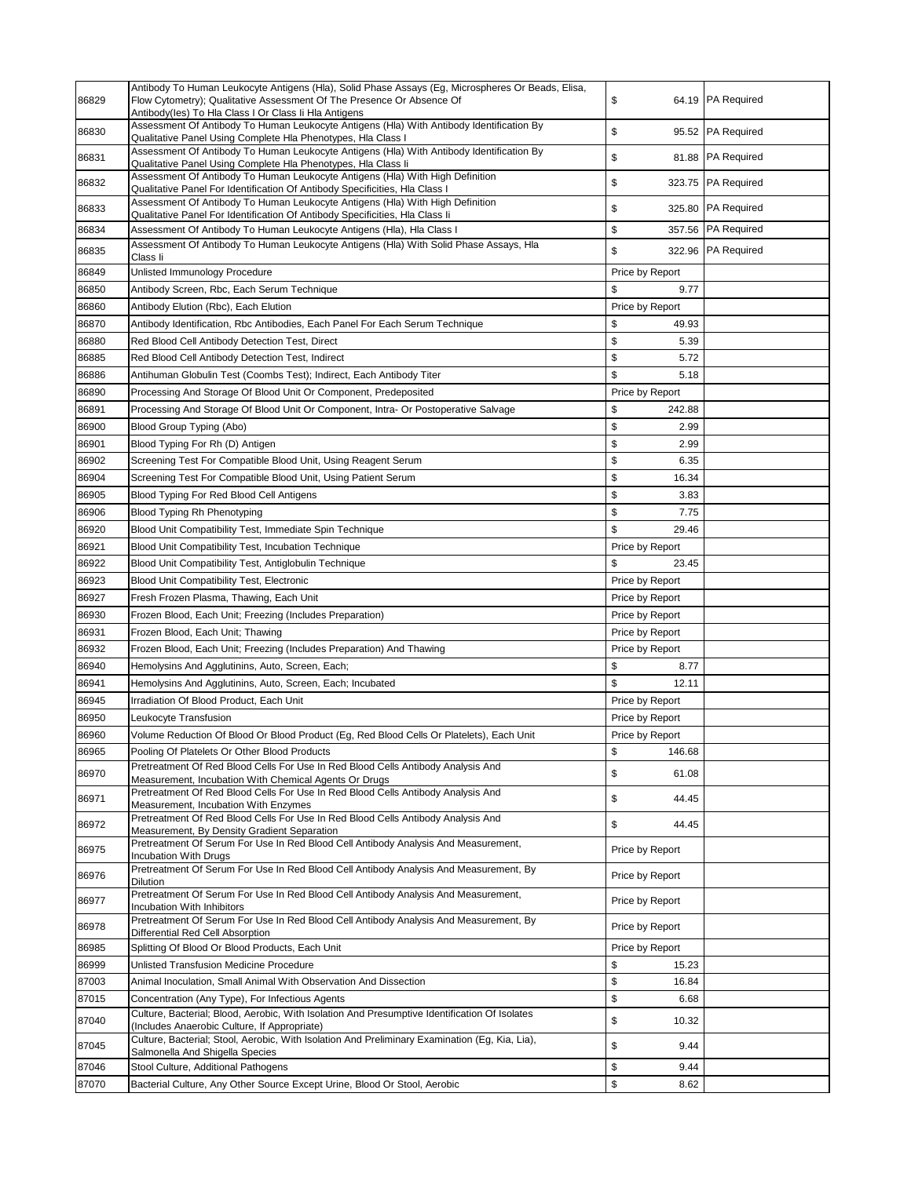| 86829          | Antibody To Human Leukocyte Antigens (Hla), Solid Phase Assays (Eg, Microspheres Or Beads, Elisa,<br>Flow Cytometry); Qualitative Assessment Of The Presence Or Absence Of<br>Antibody(les) To Hla Class I Or Class Ii Hla Antigens | \$<br>64.19                   | <b>PA Required</b> |
|----------------|-------------------------------------------------------------------------------------------------------------------------------------------------------------------------------------------------------------------------------------|-------------------------------|--------------------|
| 86830          | Assessment Of Antibody To Human Leukocyte Antigens (Hla) With Antibody Identification By<br>Qualitative Panel Using Complete Hla Phenotypes, Hla Class I                                                                            | \$                            | 95.52 PA Required  |
| 86831          | Assessment Of Antibody To Human Leukocyte Antigens (Hla) With Antibody Identification By<br>Qualitative Panel Using Complete Hla Phenotypes, Hla Class li                                                                           | \$                            | 81.88 PA Required  |
| 86832          | Assessment Of Antibody To Human Leukocyte Antigens (Hla) With High Definition<br>Qualitative Panel For Identification Of Antibody Specificities, Hla Class I                                                                        | \$                            | 323.75 PA Required |
| 86833          | Assessment Of Antibody To Human Leukocyte Antigens (Hla) With High Definition<br>Qualitative Panel For Identification Of Antibody Specificities, HIa Class Ii                                                                       | \$<br>325.80                  | <b>PA Required</b> |
| 86834          | Assessment Of Antibody To Human Leukocyte Antigens (Hla), Hla Class I                                                                                                                                                               | \$                            | 357.56 PA Required |
| 86835          | Assessment Of Antibody To Human Leukocyte Antigens (Hla) With Solid Phase Assays, Hla                                                                                                                                               | \$                            | 322.96 PA Required |
|                | Class li                                                                                                                                                                                                                            |                               |                    |
| 86849<br>86850 | Unlisted Immunology Procedure                                                                                                                                                                                                       | Price by Report<br>\$<br>9.77 |                    |
| 86860          | Antibody Screen, Rbc, Each Serum Technique<br>Antibody Elution (Rbc), Each Elution                                                                                                                                                  | Price by Report               |                    |
| 86870          | Antibody Identification, Rbc Antibodies, Each Panel For Each Serum Technique                                                                                                                                                        | \$<br>49.93                   |                    |
| 86880          | Red Blood Cell Antibody Detection Test, Direct                                                                                                                                                                                      | \$<br>5.39                    |                    |
| 86885          | Red Blood Cell Antibody Detection Test, Indirect                                                                                                                                                                                    | \$<br>5.72                    |                    |
| 86886          | Antihuman Globulin Test (Coombs Test); Indirect, Each Antibody Titer                                                                                                                                                                | \$<br>5.18                    |                    |
| 86890          | Processing And Storage Of Blood Unit Or Component, Predeposited                                                                                                                                                                     | Price by Report               |                    |
| 86891          | Processing And Storage Of Blood Unit Or Component, Intra- Or Postoperative Salvage                                                                                                                                                  | \$<br>242.88                  |                    |
| 86900          | Blood Group Typing (Abo)                                                                                                                                                                                                            | \$<br>2.99                    |                    |
| 86901          | Blood Typing For Rh (D) Antigen                                                                                                                                                                                                     | \$<br>2.99                    |                    |
| 86902          | Screening Test For Compatible Blood Unit, Using Reagent Serum                                                                                                                                                                       | \$<br>6.35                    |                    |
| 86904          | Screening Test For Compatible Blood Unit, Using Patient Serum                                                                                                                                                                       | \$<br>16.34                   |                    |
| 86905          | Blood Typing For Red Blood Cell Antigens                                                                                                                                                                                            | \$<br>3.83                    |                    |
| 86906          | Blood Typing Rh Phenotyping                                                                                                                                                                                                         | \$<br>7.75                    |                    |
| 86920          | Blood Unit Compatibility Test, Immediate Spin Technique                                                                                                                                                                             | \$<br>29.46                   |                    |
| 86921          | Blood Unit Compatibility Test, Incubation Technique                                                                                                                                                                                 | Price by Report               |                    |
| 86922          | Blood Unit Compatibility Test, Antiglobulin Technique                                                                                                                                                                               | \$<br>23.45                   |                    |
| 86923          | Blood Unit Compatibility Test, Electronic                                                                                                                                                                                           | Price by Report               |                    |
| 86927          | Fresh Frozen Plasma, Thawing, Each Unit                                                                                                                                                                                             | Price by Report               |                    |
| 86930          | Frozen Blood, Each Unit; Freezing (Includes Preparation)                                                                                                                                                                            | Price by Report               |                    |
| 86931          | Frozen Blood, Each Unit; Thawing                                                                                                                                                                                                    | Price by Report               |                    |
| 86932<br>86940 | Frozen Blood, Each Unit; Freezing (Includes Preparation) And Thawing<br>Hemolysins And Agglutinins, Auto, Screen, Each;                                                                                                             | Price by Report<br>\$<br>8.77 |                    |
| 86941          | Hemolysins And Agglutinins, Auto, Screen, Each; Incubated                                                                                                                                                                           | \$<br>12.11                   |                    |
| 86945          | Irradiation Of Blood Product, Each Unit                                                                                                                                                                                             | Price by Report               |                    |
| 86950          | Leukocyte Transfusion                                                                                                                                                                                                               | Price by Report               |                    |
| 86960          | Volume Reduction Of Blood Or Blood Product (Eg, Red Blood Cells Or Platelets), Each Unit                                                                                                                                            | Price by Report               |                    |
| 86965          | Pooling Of Platelets Or Other Blood Products                                                                                                                                                                                        | \$<br>146.68                  |                    |
| 86970          | Pretreatment Of Red Blood Cells For Use In Red Blood Cells Antibody Analysis And<br>Measurement, Incubation With Chemical Agents Or Drugs                                                                                           | \$<br>61.08                   |                    |
| 86971          | Pretreatment Of Red Blood Cells For Use In Red Blood Cells Antibody Analysis And<br>Measurement, Incubation With Enzymes                                                                                                            | \$<br>44.45                   |                    |
| 86972          | Pretreatment Of Red Blood Cells For Use In Red Blood Cells Antibody Analysis And<br>Measurement, By Density Gradient Separation                                                                                                     | \$<br>44.45                   |                    |
| 86975          | Pretreatment Of Serum For Use In Red Blood Cell Antibody Analysis And Measurement,<br><b>Incubation With Drugs</b>                                                                                                                  | Price by Report               |                    |
| 86976          | Pretreatment Of Serum For Use In Red Blood Cell Antibody Analysis And Measurement, By<br>Dilution                                                                                                                                   | Price by Report               |                    |
| 86977          | Pretreatment Of Serum For Use In Red Blood Cell Antibody Analysis And Measurement,<br>Incubation With Inhibitors                                                                                                                    | Price by Report               |                    |
| 86978          | Pretreatment Of Serum For Use In Red Blood Cell Antibody Analysis And Measurement, By<br>Differential Red Cell Absorption                                                                                                           | Price by Report               |                    |
| 86985          | Splitting Of Blood Or Blood Products, Each Unit                                                                                                                                                                                     | Price by Report               |                    |
| 86999          | Unlisted Transfusion Medicine Procedure                                                                                                                                                                                             | \$<br>15.23                   |                    |
| 87003          | Animal Inoculation, Small Animal With Observation And Dissection                                                                                                                                                                    | \$<br>16.84                   |                    |
| 87015          | Concentration (Any Type), For Infectious Agents                                                                                                                                                                                     | \$<br>6.68                    |                    |
| 87040          | Culture, Bacterial; Blood, Aerobic, With Isolation And Presumptive Identification Of Isolates<br>(Includes Anaerobic Culture, If Appropriate)                                                                                       | \$<br>10.32                   |                    |
| 87045          | Culture, Bacterial; Stool, Aerobic, With Isolation And Preliminary Examination (Eg, Kia, Lia),<br>Salmonella And Shigella Species                                                                                                   | \$<br>9.44                    |                    |
| 87046          | Stool Culture, Additional Pathogens                                                                                                                                                                                                 | \$<br>9.44                    |                    |
| 87070          | Bacterial Culture, Any Other Source Except Urine, Blood Or Stool, Aerobic                                                                                                                                                           | \$<br>8.62                    |                    |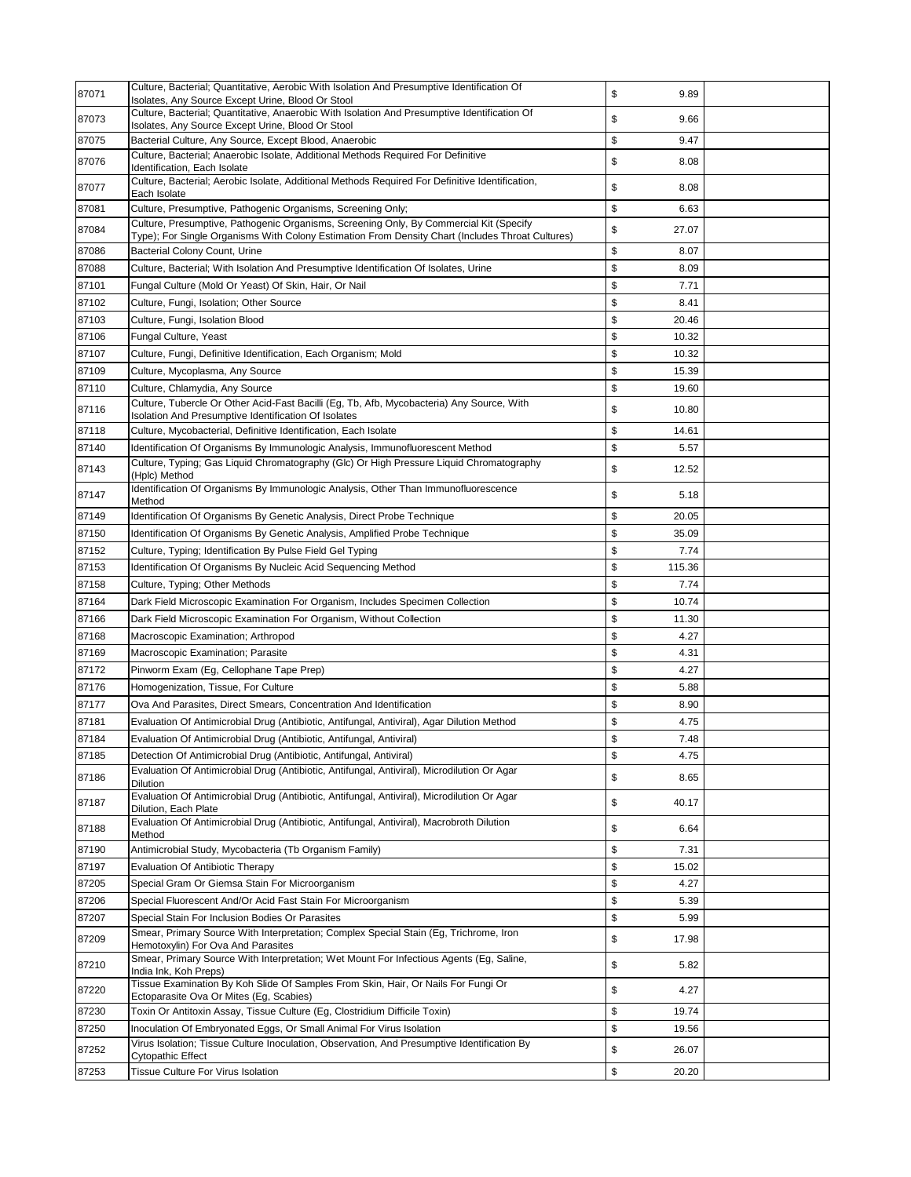| 87071          | Culture, Bacterial; Quantitative, Aerobic With Isolation And Presumptive Identification Of<br>Isolates, Any Source Except Urine, Blood Or Stool | \$<br>9.89         |  |
|----------------|-------------------------------------------------------------------------------------------------------------------------------------------------|--------------------|--|
| 87073          | Culture, Bacterial; Quantitative, Anaerobic With Isolation And Presumptive Identification Of                                                    | \$<br>9.66         |  |
| 87075          | Isolates, Any Source Except Urine, Blood Or Stool                                                                                               | \$<br>9.47         |  |
|                | Bacterial Culture, Any Source, Except Blood, Anaerobic<br>Culture, Bacterial; Anaerobic Isolate, Additional Methods Required For Definitive     |                    |  |
| 87076          | Identification, Each Isolate                                                                                                                    | \$<br>8.08         |  |
| 87077          | Culture, Bacterial; Aerobic Isolate, Additional Methods Required For Definitive Identification,<br>Each Isolate                                 | \$<br>8.08         |  |
| 87081          | Culture, Presumptive, Pathogenic Organisms, Screening Only;                                                                                     | \$<br>6.63         |  |
| 87084          | Culture, Presumptive, Pathogenic Organisms, Screening Only, By Commercial Kit (Specify                                                          | \$<br>27.07        |  |
|                | Type); For Single Organisms With Colony Estimation From Density Chart (Includes Throat Cultures)<br>Bacterial Colony Count, Urine               | \$<br>8.07         |  |
| 87086<br>87088 |                                                                                                                                                 | \$                 |  |
|                | Culture, Bacterial; With Isolation And Presumptive Identification Of Isolates, Urine                                                            | 8.09<br>\$         |  |
| 87101<br>87102 | Fungal Culture (Mold Or Yeast) Of Skin, Hair, Or Nail<br>Culture, Fungi, Isolation; Other Source                                                | 7.71<br>\$<br>8.41 |  |
| 87103          | Culture, Fungi, Isolation Blood                                                                                                                 | \$<br>20.46        |  |
| 87106          | Fungal Culture, Yeast                                                                                                                           | \$<br>10.32        |  |
| 87107          | Culture, Fungi, Definitive Identification, Each Organism; Mold                                                                                  | \$<br>10.32        |  |
| 87109          | Culture, Mycoplasma, Any Source                                                                                                                 | \$<br>15.39        |  |
| 87110          | Culture, Chlamydia, Any Source                                                                                                                  | \$<br>19.60        |  |
|                | Culture, Tubercle Or Other Acid-Fast Bacilli (Eg, Tb, Afb, Mycobacteria) Any Source, With                                                       |                    |  |
| 87116          | Isolation And Presumptive Identification Of Isolates                                                                                            | \$<br>10.80        |  |
| 87118          | Culture, Mycobacterial, Definitive Identification, Each Isolate                                                                                 | \$<br>14.61        |  |
| 87140          | Identification Of Organisms By Immunologic Analysis, Immunofluorescent Method                                                                   | \$<br>5.57         |  |
| 87143          | Culture, Typing; Gas Liquid Chromatography (Glc) Or High Pressure Liquid Chromatography<br>(Hplc) Method                                        | \$<br>12.52        |  |
| 87147          | Identification Of Organisms By Immunologic Analysis, Other Than Immunofluorescence<br>Method                                                    | \$<br>5.18         |  |
| 87149          | Identification Of Organisms By Genetic Analysis, Direct Probe Technique                                                                         | \$<br>20.05        |  |
| 87150          | Identification Of Organisms By Genetic Analysis, Amplified Probe Technique                                                                      | \$<br>35.09        |  |
| 87152          | Culture, Typing; Identification By Pulse Field Gel Typing                                                                                       | \$<br>7.74         |  |
| 87153          | Identification Of Organisms By Nucleic Acid Sequencing Method                                                                                   | \$<br>115.36       |  |
| 87158          | Culture, Typing; Other Methods                                                                                                                  | \$<br>7.74         |  |
| 87164          | Dark Field Microscopic Examination For Organism, Includes Specimen Collection                                                                   | \$<br>10.74        |  |
| 87166          | Dark Field Microscopic Examination For Organism, Without Collection                                                                             | \$<br>11.30        |  |
| 87168          | Macroscopic Examination; Arthropod                                                                                                              | \$<br>4.27         |  |
| 87169          | Macroscopic Examination; Parasite                                                                                                               | \$<br>4.31         |  |
| 87172          | Pinworm Exam (Eg, Cellophane Tape Prep)                                                                                                         | \$<br>4.27         |  |
| 87176          | Homogenization, Tissue, For Culture                                                                                                             | \$<br>5.88         |  |
| 87177          | Ova And Parasites, Direct Smears, Concentration And Identification                                                                              | \$<br>8.90         |  |
| 87181          | Evaluation Of Antimicrobial Drug (Antibiotic, Antifungal, Antiviral), Agar Dilution Method                                                      | \$<br>4.75         |  |
| 87184          | Evaluation Of Antimicrobial Drug (Antibiotic, Antifungal, Antiviral)                                                                            | \$<br>7.48         |  |
| 87185          | Detection Of Antimicrobial Drug (Antibiotic, Antifungal, Antiviral)                                                                             | \$<br>4.75         |  |
| 87186          | Evaluation Of Antimicrobial Drug (Antibiotic, Antifungal, Antiviral), Microdilution Or Agar<br><b>Dilution</b>                                  | \$<br>8.65         |  |
| 87187          | Evaluation Of Antimicrobial Drug (Antibiotic, Antifungal, Antiviral), Microdilution Or Agar<br>Dilution, Each Plate                             | \$<br>40.17        |  |
| 87188          | Evaluation Of Antimicrobial Drug (Antibiotic, Antifungal, Antiviral), Macrobroth Dilution<br>Method                                             | \$<br>6.64         |  |
| 87190          | Antimicrobial Study, Mycobacteria (Tb Organism Family)                                                                                          | \$<br>7.31         |  |
| 87197          | <b>Evaluation Of Antibiotic Therapy</b>                                                                                                         | \$<br>15.02        |  |
| 87205          | Special Gram Or Giemsa Stain For Microorganism                                                                                                  | \$<br>4.27         |  |
| 87206          | Special Fluorescent And/Or Acid Fast Stain For Microorganism                                                                                    | \$<br>5.39         |  |
| 87207          | Special Stain For Inclusion Bodies Or Parasites                                                                                                 | \$<br>5.99         |  |
| 87209          | Smear, Primary Source With Interpretation; Complex Special Stain (Eg, Trichrome, Iron<br>Hemotoxylin) For Ova And Parasites                     | \$<br>17.98        |  |
| 87210          | Smear, Primary Source With Interpretation; Wet Mount For Infectious Agents (Eg, Saline,<br>India Ink, Koh Preps)                                | \$<br>5.82         |  |
| 87220          | Tissue Examination By Koh Slide Of Samples From Skin, Hair, Or Nails For Fungi Or<br>Ectoparasite Ova Or Mites (Eg, Scabies)                    | \$<br>4.27         |  |
| 87230          | Toxin Or Antitoxin Assay, Tissue Culture (Eg, Clostridium Difficile Toxin)                                                                      | \$<br>19.74        |  |
| 87250          | Inoculation Of Embryonated Eggs, Or Small Animal For Virus Isolation                                                                            | \$<br>19.56        |  |
| 87252          | Virus Isolation; Tissue Culture Inoculation, Observation, And Presumptive Identification By                                                     | \$<br>26.07        |  |
| 87253          | <b>Cytopathic Effect</b><br>Tissue Culture For Virus Isolation                                                                                  | \$<br>20.20        |  |
|                |                                                                                                                                                 |                    |  |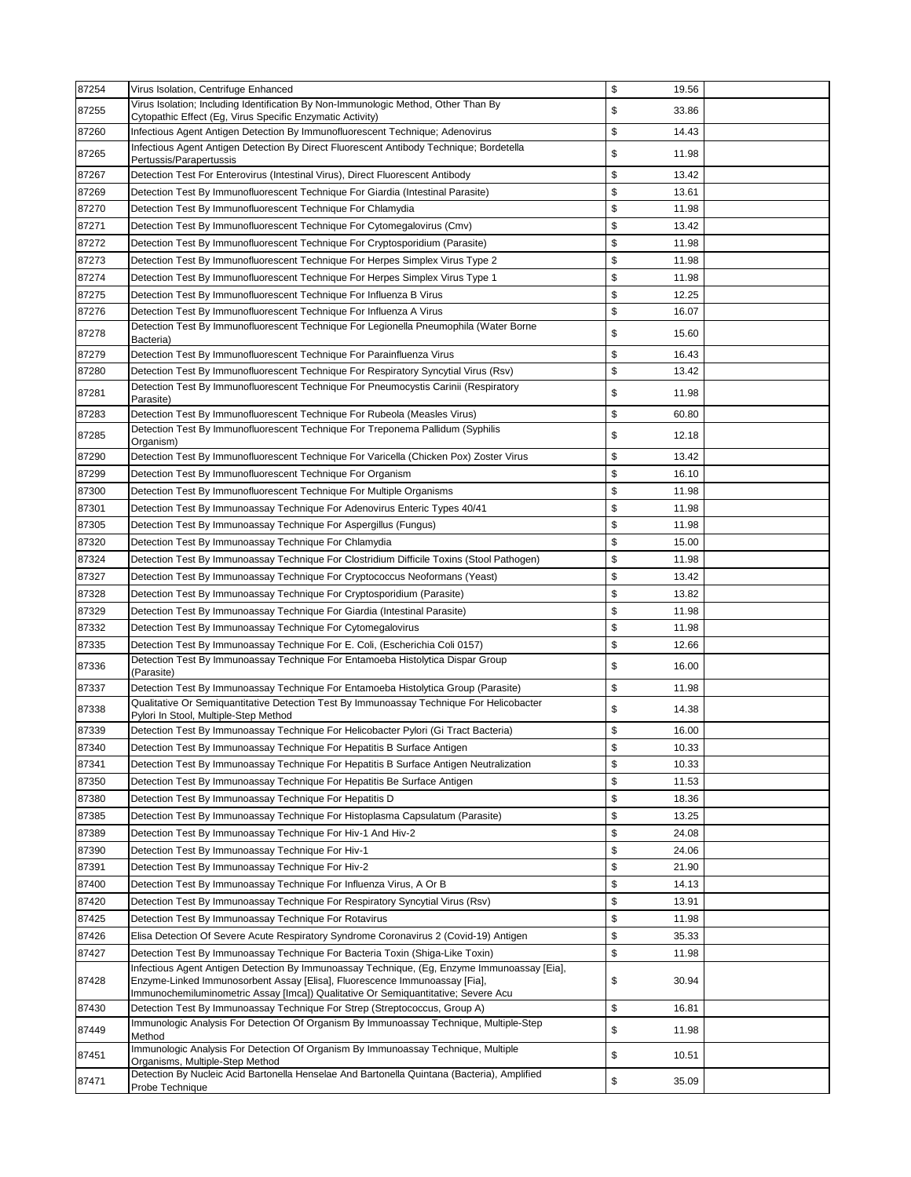| 87254 | Virus Isolation, Centrifuge Enhanced                                                                                                                                                                                                                           | \$<br>19.56 |  |
|-------|----------------------------------------------------------------------------------------------------------------------------------------------------------------------------------------------------------------------------------------------------------------|-------------|--|
| 87255 | Virus Isolation; Including Identification By Non-Immunologic Method, Other Than By<br>Cytopathic Effect (Eg, Virus Specific Enzymatic Activity)                                                                                                                | \$<br>33.86 |  |
| 87260 | Infectious Agent Antigen Detection By Immunofluorescent Technique; Adenovirus                                                                                                                                                                                  | \$<br>14.43 |  |
| 87265 | Infectious Agent Antigen Detection By Direct Fluorescent Antibody Technique; Bordetella<br>Pertussis/Parapertussis                                                                                                                                             | \$<br>11.98 |  |
| 87267 | Detection Test For Enterovirus (Intestinal Virus), Direct Fluorescent Antibody                                                                                                                                                                                 | \$<br>13.42 |  |
| 87269 | Detection Test By Immunofluorescent Technique For Giardia (Intestinal Parasite)                                                                                                                                                                                | \$<br>13.61 |  |
| 87270 | Detection Test By Immunofluorescent Technique For Chlamydia                                                                                                                                                                                                    | \$<br>11.98 |  |
| 87271 | Detection Test By Immunofluorescent Technique For Cytomegalovirus (Cmv)                                                                                                                                                                                        | \$<br>13.42 |  |
| 87272 | Detection Test By Immunofluorescent Technique For Cryptosporidium (Parasite)                                                                                                                                                                                   | \$<br>11.98 |  |
| 87273 | Detection Test By Immunofluorescent Technique For Herpes Simplex Virus Type 2                                                                                                                                                                                  | \$<br>11.98 |  |
| 87274 | Detection Test By Immunofluorescent Technique For Herpes Simplex Virus Type 1                                                                                                                                                                                  | \$<br>11.98 |  |
| 87275 | Detection Test By Immunofluorescent Technique For Influenza B Virus                                                                                                                                                                                            | \$<br>12.25 |  |
| 87276 | Detection Test By Immunofluorescent Technique For Influenza A Virus                                                                                                                                                                                            | \$<br>16.07 |  |
| 87278 | Detection Test By Immunofluorescent Technique For Legionella Pneumophila (Water Borne                                                                                                                                                                          | \$<br>15.60 |  |
|       | Bacteria)                                                                                                                                                                                                                                                      |             |  |
| 87279 | Detection Test By Immunofluorescent Technique For Parainfluenza Virus                                                                                                                                                                                          | \$<br>16.43 |  |
| 87280 | Detection Test By Immunofluorescent Technique For Respiratory Syncytial Virus (Rsv)<br>Detection Test By Immunofluorescent Technique For Pneumocystis Carinii (Respiratory                                                                                     | \$<br>13.42 |  |
| 87281 | Parasite)                                                                                                                                                                                                                                                      | \$<br>11.98 |  |
| 87283 | Detection Test By Immunofluorescent Technique For Rubeola (Measles Virus)                                                                                                                                                                                      | \$<br>60.80 |  |
| 87285 | Detection Test By Immunofluorescent Technique For Treponema Pallidum (Syphilis<br>Organism)                                                                                                                                                                    | \$<br>12.18 |  |
| 87290 | Detection Test By Immunofluorescent Technique For Varicella (Chicken Pox) Zoster Virus                                                                                                                                                                         | \$<br>13.42 |  |
| 87299 | Detection Test By Immunofluorescent Technique For Organism                                                                                                                                                                                                     | \$<br>16.10 |  |
| 87300 | Detection Test By Immunofluorescent Technique For Multiple Organisms                                                                                                                                                                                           | \$<br>11.98 |  |
| 87301 | Detection Test By Immunoassay Technique For Adenovirus Enteric Types 40/41                                                                                                                                                                                     | \$<br>11.98 |  |
| 87305 | Detection Test By Immunoassay Technique For Aspergillus (Fungus)                                                                                                                                                                                               | \$<br>11.98 |  |
| 87320 | Detection Test By Immunoassay Technique For Chlamydia                                                                                                                                                                                                          | \$<br>15.00 |  |
| 87324 | Detection Test By Immunoassay Technique For Clostridium Difficile Toxins (Stool Pathogen)                                                                                                                                                                      | \$<br>11.98 |  |
| 87327 | Detection Test By Immunoassay Technique For Cryptococcus Neoformans (Yeast)                                                                                                                                                                                    | \$<br>13.42 |  |
| 87328 | Detection Test By Immunoassay Technique For Cryptosporidium (Parasite)                                                                                                                                                                                         | \$<br>13.82 |  |
| 87329 | Detection Test By Immunoassay Technique For Giardia (Intestinal Parasite)                                                                                                                                                                                      | \$<br>11.98 |  |
| 87332 | Detection Test By Immunoassay Technique For Cytomegalovirus                                                                                                                                                                                                    | \$<br>11.98 |  |
| 87335 | Detection Test By Immunoassay Technique For E. Coli, (Escherichia Coli 0157)                                                                                                                                                                                   | \$<br>12.66 |  |
| 87336 | Detection Test By Immunoassay Technique For Entamoeba Histolytica Dispar Group<br>(Parasite)                                                                                                                                                                   | \$<br>16.00 |  |
| 87337 | Detection Test By Immunoassay Technique For Entamoeba Histolytica Group (Parasite)                                                                                                                                                                             | \$<br>11.98 |  |
| 87338 | Qualitative Or Semiquantitative Detection Test By Immunoassay Technique For Helicobacter<br>Pylori In Stool, Multiple-Step Method                                                                                                                              | \$<br>14.38 |  |
| 87339 | Detection Test By Immunoassay Technique For Helicobacter Pylori (Gi Tract Bacteria)                                                                                                                                                                            | \$<br>16.00 |  |
| 87340 | Detection Test By Immunoassay Technique For Hepatitis B Surface Antigen                                                                                                                                                                                        | \$<br>10.33 |  |
| 87341 | Detection Test By Immunoassay Technique For Hepatitis B Surface Antigen Neutralization                                                                                                                                                                         | \$<br>10.33 |  |
| 87350 | Detection Test By Immunoassay Technique For Hepatitis Be Surface Antigen                                                                                                                                                                                       | \$<br>11.53 |  |
| 87380 | Detection Test By Immunoassay Technique For Hepatitis D                                                                                                                                                                                                        | \$<br>18.36 |  |
| 87385 | Detection Test By Immunoassay Technique For Histoplasma Capsulatum (Parasite)                                                                                                                                                                                  | \$<br>13.25 |  |
| 87389 | Detection Test By Immunoassay Technique For Hiv-1 And Hiv-2                                                                                                                                                                                                    | \$<br>24.08 |  |
| 87390 | Detection Test By Immunoassay Technique For Hiv-1                                                                                                                                                                                                              | \$<br>24.06 |  |
| 87391 | Detection Test By Immunoassay Technique For Hiv-2                                                                                                                                                                                                              | \$<br>21.90 |  |
| 87400 | Detection Test By Immunoassay Technique For Influenza Virus, A Or B                                                                                                                                                                                            | \$<br>14.13 |  |
| 87420 | Detection Test By Immunoassay Technique For Respiratory Syncytial Virus (Rsv)                                                                                                                                                                                  | \$<br>13.91 |  |
| 87425 | Detection Test By Immunoassay Technique For Rotavirus                                                                                                                                                                                                          | \$<br>11.98 |  |
| 87426 | Elisa Detection Of Severe Acute Respiratory Syndrome Coronavirus 2 (Covid-19) Antigen                                                                                                                                                                          | \$<br>35.33 |  |
| 87427 | Detection Test By Immunoassay Technique For Bacteria Toxin (Shiga-Like Toxin)                                                                                                                                                                                  | \$<br>11.98 |  |
| 87428 | Infectious Agent Antigen Detection By Immunoassay Technique, (Eg, Enzyme Immunoassay [Eia],<br>Enzyme-Linked Immunosorbent Assay [Elisa], Fluorescence Immunoassay [Fia],<br>Immunochemiluminometric Assay [Imca]) Qualitative Or Semiquantitative; Severe Acu | \$<br>30.94 |  |
| 87430 | Detection Test By Immunoassay Technique For Strep (Streptococcus, Group A)                                                                                                                                                                                     | \$<br>16.81 |  |
| 87449 | Immunologic Analysis For Detection Of Organism By Immunoassay Technique, Multiple-Step<br>Method                                                                                                                                                               | \$<br>11.98 |  |
| 87451 | Immunologic Analysis For Detection Of Organism By Immunoassay Technique, Multiple<br>Organisms, Multiple-Step Method                                                                                                                                           | \$<br>10.51 |  |
| 87471 | Detection By Nucleic Acid Bartonella Henselae And Bartonella Quintana (Bacteria), Amplified<br>Probe Technique                                                                                                                                                 | \$<br>35.09 |  |
|       |                                                                                                                                                                                                                                                                |             |  |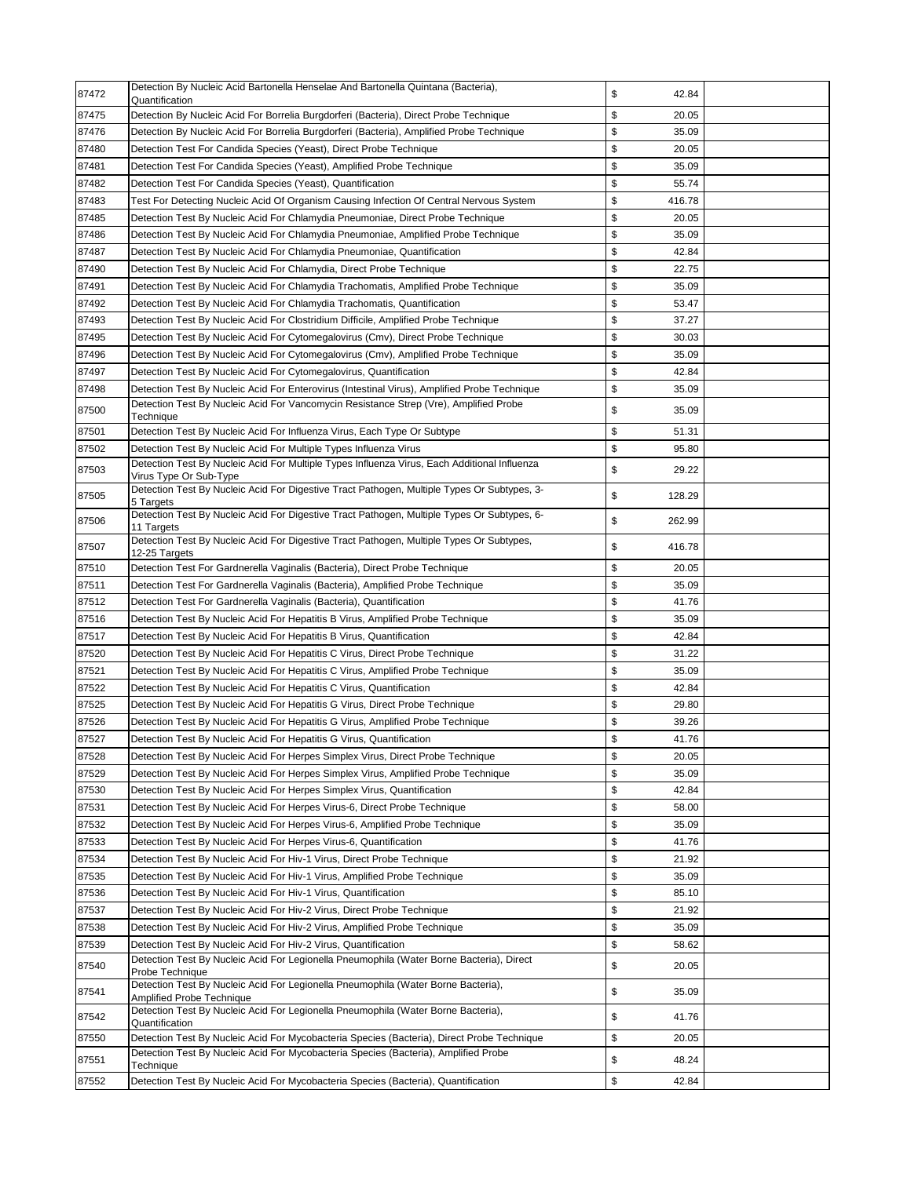| 87472 | Detection By Nucleic Acid Bartonella Henselae And Bartonella Quintana (Bacteria),<br>Quantification                    | \$<br>42.84  |  |
|-------|------------------------------------------------------------------------------------------------------------------------|--------------|--|
| 87475 | Detection By Nucleic Acid For Borrelia Burgdorferi (Bacteria), Direct Probe Technique                                  | \$<br>20.05  |  |
| 87476 | Detection By Nucleic Acid For Borrelia Burgdorferi (Bacteria), Amplified Probe Technique                               | \$<br>35.09  |  |
| 87480 | Detection Test For Candida Species (Yeast), Direct Probe Technique                                                     | \$<br>20.05  |  |
| 87481 | Detection Test For Candida Species (Yeast), Amplified Probe Technique                                                  | \$<br>35.09  |  |
| 87482 | Detection Test For Candida Species (Yeast), Quantification                                                             | \$<br>55.74  |  |
| 87483 | Test For Detecting Nucleic Acid Of Organism Causing Infection Of Central Nervous System                                | \$<br>416.78 |  |
| 87485 | Detection Test By Nucleic Acid For Chlamydia Pneumoniae, Direct Probe Technique                                        | \$<br>20.05  |  |
| 87486 | Detection Test By Nucleic Acid For Chlamydia Pneumoniae, Amplified Probe Technique                                     | \$<br>35.09  |  |
| 87487 | Detection Test By Nucleic Acid For Chlamydia Pneumoniae, Quantification                                                | \$<br>42.84  |  |
| 87490 | Detection Test By Nucleic Acid For Chlamydia, Direct Probe Technique                                                   | \$<br>22.75  |  |
| 87491 | Detection Test By Nucleic Acid For Chlamydia Trachomatis, Amplified Probe Technique                                    | \$<br>35.09  |  |
| 87492 | Detection Test By Nucleic Acid For Chlamydia Trachomatis, Quantification                                               | \$<br>53.47  |  |
| 87493 | Detection Test By Nucleic Acid For Clostridium Difficile, Amplified Probe Technique                                    | \$<br>37.27  |  |
| 87495 | Detection Test By Nucleic Acid For Cytomegalovirus (Cmv), Direct Probe Technique                                       | \$<br>30.03  |  |
| 87496 | Detection Test By Nucleic Acid For Cytomegalovirus (Cmv), Amplified Probe Technique                                    | \$<br>35.09  |  |
| 87497 | Detection Test By Nucleic Acid For Cytomegalovirus, Quantification                                                     | \$<br>42.84  |  |
| 87498 | Detection Test By Nucleic Acid For Enterovirus (Intestinal Virus), Amplified Probe Technique                           | \$<br>35.09  |  |
| 87500 | Detection Test By Nucleic Acid For Vancomycin Resistance Strep (Vre), Amplified Probe<br>Technique                     | \$<br>35.09  |  |
| 87501 | Detection Test By Nucleic Acid For Influenza Virus, Each Type Or Subtype                                               | \$<br>51.31  |  |
| 87502 | Detection Test By Nucleic Acid For Multiple Types Influenza Virus                                                      | \$<br>95.80  |  |
| 87503 | Detection Test By Nucleic Acid For Multiple Types Influenza Virus, Each Additional Influenza<br>Virus Type Or Sub-Type | \$<br>29.22  |  |
| 87505 | Detection Test By Nucleic Acid For Digestive Tract Pathogen, Multiple Types Or Subtypes, 3-<br>5 Targets               | \$<br>128.29 |  |
| 87506 | Detection Test By Nucleic Acid For Digestive Tract Pathogen, Multiple Types Or Subtypes, 6-<br>11 Targets              | \$<br>262.99 |  |
| 87507 | Detection Test By Nucleic Acid For Digestive Tract Pathogen, Multiple Types Or Subtypes,<br>12-25 Targets              | \$<br>416.78 |  |
| 87510 | Detection Test For Gardnerella Vaginalis (Bacteria), Direct Probe Technique                                            | \$<br>20.05  |  |
| 87511 | Detection Test For Gardnerella Vaginalis (Bacteria), Amplified Probe Technique                                         | \$<br>35.09  |  |
| 87512 | Detection Test For Gardnerella Vaginalis (Bacteria), Quantification                                                    | \$<br>41.76  |  |
| 87516 | Detection Test By Nucleic Acid For Hepatitis B Virus, Amplified Probe Technique                                        | \$<br>35.09  |  |
| 87517 | Detection Test By Nucleic Acid For Hepatitis B Virus, Quantification                                                   | \$<br>42.84  |  |
| 87520 | Detection Test By Nucleic Acid For Hepatitis C Virus, Direct Probe Technique                                           | \$<br>31.22  |  |
| 87521 | Detection Test By Nucleic Acid For Hepatitis C Virus, Amplified Probe Technique                                        | \$<br>35.09  |  |
| 87522 | Detection Test By Nucleic Acid For Hepatitis C Virus, Quantification                                                   | \$<br>42.84  |  |
| 87525 | Detection Test By Nucleic Acid For Hepatitis G Virus, Direct Probe Technique                                           | \$<br>29.80  |  |
| 87526 | Detection Test By Nucleic Acid For Hepatitis G Virus, Amplified Probe Technique                                        | \$<br>39.26  |  |
| 87527 | Detection Test By Nucleic Acid For Hepatitis G Virus, Quantification                                                   | \$<br>41.76  |  |
| 87528 | Detection Test By Nucleic Acid For Herpes Simplex Virus, Direct Probe Technique                                        | \$<br>20.05  |  |
| 87529 | Detection Test By Nucleic Acid For Herpes Simplex Virus, Amplified Probe Technique                                     | \$<br>35.09  |  |
| 87530 | Detection Test By Nucleic Acid For Herpes Simplex Virus, Quantification                                                | \$<br>42.84  |  |
| 87531 | Detection Test By Nucleic Acid For Herpes Virus-6, Direct Probe Technique                                              | \$<br>58.00  |  |
| 87532 | Detection Test By Nucleic Acid For Herpes Virus-6, Amplified Probe Technique                                           | \$<br>35.09  |  |
| 87533 | Detection Test By Nucleic Acid For Herpes Virus-6, Quantification                                                      | \$<br>41.76  |  |
| 87534 | Detection Test By Nucleic Acid For Hiv-1 Virus, Direct Probe Technique                                                 | \$<br>21.92  |  |
| 87535 | Detection Test By Nucleic Acid For Hiv-1 Virus, Amplified Probe Technique                                              | \$<br>35.09  |  |
| 87536 | Detection Test By Nucleic Acid For Hiv-1 Virus, Quantification                                                         | \$<br>85.10  |  |
| 87537 | Detection Test By Nucleic Acid For Hiv-2 Virus, Direct Probe Technique                                                 | \$<br>21.92  |  |
| 87538 | Detection Test By Nucleic Acid For Hiv-2 Virus, Amplified Probe Technique                                              | \$<br>35.09  |  |
| 87539 | Detection Test By Nucleic Acid For Hiv-2 Virus, Quantification                                                         | \$<br>58.62  |  |
| 87540 | Detection Test By Nucleic Acid For Legionella Pneumophila (Water Borne Bacteria), Direct<br>Probe Technique            | \$<br>20.05  |  |
| 87541 | Detection Test By Nucleic Acid For Legionella Pneumophila (Water Borne Bacteria),<br><b>Amplified Probe Technique</b>  | \$<br>35.09  |  |
| 87542 | Detection Test By Nucleic Acid For Legionella Pneumophila (Water Borne Bacteria),<br>Quantification                    | \$<br>41.76  |  |
| 87550 | Detection Test By Nucleic Acid For Mycobacteria Species (Bacteria), Direct Probe Technique                             | \$<br>20.05  |  |
| 87551 | Detection Test By Nucleic Acid For Mycobacteria Species (Bacteria), Amplified Probe<br>Technique                       | \$<br>48.24  |  |
| 87552 | Detection Test By Nucleic Acid For Mycobacteria Species (Bacteria), Quantification                                     | \$<br>42.84  |  |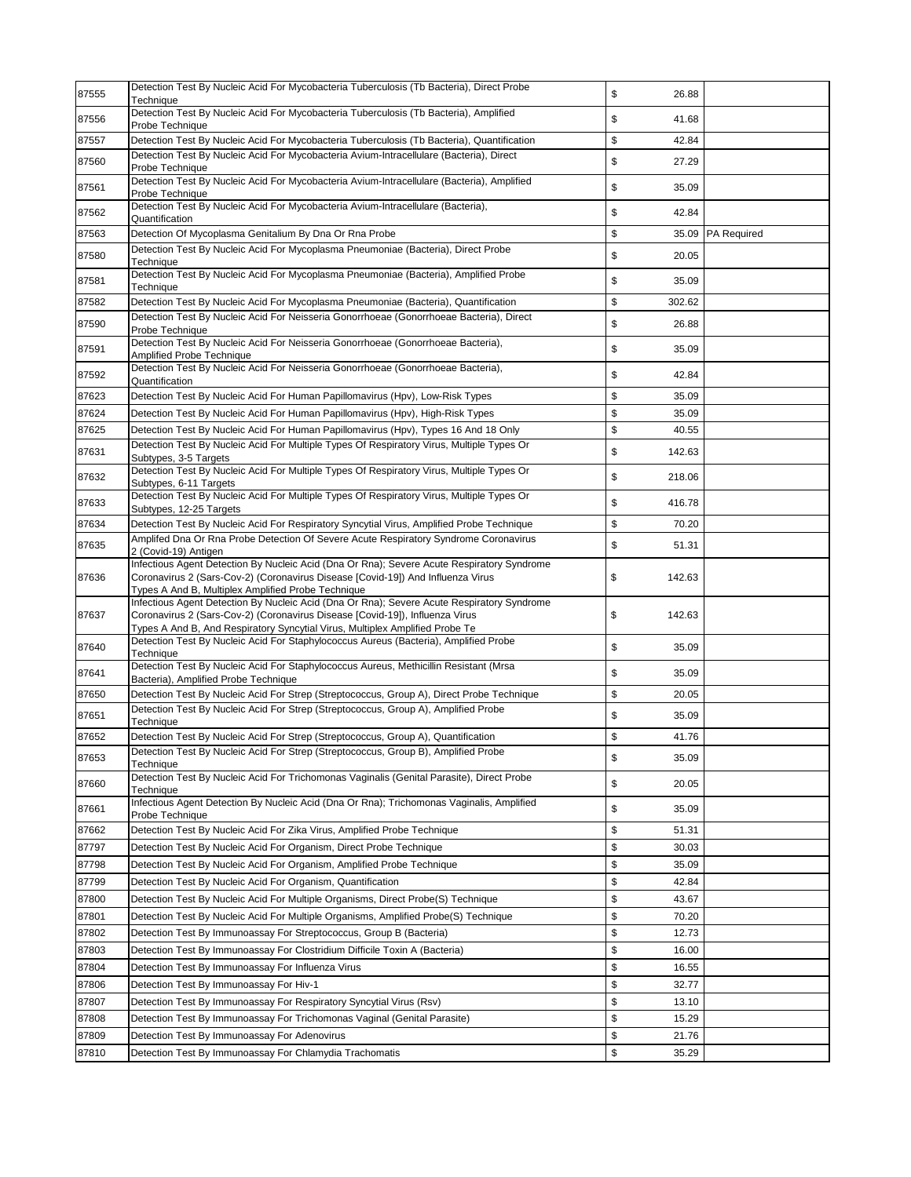| 87555          | Detection Test By Nucleic Acid For Mycobacteria Tuberculosis (Tb Bacteria), Direct Probe<br>Technique                                                                           | \$<br>26.88                |             |
|----------------|---------------------------------------------------------------------------------------------------------------------------------------------------------------------------------|----------------------------|-------------|
| 87556          | Detection Test By Nucleic Acid For Mycobacteria Tuberculosis (Tb Bacteria), Amplified<br>Probe Technique                                                                        | \$<br>41.68                |             |
| 87557          | Detection Test By Nucleic Acid For Mycobacteria Tuberculosis (Tb Bacteria), Quantification                                                                                      | \$<br>42.84                |             |
| 87560          | Detection Test By Nucleic Acid For Mycobacteria Avium-Intracellulare (Bacteria), Direct<br>Probe Technique                                                                      | \$<br>27.29                |             |
| 87561          | Detection Test By Nucleic Acid For Mycobacteria Avium-Intracellulare (Bacteria), Amplified<br>Probe Technique                                                                   | \$<br>35.09                |             |
| 87562          | Detection Test By Nucleic Acid For Mycobacteria Avium-Intracellulare (Bacteria),<br>Quantification                                                                              | \$<br>42.84                |             |
| 87563          | Detection Of Mycoplasma Genitalium By Dna Or Rna Probe                                                                                                                          | \$<br>35.09                | PA Required |
| 87580          | Detection Test By Nucleic Acid For Mycoplasma Pneumoniae (Bacteria), Direct Probe<br>Technique                                                                                  | \$<br>20.05                |             |
| 87581          | Detection Test By Nucleic Acid For Mycoplasma Pneumoniae (Bacteria), Amplified Probe<br>Technique                                                                               | \$<br>35.09                |             |
| 87582          | Detection Test By Nucleic Acid For Mycoplasma Pneumoniae (Bacteria), Quantification                                                                                             | \$<br>302.62               |             |
| 87590          | Detection Test By Nucleic Acid For Neisseria Gonorrhoeae (Gonorrhoeae Bacteria), Direct<br>Probe Technique                                                                      | \$<br>26.88                |             |
| 87591          | Detection Test By Nucleic Acid For Neisseria Gonorrhoeae (Gonorrhoeae Bacteria),<br><b>Amplified Probe Technique</b>                                                            | \$<br>35.09                |             |
| 87592          | Detection Test By Nucleic Acid For Neisseria Gonorrhoeae (Gonorrhoeae Bacteria),<br>Quantification                                                                              | \$<br>42.84                |             |
| 87623          | Detection Test By Nucleic Acid For Human Papillomavirus (Hpv), Low-Risk Types                                                                                                   | \$<br>35.09                |             |
| 87624          | Detection Test By Nucleic Acid For Human Papillomavirus (Hpv), High-Risk Types                                                                                                  | \$<br>35.09                |             |
| 87625          | Detection Test By Nucleic Acid For Human Papillomavirus (Hpv), Types 16 And 18 Only                                                                                             | \$<br>40.55                |             |
| 87631          | Detection Test By Nucleic Acid For Multiple Types Of Respiratory Virus, Multiple Types Or<br>Subtypes, 3-5 Targets                                                              | \$<br>142.63               |             |
| 87632          | Detection Test By Nucleic Acid For Multiple Types Of Respiratory Virus, Multiple Types Or                                                                                       | \$<br>218.06               |             |
| 87633          | Subtypes, 6-11 Targets<br>Detection Test By Nucleic Acid For Multiple Types Of Respiratory Virus, Multiple Types Or                                                             | \$<br>416.78               |             |
| 87634          | Subtypes, 12-25 Targets<br>Detection Test By Nucleic Acid For Respiratory Syncytial Virus, Amplified Probe Technique                                                            | \$<br>70.20                |             |
| 87635          | Amplifed Dna Or Rna Probe Detection Of Severe Acute Respiratory Syndrome Coronavirus                                                                                            | \$<br>51.31                |             |
|                | 2 (Covid-19) Antigen<br>Infectious Agent Detection By Nucleic Acid (Dna Or Rna); Severe Acute Respiratory Syndrome                                                              |                            |             |
| 87636          | Coronavirus 2 (Sars-Cov-2) (Coronavirus Disease [Covid-19]) And Influenza Virus<br>Types A And B, Multiplex Amplified Probe Technique                                           | \$<br>142.63               |             |
| 87637          | Infectious Agent Detection By Nucleic Acid (Dna Or Rna); Severe Acute Respiratory Syndrome<br>Coronavirus 2 (Sars-Cov-2) (Coronavirus Disease [Covid-19]), Influenza Virus      | \$<br>142.63               |             |
| 87640          | Types A And B, And Respiratory Syncytial Virus, Multiplex Amplified Probe Te<br>Detection Test By Nucleic Acid For Staphylococcus Aureus (Bacteria), Amplified Probe            | \$<br>35.09                |             |
| 87641          | Technique<br>Detection Test By Nucleic Acid For Staphylococcus Aureus, Methicillin Resistant (Mrsa                                                                              | \$<br>35.09                |             |
|                | Bacteria), Amplified Probe Technique                                                                                                                                            | \$<br>20.05                |             |
| 87650<br>87651 | Detection Test By Nucleic Acid For Strep (Streptococcus, Group A), Direct Probe Technique<br>Detection Test By Nucleic Acid For Strep (Streptococcus, Group A), Amplified Probe | \$<br>35.09                |             |
|                | Technique                                                                                                                                                                       |                            |             |
| 87652          | Detection Test By Nucleic Acid For Strep (Streptococcus, Group A), Quantification<br>Detection Test By Nucleic Acid For Strep (Streptococcus, Group B), Amplified Probe         | \$<br>41.76                |             |
| 87653          | Technique<br>Detection Test By Nucleic Acid For Trichomonas Vaginalis (Genital Parasite), Direct Probe                                                                          | \$<br>35.09                |             |
| 87660          | Techniaue<br>Infectious Agent Detection By Nucleic Acid (Dna Or Rna); Trichomonas Vaginalis, Amplified                                                                          | \$<br>20.05                |             |
| 87661          | Probe Technique                                                                                                                                                                 | \$<br>35.09                |             |
| 87662          | Detection Test By Nucleic Acid For Zika Virus, Amplified Probe Technique                                                                                                        | \$<br>51.31                |             |
| 87797          | Detection Test By Nucleic Acid For Organism, Direct Probe Technique                                                                                                             | \$<br>30.03                |             |
| 87798          | Detection Test By Nucleic Acid For Organism, Amplified Probe Technique                                                                                                          | \$<br>35.09                |             |
| 87799          | Detection Test By Nucleic Acid For Organism, Quantification                                                                                                                     | \$<br>42.84                |             |
| 87800          | Detection Test By Nucleic Acid For Multiple Organisms, Direct Probe(S) Technique                                                                                                | \$<br>43.67                |             |
| 87801<br>87802 | Detection Test By Nucleic Acid For Multiple Organisms, Amplified Probe(S) Technique                                                                                             | \$<br>70.20<br>\$          |             |
|                | Detection Test By Immunoassay For Streptococcus, Group B (Bacteria)                                                                                                             | 12.73                      |             |
| 87803<br>87804 | Detection Test By Immunoassay For Clostridium Difficile Toxin A (Bacteria)<br>Detection Test By Immunoassay For Influenza Virus                                                 | \$<br>16.00<br>\$<br>16.55 |             |
| 87806          | Detection Test By Immunoassay For Hiv-1                                                                                                                                         | \$<br>32.77                |             |
| 87807          | Detection Test By Immunoassay For Respiratory Syncytial Virus (Rsv)                                                                                                             | \$<br>13.10                |             |
| 87808          | Detection Test By Immunoassay For Trichomonas Vaginal (Genital Parasite)                                                                                                        | \$<br>15.29                |             |
| 87809          | Detection Test By Immunoassay For Adenovirus                                                                                                                                    | \$<br>21.76                |             |
| 87810          | Detection Test By Immunoassay For Chlamydia Trachomatis                                                                                                                         | \$<br>35.29                |             |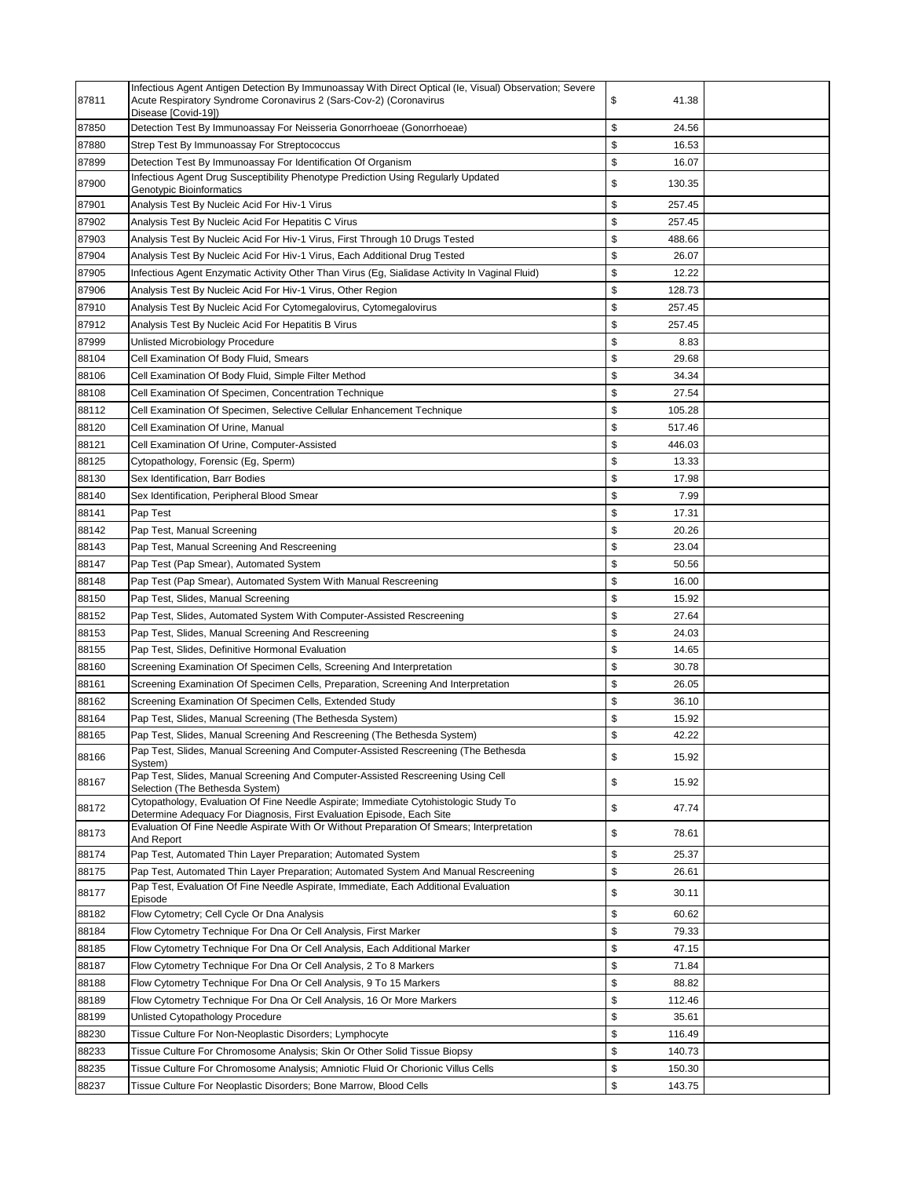| 87811 | Infectious Agent Antigen Detection By Immunoassay With Direct Optical (le, Visual) Observation; Severe<br>Acute Respiratory Syndrome Coronavirus 2 (Sars-Cov-2) (Coronavirus | \$<br>41.38  |  |
|-------|------------------------------------------------------------------------------------------------------------------------------------------------------------------------------|--------------|--|
| 87850 | Disease [Covid-19])<br>Detection Test By Immunoassay For Neisseria Gonorrhoeae (Gonorrhoeae)                                                                                 | \$<br>24.56  |  |
| 87880 | Strep Test By Immunoassay For Streptococcus                                                                                                                                  | \$<br>16.53  |  |
| 87899 | Detection Test By Immunoassay For Identification Of Organism                                                                                                                 | \$<br>16.07  |  |
| 87900 | Infectious Agent Drug Susceptibility Phenotype Prediction Using Regularly Updated<br>Genotypic Bioinformatics                                                                | \$<br>130.35 |  |
| 87901 | Analysis Test By Nucleic Acid For Hiv-1 Virus                                                                                                                                | \$<br>257.45 |  |
| 87902 | Analysis Test By Nucleic Acid For Hepatitis C Virus                                                                                                                          | \$<br>257.45 |  |
| 87903 | Analysis Test By Nucleic Acid For Hiv-1 Virus, First Through 10 Drugs Tested                                                                                                 | \$<br>488.66 |  |
| 87904 | Analysis Test By Nucleic Acid For Hiv-1 Virus, Each Additional Drug Tested                                                                                                   | \$<br>26.07  |  |
| 87905 | Infectious Agent Enzymatic Activity Other Than Virus (Eg, Sialidase Activity In Vaginal Fluid)                                                                               | \$<br>12.22  |  |
| 87906 | Analysis Test By Nucleic Acid For Hiv-1 Virus, Other Region                                                                                                                  | \$<br>128.73 |  |
| 87910 | Analysis Test By Nucleic Acid For Cytomegalovirus, Cytomegalovirus                                                                                                           | \$<br>257.45 |  |
| 87912 | Analysis Test By Nucleic Acid For Hepatitis B Virus                                                                                                                          | \$<br>257.45 |  |
| 87999 | Unlisted Microbiology Procedure                                                                                                                                              | \$<br>8.83   |  |
| 88104 | Cell Examination Of Body Fluid, Smears                                                                                                                                       | \$<br>29.68  |  |
| 88106 | Cell Examination Of Body Fluid, Simple Filter Method                                                                                                                         | \$<br>34.34  |  |
| 88108 | Cell Examination Of Specimen, Concentration Technique                                                                                                                        | \$<br>27.54  |  |
| 88112 | Cell Examination Of Specimen, Selective Cellular Enhancement Technique                                                                                                       | \$<br>105.28 |  |
| 88120 | Cell Examination Of Urine, Manual                                                                                                                                            | \$<br>517.46 |  |
| 88121 | Cell Examination Of Urine, Computer-Assisted                                                                                                                                 | \$<br>446.03 |  |
| 88125 | Cytopathology, Forensic (Eg, Sperm)                                                                                                                                          | \$<br>13.33  |  |
| 88130 | Sex Identification, Barr Bodies                                                                                                                                              | \$<br>17.98  |  |
| 88140 | Sex Identification, Peripheral Blood Smear                                                                                                                                   | \$<br>7.99   |  |
| 88141 | Pap Test                                                                                                                                                                     | \$<br>17.31  |  |
| 88142 | Pap Test, Manual Screening                                                                                                                                                   | \$<br>20.26  |  |
| 88143 | Pap Test, Manual Screening And Rescreening                                                                                                                                   | \$<br>23.04  |  |
| 88147 | Pap Test (Pap Smear), Automated System                                                                                                                                       | \$<br>50.56  |  |
| 88148 | Pap Test (Pap Smear), Automated System With Manual Rescreening                                                                                                               | \$<br>16.00  |  |
| 88150 | Pap Test, Slides, Manual Screening                                                                                                                                           | \$<br>15.92  |  |
| 88152 | Pap Test, Slides, Automated System With Computer-Assisted Rescreening                                                                                                        | \$<br>27.64  |  |
| 88153 | Pap Test, Slides, Manual Screening And Rescreening                                                                                                                           | \$<br>24.03  |  |
| 88155 | Pap Test, Slides, Definitive Hormonal Evaluation                                                                                                                             | \$<br>14.65  |  |
| 88160 | Screening Examination Of Specimen Cells, Screening And Interpretation                                                                                                        | \$<br>30.78  |  |
| 88161 | Screening Examination Of Specimen Cells, Preparation, Screening And Interpretation                                                                                           | \$<br>26.05  |  |
| 88162 | Screening Examination Of Specimen Cells, Extended Study                                                                                                                      | \$<br>36.10  |  |
| 88164 | Pap Test, Slides, Manual Screening (The Bethesda System)                                                                                                                     | \$<br>15.92  |  |
| 88165 | Pap Test, Slides, Manual Screening And Rescreening (The Bethesda System)                                                                                                     | \$<br>42.22  |  |
| 88166 | Pap Test, Slides, Manual Screening And Computer-Assisted Rescreening (The Bethesda                                                                                           | \$<br>15.92  |  |
| 88167 | System)<br>Pap Test, Slides, Manual Screening And Computer-Assisted Rescreening Using Cell                                                                                   | \$<br>15.92  |  |
| 88172 | Selection (The Bethesda System)<br>Cytopathology, Evaluation Of Fine Needle Aspirate; Immediate Cytohistologic Study To                                                      | \$<br>47.74  |  |
| 88173 | Determine Adequacy For Diagnosis, First Evaluation Episode, Each Site<br>Evaluation Of Fine Needle Aspirate With Or Without Preparation Of Smears; Interpretation            | \$<br>78.61  |  |
|       | And Report                                                                                                                                                                   |              |  |
| 88174 | Pap Test, Automated Thin Layer Preparation; Automated System                                                                                                                 | \$<br>25.37  |  |
| 88175 | Pap Test, Automated Thin Layer Preparation; Automated System And Manual Rescreening<br>Pap Test, Evaluation Of Fine Needle Aspirate, Immediate, Each Additional Evaluation   | \$<br>26.61  |  |
| 88177 | Episode                                                                                                                                                                      | \$<br>30.11  |  |
| 88182 | Flow Cytometry; Cell Cycle Or Dna Analysis                                                                                                                                   | \$<br>60.62  |  |
| 88184 | Flow Cytometry Technique For Dna Or Cell Analysis, First Marker                                                                                                              | \$<br>79.33  |  |
| 88185 | Flow Cytometry Technique For Dna Or Cell Analysis, Each Additional Marker                                                                                                    | \$<br>47.15  |  |
| 88187 | Flow Cytometry Technique For Dna Or Cell Analysis, 2 To 8 Markers                                                                                                            | \$<br>71.84  |  |
| 88188 | Flow Cytometry Technique For Dna Or Cell Analysis, 9 To 15 Markers                                                                                                           | \$<br>88.82  |  |
| 88189 | Flow Cytometry Technique For Dna Or Cell Analysis, 16 Or More Markers                                                                                                        | \$<br>112.46 |  |
| 88199 | Unlisted Cytopathology Procedure                                                                                                                                             | \$<br>35.61  |  |
| 88230 | Tissue Culture For Non-Neoplastic Disorders; Lymphocyte                                                                                                                      | \$<br>116.49 |  |
| 88233 | Tissue Culture For Chromosome Analysis; Skin Or Other Solid Tissue Biopsy                                                                                                    | \$<br>140.73 |  |
| 88235 | Tissue Culture For Chromosome Analysis; Amniotic Fluid Or Chorionic Villus Cells                                                                                             | \$<br>150.30 |  |
| 88237 | Tissue Culture For Neoplastic Disorders; Bone Marrow, Blood Cells                                                                                                            | \$<br>143.75 |  |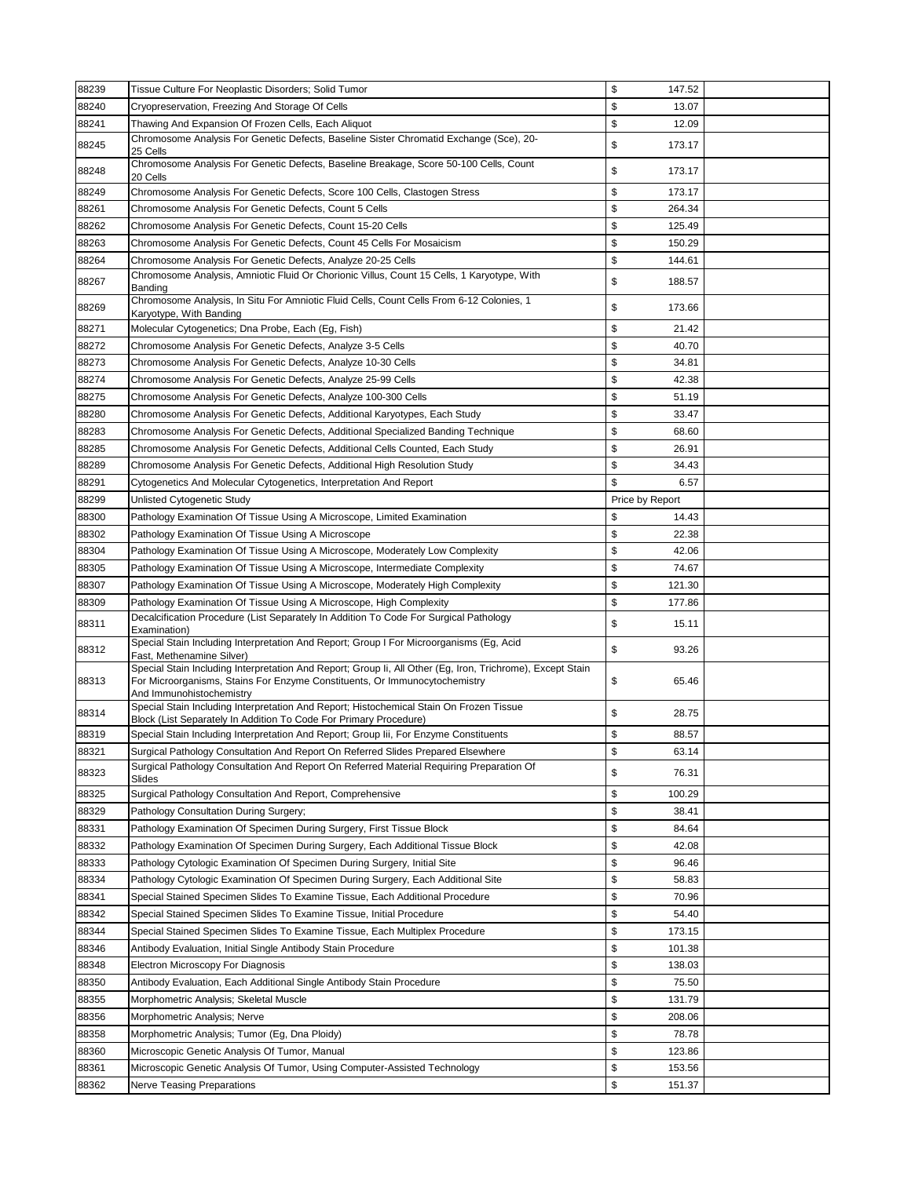| 88239 | Tissue Culture For Neoplastic Disorders; Solid Tumor                                                                                                                                             | \$<br>147.52    |  |
|-------|--------------------------------------------------------------------------------------------------------------------------------------------------------------------------------------------------|-----------------|--|
| 88240 | Cryopreservation, Freezing And Storage Of Cells                                                                                                                                                  | \$<br>13.07     |  |
| 88241 | Thawing And Expansion Of Frozen Cells, Each Aliquot                                                                                                                                              | \$<br>12.09     |  |
| 88245 | Chromosome Analysis For Genetic Defects, Baseline Sister Chromatid Exchange (Sce), 20-<br>25 Cells                                                                                               | \$<br>173.17    |  |
| 88248 | Chromosome Analysis For Genetic Defects, Baseline Breakage, Score 50-100 Cells, Count<br>20 Cells                                                                                                | \$<br>173.17    |  |
| 88249 | Chromosome Analysis For Genetic Defects, Score 100 Cells, Clastogen Stress                                                                                                                       | \$<br>173.17    |  |
| 88261 | Chromosome Analysis For Genetic Defects, Count 5 Cells                                                                                                                                           | \$<br>264.34    |  |
| 88262 | Chromosome Analysis For Genetic Defects, Count 15-20 Cells                                                                                                                                       | \$<br>125.49    |  |
| 88263 | Chromosome Analysis For Genetic Defects, Count 45 Cells For Mosaicism                                                                                                                            | \$<br>150.29    |  |
| 88264 | Chromosome Analysis For Genetic Defects, Analyze 20-25 Cells                                                                                                                                     | \$<br>144.61    |  |
| 88267 | Chromosome Analysis, Amniotic Fluid Or Chorionic Villus, Count 15 Cells, 1 Karyotype, With<br>Banding                                                                                            | \$<br>188.57    |  |
| 88269 | Chromosome Analysis, In Situ For Amniotic Fluid Cells, Count Cells From 6-12 Colonies, 1<br>Karyotype, With Banding                                                                              | \$<br>173.66    |  |
| 88271 | Molecular Cytogenetics; Dna Probe, Each (Eg, Fish)                                                                                                                                               | \$<br>21.42     |  |
| 88272 | Chromosome Analysis For Genetic Defects, Analyze 3-5 Cells                                                                                                                                       | \$<br>40.70     |  |
| 88273 | Chromosome Analysis For Genetic Defects, Analyze 10-30 Cells                                                                                                                                     | \$<br>34.81     |  |
| 88274 | Chromosome Analysis For Genetic Defects, Analyze 25-99 Cells                                                                                                                                     | \$<br>42.38     |  |
| 88275 | Chromosome Analysis For Genetic Defects, Analyze 100-300 Cells                                                                                                                                   | \$<br>51.19     |  |
| 88280 | Chromosome Analysis For Genetic Defects, Additional Karyotypes, Each Study                                                                                                                       | \$<br>33.47     |  |
| 88283 | Chromosome Analysis For Genetic Defects, Additional Specialized Banding Technique                                                                                                                | \$<br>68.60     |  |
| 88285 | Chromosome Analysis For Genetic Defects, Additional Cells Counted, Each Study                                                                                                                    | \$<br>26.91     |  |
| 88289 | Chromosome Analysis For Genetic Defects, Additional High Resolution Study                                                                                                                        | \$<br>34.43     |  |
| 88291 | Cytogenetics And Molecular Cytogenetics, Interpretation And Report                                                                                                                               | \$<br>6.57      |  |
| 88299 |                                                                                                                                                                                                  | Price by Report |  |
|       | Unlisted Cytogenetic Study                                                                                                                                                                       | \$              |  |
| 88300 | Pathology Examination Of Tissue Using A Microscope, Limited Examination                                                                                                                          | 14.43<br>\$     |  |
| 88302 | Pathology Examination Of Tissue Using A Microscope                                                                                                                                               | 22.38           |  |
| 88304 | Pathology Examination Of Tissue Using A Microscope, Moderately Low Complexity                                                                                                                    | \$<br>42.06     |  |
| 88305 | Pathology Examination Of Tissue Using A Microscope, Intermediate Complexity                                                                                                                      | \$<br>74.67     |  |
| 88307 | Pathology Examination Of Tissue Using A Microscope, Moderately High Complexity                                                                                                                   | \$<br>121.30    |  |
| 88309 | Pathology Examination Of Tissue Using A Microscope, High Complexity                                                                                                                              | \$<br>177.86    |  |
| 88311 | Decalcification Procedure (List Separately In Addition To Code For Surgical Pathology<br>Examination)<br>Special Stain Including Interpretation And Report; Group I For Microorganisms (Eg, Acid | \$<br>15.11     |  |
| 88312 | Fast, Methenamine Silver)<br>Special Stain Including Interpretation And Report; Group Ii, All Other (Eq. Iron, Trichrome), Except Stain                                                          | \$<br>93.26     |  |
| 88313 | For Microorganisms, Stains For Enzyme Constituents, Or Immunocytochemistry<br>And Immunohistochemistry                                                                                           | \$<br>65.46     |  |
| 88314 | Special Stain Including Interpretation And Report; Histochemical Stain On Frozen Tissue<br>Block (List Separately In Addition To Code For Primary Procedure)                                     | \$<br>28.75     |  |
| 88319 | Special Stain Including Interpretation And Report; Group lii, For Enzyme Constituents                                                                                                            | \$<br>88.57     |  |
| 88321 | Surgical Pathology Consultation And Report On Referred Slides Prepared Elsewhere                                                                                                                 | \$<br>63.14     |  |
| 88323 | Surgical Pathology Consultation And Report On Referred Material Requiring Preparation Of<br>Slides                                                                                               | \$<br>76.31     |  |
| 88325 | Surgical Pathology Consultation And Report, Comprehensive                                                                                                                                        | \$<br>100.29    |  |
| 88329 | Pathology Consultation During Surgery;                                                                                                                                                           | \$<br>38.41     |  |
| 88331 | Pathology Examination Of Specimen During Surgery, First Tissue Block                                                                                                                             | \$<br>84.64     |  |
| 88332 | Pathology Examination Of Specimen During Surgery, Each Additional Tissue Block                                                                                                                   | \$<br>42.08     |  |
| 88333 | Pathology Cytologic Examination Of Specimen During Surgery, Initial Site                                                                                                                         | \$<br>96.46     |  |
| 88334 | Pathology Cytologic Examination Of Specimen During Surgery, Each Additional Site                                                                                                                 | \$<br>58.83     |  |
| 88341 | Special Stained Specimen Slides To Examine Tissue, Each Additional Procedure                                                                                                                     | \$<br>70.96     |  |
| 88342 | Special Stained Specimen Slides To Examine Tissue, Initial Procedure                                                                                                                             | \$<br>54.40     |  |
| 88344 | Special Stained Specimen Slides To Examine Tissue, Each Multiplex Procedure                                                                                                                      | \$<br>173.15    |  |
| 88346 | Antibody Evaluation, Initial Single Antibody Stain Procedure                                                                                                                                     | \$<br>101.38    |  |
| 88348 | Electron Microscopy For Diagnosis                                                                                                                                                                | \$<br>138.03    |  |
| 88350 | Antibody Evaluation, Each Additional Single Antibody Stain Procedure                                                                                                                             | \$<br>75.50     |  |
| 88355 | Morphometric Analysis; Skeletal Muscle                                                                                                                                                           | \$<br>131.79    |  |
| 88356 | Morphometric Analysis; Nerve                                                                                                                                                                     | \$<br>208.06    |  |
| 88358 | Morphometric Analysis; Tumor (Eg, Dna Ploidy)                                                                                                                                                    | \$<br>78.78     |  |
| 88360 | Microscopic Genetic Analysis Of Tumor, Manual                                                                                                                                                    | \$<br>123.86    |  |
| 88361 | Microscopic Genetic Analysis Of Tumor, Using Computer-Assisted Technology                                                                                                                        | \$<br>153.56    |  |
| 88362 | <b>Nerve Teasing Preparations</b>                                                                                                                                                                | \$<br>151.37    |  |
|       |                                                                                                                                                                                                  |                 |  |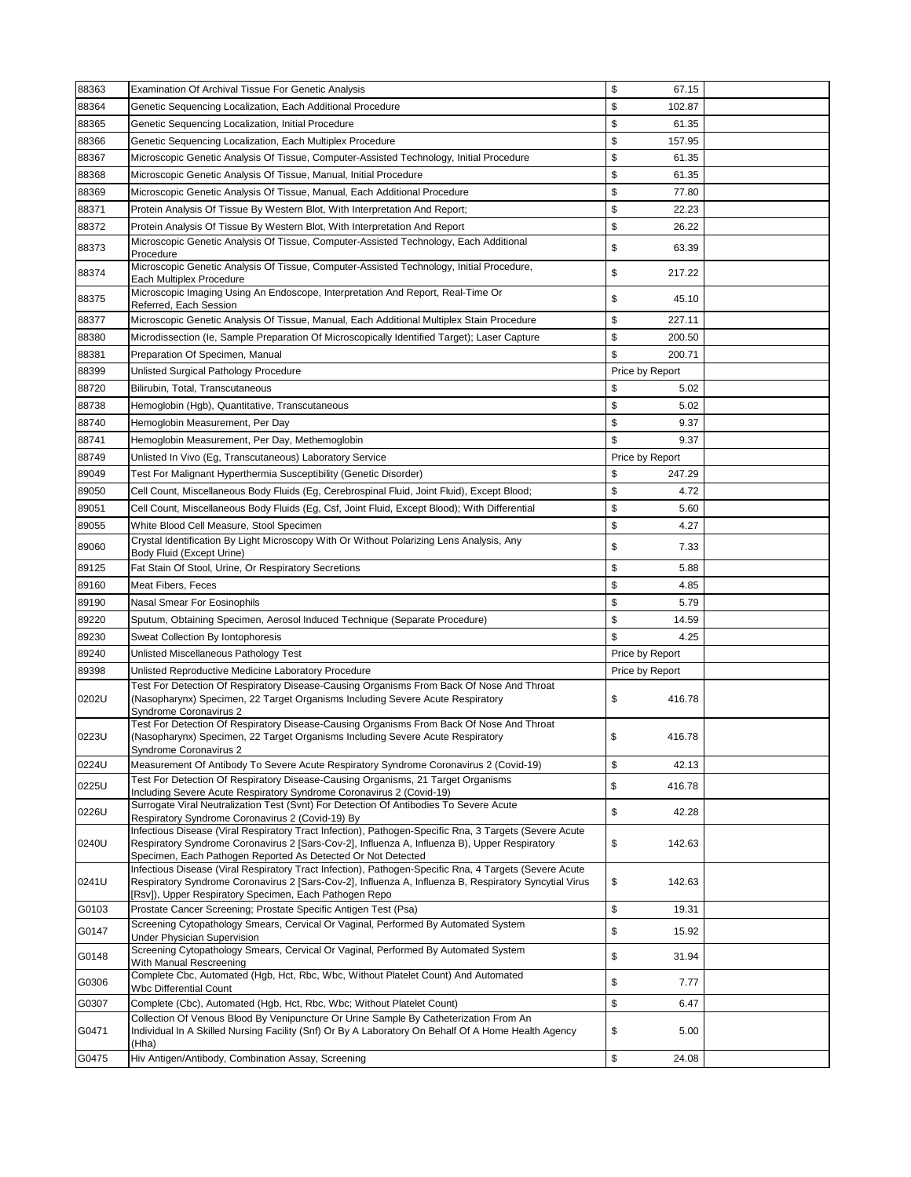| \$<br>88364<br>Genetic Sequencing Localization, Each Additional Procedure<br>102.87<br>\$<br>88365<br>61.35<br>Genetic Sequencing Localization, Initial Procedure<br>\$<br>88366<br>157.95<br>Genetic Sequencing Localization, Each Multiplex Procedure<br>\$<br>88367<br>Microscopic Genetic Analysis Of Tissue, Computer-Assisted Technology, Initial Procedure<br>61.35<br>\$<br>88368<br>Microscopic Genetic Analysis Of Tissue, Manual, Initial Procedure<br>61.35<br>88369<br>\$<br>Microscopic Genetic Analysis Of Tissue, Manual, Each Additional Procedure<br>77.80<br>\$<br>88371<br>Protein Analysis Of Tissue By Western Blot, With Interpretation And Report;<br>22.23<br>\$<br>88372<br>Protein Analysis Of Tissue By Western Blot, With Interpretation And Report<br>26.22<br>Microscopic Genetic Analysis Of Tissue, Computer-Assisted Technology, Each Additional<br>88373<br>\$<br>63.39<br>Procedure<br>Microscopic Genetic Analysis Of Tissue, Computer-Assisted Technology, Initial Procedure,<br>\$<br>88374<br>217.22<br>Each Multiplex Procedure<br>Microscopic Imaging Using An Endoscope, Interpretation And Report, Real-Time Or<br>88375<br>\$<br>45.10<br>Referred, Each Session<br>\$<br>227.11<br>88377<br>Microscopic Genetic Analysis Of Tissue, Manual, Each Additional Multiplex Stain Procedure<br>\$<br>88380<br>Microdissection (le, Sample Preparation Of Microscopically Identified Target); Laser Capture<br>200.50<br>\$<br>88381<br>200.71<br>Preparation Of Specimen, Manual<br>88399<br>Unlisted Surgical Pathology Procedure<br>Price by Report<br>88720<br>\$<br>Bilirubin, Total, Transcutaneous<br>5.02<br>88738<br>\$<br>Hemoglobin (Hgb), Quantitative, Transcutaneous<br>5.02<br>\$<br>88740<br>Hemoglobin Measurement, Per Day<br>9.37<br>\$<br>88741<br>Hemoglobin Measurement, Per Day, Methemoglobin<br>9.37<br>88749<br>Unlisted In Vivo (Eg, Transcutaneous) Laboratory Service<br>Price by Report<br>\$<br>89049<br>Test For Malignant Hyperthermia Susceptibility (Genetic Disorder)<br>247.29<br>\$<br>89050<br>Cell Count, Miscellaneous Body Fluids (Eg, Cerebrospinal Fluid, Joint Fluid), Except Blood;<br>4.72<br>\$<br>89051<br>Cell Count, Miscellaneous Body Fluids (Eg, Csf, Joint Fluid, Except Blood); With Differential<br>5.60<br>\$<br>89055<br>4.27<br>White Blood Cell Measure, Stool Specimen<br>Crystal Identification By Light Microscopy With Or Without Polarizing Lens Analysis, Any<br>\$<br>89060<br>7.33<br>Body Fluid (Except Urine)<br>\$<br>89125<br>Fat Stain Of Stool, Urine, Or Respiratory Secretions<br>5.88<br>\$<br>89160<br>Meat Fibers, Feces<br>4.85<br>\$<br>89190<br>5.79<br>Nasal Smear For Eosinophils<br>89220<br>\$<br>Sputum, Obtaining Specimen, Aerosol Induced Technique (Separate Procedure)<br>14.59<br>\$<br>89230<br>4.25<br>Sweat Collection By Iontophoresis<br>89240<br>Unlisted Miscellaneous Pathology Test<br>Price by Report<br>Unlisted Reproductive Medicine Laboratory Procedure<br>89398<br>Price by Report<br>Test For Detection Of Respiratory Disease-Causing Organisms From Back Of Nose And Throat<br>0202U<br>(Nasopharynx) Specimen, 22 Target Organisms Including Severe Acute Respiratory<br>\$<br>416.78<br>Syndrome Coronavirus 2<br>Test For Detection Of Respiratory Disease-Causing Organisms From Back Of Nose And Throat<br>0223U<br>\$<br>(Nasopharynx) Specimen, 22 Target Organisms Including Severe Acute Respiratory<br>416.78<br>Syndrome Coronavirus 2<br>\$<br>0224U<br>Measurement Of Antibody To Severe Acute Respiratory Syndrome Coronavirus 2 (Covid-19)<br>42.13<br>Test For Detection Of Respiratory Disease-Causing Organisms, 21 Target Organisms<br>\$<br>0225U<br>416.78<br>Including Severe Acute Respiratory Syndrome Coronavirus 2 (Covid-19)<br>Surrogate Viral Neutralization Test (Svnt) For Detection Of Antibodies To Severe Acute<br>\$<br>0226U<br>42.28<br>Respiratory Syndrome Coronavirus 2 (Covid-19) By<br>Infectious Disease (Viral Respiratory Tract Infection), Pathogen-Specific Rna, 3 Targets (Severe Acute<br>0240U<br>Respiratory Syndrome Coronavirus 2 [Sars-Cov-2], Influenza A, Influenza B), Upper Respiratory<br>\$<br>142.63<br>Specimen, Each Pathogen Reported As Detected Or Not Detected<br>Infectious Disease (Viral Respiratory Tract Infection), Pathogen-Specific Rna, 4 Targets (Severe Acute<br>0241U<br>Respiratory Syndrome Coronavirus 2 [Sars-Cov-2], Influenza A, Influenza B, Respiratory Syncytial Virus<br>\$<br>142.63<br>[Rsv]), Upper Respiratory Specimen, Each Pathogen Repo<br>\$<br>G0103<br>Prostate Cancer Screening; Prostate Specific Antigen Test (Psa)<br>19.31<br>Screening Cytopathology Smears, Cervical Or Vaginal, Performed By Automated System<br>\$<br>G0147<br>15.92<br><b>Under Physician Supervision</b><br>Screening Cytopathology Smears, Cervical Or Vaginal, Performed By Automated System<br>\$<br>G0148<br>31.94<br>With Manual Rescreening<br>Complete Cbc, Automated (Hgb, Hct, Rbc, Wbc, Without Platelet Count) And Automated<br>\$<br>G0306<br>7.77<br>Wbc Differential Count<br>\$<br>G0307<br>Complete (Cbc), Automated (Hgb, Hct, Rbc, Wbc; Without Platelet Count)<br>6.47<br>Collection Of Venous Blood By Venipuncture Or Urine Sample By Catheterization From An<br>\$<br>Individual In A Skilled Nursing Facility (Snf) Or By A Laboratory On Behalf Of A Home Health Agency<br>G0471<br>5.00 | 88363 | Examination Of Archival Tissue For Genetic Analysis | \$<br>67.15 |  |
|---------------------------------------------------------------------------------------------------------------------------------------------------------------------------------------------------------------------------------------------------------------------------------------------------------------------------------------------------------------------------------------------------------------------------------------------------------------------------------------------------------------------------------------------------------------------------------------------------------------------------------------------------------------------------------------------------------------------------------------------------------------------------------------------------------------------------------------------------------------------------------------------------------------------------------------------------------------------------------------------------------------------------------------------------------------------------------------------------------------------------------------------------------------------------------------------------------------------------------------------------------------------------------------------------------------------------------------------------------------------------------------------------------------------------------------------------------------------------------------------------------------------------------------------------------------------------------------------------------------------------------------------------------------------------------------------------------------------------------------------------------------------------------------------------------------------------------------------------------------------------------------------------------------------------------------------------------------------------------------------------------------------------------------------------------------------------------------------------------------------------------------------------------------------------------------------------------------------------------------------------------------------------------------------------------------------------------------------------------------------------------------------------------------------------------------------------------------------------------------------------------------------------------------------------------------------------------------------------------------------------------------------------------------------------------------------------------------------------------------------------------------------------------------------------------------------------------------------------------------------------------------------------------------------------------------------------------------------------------------------------------------------------------------------------------------------------------------------------------------------------------------------------------------------------------------------------------------------------------------------------------------------------------------------------------------------------------------------------------------------------------------------------------------------------------------------------------------------------------------------------------------------------------------------------------------------------------------------------------------------------------------------------------------------------------------------------------------------------------------------------------------------------------------------------------------------------------------------------------------------------------------------------------------------------------------------------------------------------------------------------------------------------------------------------------------------------------------------------------------------------------------------------------------------------------------------------------------------------------------------------------------------------------------------------------------------------------------------------------------------------------------------------------------------------------------------------------------------------------------------------------------------------------------------------------------------------------------------------------------------------------------------------------------------------------------------------------------------------------------------------------------------------------------------------------------------------------------------------------------------------------------------------------------------------------------------------------------------------------------------------------------------------------------------------------------------------------------------------------------------------------------------------------------------------------------------------------------------------------------------------------------------------------------------------------------------------------------------------------------------------------------------------------------------------------------------------------|-------|-----------------------------------------------------|-------------|--|
|                                                                                                                                                                                                                                                                                                                                                                                                                                                                                                                                                                                                                                                                                                                                                                                                                                                                                                                                                                                                                                                                                                                                                                                                                                                                                                                                                                                                                                                                                                                                                                                                                                                                                                                                                                                                                                                                                                                                                                                                                                                                                                                                                                                                                                                                                                                                                                                                                                                                                                                                                                                                                                                                                                                                                                                                                                                                                                                                                                                                                                                                                                                                                                                                                                                                                                                                                                                                                                                                                                                                                                                                                                                                                                                                                                                                                                                                                                                                                                                                                                                                                                                                                                                                                                                                                                                                                                                                                                                                                                                                                                                                                                                                                                                                                                                                                                                                                                                                                                                                                                                                                                                                                                                                                                                                                                                                                                                                                                                         |       |                                                     |             |  |
|                                                                                                                                                                                                                                                                                                                                                                                                                                                                                                                                                                                                                                                                                                                                                                                                                                                                                                                                                                                                                                                                                                                                                                                                                                                                                                                                                                                                                                                                                                                                                                                                                                                                                                                                                                                                                                                                                                                                                                                                                                                                                                                                                                                                                                                                                                                                                                                                                                                                                                                                                                                                                                                                                                                                                                                                                                                                                                                                                                                                                                                                                                                                                                                                                                                                                                                                                                                                                                                                                                                                                                                                                                                                                                                                                                                                                                                                                                                                                                                                                                                                                                                                                                                                                                                                                                                                                                                                                                                                                                                                                                                                                                                                                                                                                                                                                                                                                                                                                                                                                                                                                                                                                                                                                                                                                                                                                                                                                                                         |       |                                                     |             |  |
|                                                                                                                                                                                                                                                                                                                                                                                                                                                                                                                                                                                                                                                                                                                                                                                                                                                                                                                                                                                                                                                                                                                                                                                                                                                                                                                                                                                                                                                                                                                                                                                                                                                                                                                                                                                                                                                                                                                                                                                                                                                                                                                                                                                                                                                                                                                                                                                                                                                                                                                                                                                                                                                                                                                                                                                                                                                                                                                                                                                                                                                                                                                                                                                                                                                                                                                                                                                                                                                                                                                                                                                                                                                                                                                                                                                                                                                                                                                                                                                                                                                                                                                                                                                                                                                                                                                                                                                                                                                                                                                                                                                                                                                                                                                                                                                                                                                                                                                                                                                                                                                                                                                                                                                                                                                                                                                                                                                                                                                         |       |                                                     |             |  |
|                                                                                                                                                                                                                                                                                                                                                                                                                                                                                                                                                                                                                                                                                                                                                                                                                                                                                                                                                                                                                                                                                                                                                                                                                                                                                                                                                                                                                                                                                                                                                                                                                                                                                                                                                                                                                                                                                                                                                                                                                                                                                                                                                                                                                                                                                                                                                                                                                                                                                                                                                                                                                                                                                                                                                                                                                                                                                                                                                                                                                                                                                                                                                                                                                                                                                                                                                                                                                                                                                                                                                                                                                                                                                                                                                                                                                                                                                                                                                                                                                                                                                                                                                                                                                                                                                                                                                                                                                                                                                                                                                                                                                                                                                                                                                                                                                                                                                                                                                                                                                                                                                                                                                                                                                                                                                                                                                                                                                                                         |       |                                                     |             |  |
|                                                                                                                                                                                                                                                                                                                                                                                                                                                                                                                                                                                                                                                                                                                                                                                                                                                                                                                                                                                                                                                                                                                                                                                                                                                                                                                                                                                                                                                                                                                                                                                                                                                                                                                                                                                                                                                                                                                                                                                                                                                                                                                                                                                                                                                                                                                                                                                                                                                                                                                                                                                                                                                                                                                                                                                                                                                                                                                                                                                                                                                                                                                                                                                                                                                                                                                                                                                                                                                                                                                                                                                                                                                                                                                                                                                                                                                                                                                                                                                                                                                                                                                                                                                                                                                                                                                                                                                                                                                                                                                                                                                                                                                                                                                                                                                                                                                                                                                                                                                                                                                                                                                                                                                                                                                                                                                                                                                                                                                         |       |                                                     |             |  |
|                                                                                                                                                                                                                                                                                                                                                                                                                                                                                                                                                                                                                                                                                                                                                                                                                                                                                                                                                                                                                                                                                                                                                                                                                                                                                                                                                                                                                                                                                                                                                                                                                                                                                                                                                                                                                                                                                                                                                                                                                                                                                                                                                                                                                                                                                                                                                                                                                                                                                                                                                                                                                                                                                                                                                                                                                                                                                                                                                                                                                                                                                                                                                                                                                                                                                                                                                                                                                                                                                                                                                                                                                                                                                                                                                                                                                                                                                                                                                                                                                                                                                                                                                                                                                                                                                                                                                                                                                                                                                                                                                                                                                                                                                                                                                                                                                                                                                                                                                                                                                                                                                                                                                                                                                                                                                                                                                                                                                                                         |       |                                                     |             |  |
|                                                                                                                                                                                                                                                                                                                                                                                                                                                                                                                                                                                                                                                                                                                                                                                                                                                                                                                                                                                                                                                                                                                                                                                                                                                                                                                                                                                                                                                                                                                                                                                                                                                                                                                                                                                                                                                                                                                                                                                                                                                                                                                                                                                                                                                                                                                                                                                                                                                                                                                                                                                                                                                                                                                                                                                                                                                                                                                                                                                                                                                                                                                                                                                                                                                                                                                                                                                                                                                                                                                                                                                                                                                                                                                                                                                                                                                                                                                                                                                                                                                                                                                                                                                                                                                                                                                                                                                                                                                                                                                                                                                                                                                                                                                                                                                                                                                                                                                                                                                                                                                                                                                                                                                                                                                                                                                                                                                                                                                         |       |                                                     |             |  |
|                                                                                                                                                                                                                                                                                                                                                                                                                                                                                                                                                                                                                                                                                                                                                                                                                                                                                                                                                                                                                                                                                                                                                                                                                                                                                                                                                                                                                                                                                                                                                                                                                                                                                                                                                                                                                                                                                                                                                                                                                                                                                                                                                                                                                                                                                                                                                                                                                                                                                                                                                                                                                                                                                                                                                                                                                                                                                                                                                                                                                                                                                                                                                                                                                                                                                                                                                                                                                                                                                                                                                                                                                                                                                                                                                                                                                                                                                                                                                                                                                                                                                                                                                                                                                                                                                                                                                                                                                                                                                                                                                                                                                                                                                                                                                                                                                                                                                                                                                                                                                                                                                                                                                                                                                                                                                                                                                                                                                                                         |       |                                                     |             |  |
|                                                                                                                                                                                                                                                                                                                                                                                                                                                                                                                                                                                                                                                                                                                                                                                                                                                                                                                                                                                                                                                                                                                                                                                                                                                                                                                                                                                                                                                                                                                                                                                                                                                                                                                                                                                                                                                                                                                                                                                                                                                                                                                                                                                                                                                                                                                                                                                                                                                                                                                                                                                                                                                                                                                                                                                                                                                                                                                                                                                                                                                                                                                                                                                                                                                                                                                                                                                                                                                                                                                                                                                                                                                                                                                                                                                                                                                                                                                                                                                                                                                                                                                                                                                                                                                                                                                                                                                                                                                                                                                                                                                                                                                                                                                                                                                                                                                                                                                                                                                                                                                                                                                                                                                                                                                                                                                                                                                                                                                         |       |                                                     |             |  |
|                                                                                                                                                                                                                                                                                                                                                                                                                                                                                                                                                                                                                                                                                                                                                                                                                                                                                                                                                                                                                                                                                                                                                                                                                                                                                                                                                                                                                                                                                                                                                                                                                                                                                                                                                                                                                                                                                                                                                                                                                                                                                                                                                                                                                                                                                                                                                                                                                                                                                                                                                                                                                                                                                                                                                                                                                                                                                                                                                                                                                                                                                                                                                                                                                                                                                                                                                                                                                                                                                                                                                                                                                                                                                                                                                                                                                                                                                                                                                                                                                                                                                                                                                                                                                                                                                                                                                                                                                                                                                                                                                                                                                                                                                                                                                                                                                                                                                                                                                                                                                                                                                                                                                                                                                                                                                                                                                                                                                                                         |       |                                                     |             |  |
|                                                                                                                                                                                                                                                                                                                                                                                                                                                                                                                                                                                                                                                                                                                                                                                                                                                                                                                                                                                                                                                                                                                                                                                                                                                                                                                                                                                                                                                                                                                                                                                                                                                                                                                                                                                                                                                                                                                                                                                                                                                                                                                                                                                                                                                                                                                                                                                                                                                                                                                                                                                                                                                                                                                                                                                                                                                                                                                                                                                                                                                                                                                                                                                                                                                                                                                                                                                                                                                                                                                                                                                                                                                                                                                                                                                                                                                                                                                                                                                                                                                                                                                                                                                                                                                                                                                                                                                                                                                                                                                                                                                                                                                                                                                                                                                                                                                                                                                                                                                                                                                                                                                                                                                                                                                                                                                                                                                                                                                         |       |                                                     |             |  |
|                                                                                                                                                                                                                                                                                                                                                                                                                                                                                                                                                                                                                                                                                                                                                                                                                                                                                                                                                                                                                                                                                                                                                                                                                                                                                                                                                                                                                                                                                                                                                                                                                                                                                                                                                                                                                                                                                                                                                                                                                                                                                                                                                                                                                                                                                                                                                                                                                                                                                                                                                                                                                                                                                                                                                                                                                                                                                                                                                                                                                                                                                                                                                                                                                                                                                                                                                                                                                                                                                                                                                                                                                                                                                                                                                                                                                                                                                                                                                                                                                                                                                                                                                                                                                                                                                                                                                                                                                                                                                                                                                                                                                                                                                                                                                                                                                                                                                                                                                                                                                                                                                                                                                                                                                                                                                                                                                                                                                                                         |       |                                                     |             |  |
|                                                                                                                                                                                                                                                                                                                                                                                                                                                                                                                                                                                                                                                                                                                                                                                                                                                                                                                                                                                                                                                                                                                                                                                                                                                                                                                                                                                                                                                                                                                                                                                                                                                                                                                                                                                                                                                                                                                                                                                                                                                                                                                                                                                                                                                                                                                                                                                                                                                                                                                                                                                                                                                                                                                                                                                                                                                                                                                                                                                                                                                                                                                                                                                                                                                                                                                                                                                                                                                                                                                                                                                                                                                                                                                                                                                                                                                                                                                                                                                                                                                                                                                                                                                                                                                                                                                                                                                                                                                                                                                                                                                                                                                                                                                                                                                                                                                                                                                                                                                                                                                                                                                                                                                                                                                                                                                                                                                                                                                         |       |                                                     |             |  |
|                                                                                                                                                                                                                                                                                                                                                                                                                                                                                                                                                                                                                                                                                                                                                                                                                                                                                                                                                                                                                                                                                                                                                                                                                                                                                                                                                                                                                                                                                                                                                                                                                                                                                                                                                                                                                                                                                                                                                                                                                                                                                                                                                                                                                                                                                                                                                                                                                                                                                                                                                                                                                                                                                                                                                                                                                                                                                                                                                                                                                                                                                                                                                                                                                                                                                                                                                                                                                                                                                                                                                                                                                                                                                                                                                                                                                                                                                                                                                                                                                                                                                                                                                                                                                                                                                                                                                                                                                                                                                                                                                                                                                                                                                                                                                                                                                                                                                                                                                                                                                                                                                                                                                                                                                                                                                                                                                                                                                                                         |       |                                                     |             |  |
|                                                                                                                                                                                                                                                                                                                                                                                                                                                                                                                                                                                                                                                                                                                                                                                                                                                                                                                                                                                                                                                                                                                                                                                                                                                                                                                                                                                                                                                                                                                                                                                                                                                                                                                                                                                                                                                                                                                                                                                                                                                                                                                                                                                                                                                                                                                                                                                                                                                                                                                                                                                                                                                                                                                                                                                                                                                                                                                                                                                                                                                                                                                                                                                                                                                                                                                                                                                                                                                                                                                                                                                                                                                                                                                                                                                                                                                                                                                                                                                                                                                                                                                                                                                                                                                                                                                                                                                                                                                                                                                                                                                                                                                                                                                                                                                                                                                                                                                                                                                                                                                                                                                                                                                                                                                                                                                                                                                                                                                         |       |                                                     |             |  |
|                                                                                                                                                                                                                                                                                                                                                                                                                                                                                                                                                                                                                                                                                                                                                                                                                                                                                                                                                                                                                                                                                                                                                                                                                                                                                                                                                                                                                                                                                                                                                                                                                                                                                                                                                                                                                                                                                                                                                                                                                                                                                                                                                                                                                                                                                                                                                                                                                                                                                                                                                                                                                                                                                                                                                                                                                                                                                                                                                                                                                                                                                                                                                                                                                                                                                                                                                                                                                                                                                                                                                                                                                                                                                                                                                                                                                                                                                                                                                                                                                                                                                                                                                                                                                                                                                                                                                                                                                                                                                                                                                                                                                                                                                                                                                                                                                                                                                                                                                                                                                                                                                                                                                                                                                                                                                                                                                                                                                                                         |       |                                                     |             |  |
|                                                                                                                                                                                                                                                                                                                                                                                                                                                                                                                                                                                                                                                                                                                                                                                                                                                                                                                                                                                                                                                                                                                                                                                                                                                                                                                                                                                                                                                                                                                                                                                                                                                                                                                                                                                                                                                                                                                                                                                                                                                                                                                                                                                                                                                                                                                                                                                                                                                                                                                                                                                                                                                                                                                                                                                                                                                                                                                                                                                                                                                                                                                                                                                                                                                                                                                                                                                                                                                                                                                                                                                                                                                                                                                                                                                                                                                                                                                                                                                                                                                                                                                                                                                                                                                                                                                                                                                                                                                                                                                                                                                                                                                                                                                                                                                                                                                                                                                                                                                                                                                                                                                                                                                                                                                                                                                                                                                                                                                         |       |                                                     |             |  |
|                                                                                                                                                                                                                                                                                                                                                                                                                                                                                                                                                                                                                                                                                                                                                                                                                                                                                                                                                                                                                                                                                                                                                                                                                                                                                                                                                                                                                                                                                                                                                                                                                                                                                                                                                                                                                                                                                                                                                                                                                                                                                                                                                                                                                                                                                                                                                                                                                                                                                                                                                                                                                                                                                                                                                                                                                                                                                                                                                                                                                                                                                                                                                                                                                                                                                                                                                                                                                                                                                                                                                                                                                                                                                                                                                                                                                                                                                                                                                                                                                                                                                                                                                                                                                                                                                                                                                                                                                                                                                                                                                                                                                                                                                                                                                                                                                                                                                                                                                                                                                                                                                                                                                                                                                                                                                                                                                                                                                                                         |       |                                                     |             |  |
|                                                                                                                                                                                                                                                                                                                                                                                                                                                                                                                                                                                                                                                                                                                                                                                                                                                                                                                                                                                                                                                                                                                                                                                                                                                                                                                                                                                                                                                                                                                                                                                                                                                                                                                                                                                                                                                                                                                                                                                                                                                                                                                                                                                                                                                                                                                                                                                                                                                                                                                                                                                                                                                                                                                                                                                                                                                                                                                                                                                                                                                                                                                                                                                                                                                                                                                                                                                                                                                                                                                                                                                                                                                                                                                                                                                                                                                                                                                                                                                                                                                                                                                                                                                                                                                                                                                                                                                                                                                                                                                                                                                                                                                                                                                                                                                                                                                                                                                                                                                                                                                                                                                                                                                                                                                                                                                                                                                                                                                         |       |                                                     |             |  |
|                                                                                                                                                                                                                                                                                                                                                                                                                                                                                                                                                                                                                                                                                                                                                                                                                                                                                                                                                                                                                                                                                                                                                                                                                                                                                                                                                                                                                                                                                                                                                                                                                                                                                                                                                                                                                                                                                                                                                                                                                                                                                                                                                                                                                                                                                                                                                                                                                                                                                                                                                                                                                                                                                                                                                                                                                                                                                                                                                                                                                                                                                                                                                                                                                                                                                                                                                                                                                                                                                                                                                                                                                                                                                                                                                                                                                                                                                                                                                                                                                                                                                                                                                                                                                                                                                                                                                                                                                                                                                                                                                                                                                                                                                                                                                                                                                                                                                                                                                                                                                                                                                                                                                                                                                                                                                                                                                                                                                                                         |       |                                                     |             |  |
|                                                                                                                                                                                                                                                                                                                                                                                                                                                                                                                                                                                                                                                                                                                                                                                                                                                                                                                                                                                                                                                                                                                                                                                                                                                                                                                                                                                                                                                                                                                                                                                                                                                                                                                                                                                                                                                                                                                                                                                                                                                                                                                                                                                                                                                                                                                                                                                                                                                                                                                                                                                                                                                                                                                                                                                                                                                                                                                                                                                                                                                                                                                                                                                                                                                                                                                                                                                                                                                                                                                                                                                                                                                                                                                                                                                                                                                                                                                                                                                                                                                                                                                                                                                                                                                                                                                                                                                                                                                                                                                                                                                                                                                                                                                                                                                                                                                                                                                                                                                                                                                                                                                                                                                                                                                                                                                                                                                                                                                         |       |                                                     |             |  |
|                                                                                                                                                                                                                                                                                                                                                                                                                                                                                                                                                                                                                                                                                                                                                                                                                                                                                                                                                                                                                                                                                                                                                                                                                                                                                                                                                                                                                                                                                                                                                                                                                                                                                                                                                                                                                                                                                                                                                                                                                                                                                                                                                                                                                                                                                                                                                                                                                                                                                                                                                                                                                                                                                                                                                                                                                                                                                                                                                                                                                                                                                                                                                                                                                                                                                                                                                                                                                                                                                                                                                                                                                                                                                                                                                                                                                                                                                                                                                                                                                                                                                                                                                                                                                                                                                                                                                                                                                                                                                                                                                                                                                                                                                                                                                                                                                                                                                                                                                                                                                                                                                                                                                                                                                                                                                                                                                                                                                                                         |       |                                                     |             |  |
|                                                                                                                                                                                                                                                                                                                                                                                                                                                                                                                                                                                                                                                                                                                                                                                                                                                                                                                                                                                                                                                                                                                                                                                                                                                                                                                                                                                                                                                                                                                                                                                                                                                                                                                                                                                                                                                                                                                                                                                                                                                                                                                                                                                                                                                                                                                                                                                                                                                                                                                                                                                                                                                                                                                                                                                                                                                                                                                                                                                                                                                                                                                                                                                                                                                                                                                                                                                                                                                                                                                                                                                                                                                                                                                                                                                                                                                                                                                                                                                                                                                                                                                                                                                                                                                                                                                                                                                                                                                                                                                                                                                                                                                                                                                                                                                                                                                                                                                                                                                                                                                                                                                                                                                                                                                                                                                                                                                                                                                         |       |                                                     |             |  |
|                                                                                                                                                                                                                                                                                                                                                                                                                                                                                                                                                                                                                                                                                                                                                                                                                                                                                                                                                                                                                                                                                                                                                                                                                                                                                                                                                                                                                                                                                                                                                                                                                                                                                                                                                                                                                                                                                                                                                                                                                                                                                                                                                                                                                                                                                                                                                                                                                                                                                                                                                                                                                                                                                                                                                                                                                                                                                                                                                                                                                                                                                                                                                                                                                                                                                                                                                                                                                                                                                                                                                                                                                                                                                                                                                                                                                                                                                                                                                                                                                                                                                                                                                                                                                                                                                                                                                                                                                                                                                                                                                                                                                                                                                                                                                                                                                                                                                                                                                                                                                                                                                                                                                                                                                                                                                                                                                                                                                                                         |       |                                                     |             |  |
|                                                                                                                                                                                                                                                                                                                                                                                                                                                                                                                                                                                                                                                                                                                                                                                                                                                                                                                                                                                                                                                                                                                                                                                                                                                                                                                                                                                                                                                                                                                                                                                                                                                                                                                                                                                                                                                                                                                                                                                                                                                                                                                                                                                                                                                                                                                                                                                                                                                                                                                                                                                                                                                                                                                                                                                                                                                                                                                                                                                                                                                                                                                                                                                                                                                                                                                                                                                                                                                                                                                                                                                                                                                                                                                                                                                                                                                                                                                                                                                                                                                                                                                                                                                                                                                                                                                                                                                                                                                                                                                                                                                                                                                                                                                                                                                                                                                                                                                                                                                                                                                                                                                                                                                                                                                                                                                                                                                                                                                         |       |                                                     |             |  |
|                                                                                                                                                                                                                                                                                                                                                                                                                                                                                                                                                                                                                                                                                                                                                                                                                                                                                                                                                                                                                                                                                                                                                                                                                                                                                                                                                                                                                                                                                                                                                                                                                                                                                                                                                                                                                                                                                                                                                                                                                                                                                                                                                                                                                                                                                                                                                                                                                                                                                                                                                                                                                                                                                                                                                                                                                                                                                                                                                                                                                                                                                                                                                                                                                                                                                                                                                                                                                                                                                                                                                                                                                                                                                                                                                                                                                                                                                                                                                                                                                                                                                                                                                                                                                                                                                                                                                                                                                                                                                                                                                                                                                                                                                                                                                                                                                                                                                                                                                                                                                                                                                                                                                                                                                                                                                                                                                                                                                                                         |       |                                                     |             |  |
|                                                                                                                                                                                                                                                                                                                                                                                                                                                                                                                                                                                                                                                                                                                                                                                                                                                                                                                                                                                                                                                                                                                                                                                                                                                                                                                                                                                                                                                                                                                                                                                                                                                                                                                                                                                                                                                                                                                                                                                                                                                                                                                                                                                                                                                                                                                                                                                                                                                                                                                                                                                                                                                                                                                                                                                                                                                                                                                                                                                                                                                                                                                                                                                                                                                                                                                                                                                                                                                                                                                                                                                                                                                                                                                                                                                                                                                                                                                                                                                                                                                                                                                                                                                                                                                                                                                                                                                                                                                                                                                                                                                                                                                                                                                                                                                                                                                                                                                                                                                                                                                                                                                                                                                                                                                                                                                                                                                                                                                         |       |                                                     |             |  |
|                                                                                                                                                                                                                                                                                                                                                                                                                                                                                                                                                                                                                                                                                                                                                                                                                                                                                                                                                                                                                                                                                                                                                                                                                                                                                                                                                                                                                                                                                                                                                                                                                                                                                                                                                                                                                                                                                                                                                                                                                                                                                                                                                                                                                                                                                                                                                                                                                                                                                                                                                                                                                                                                                                                                                                                                                                                                                                                                                                                                                                                                                                                                                                                                                                                                                                                                                                                                                                                                                                                                                                                                                                                                                                                                                                                                                                                                                                                                                                                                                                                                                                                                                                                                                                                                                                                                                                                                                                                                                                                                                                                                                                                                                                                                                                                                                                                                                                                                                                                                                                                                                                                                                                                                                                                                                                                                                                                                                                                         |       |                                                     |             |  |
|                                                                                                                                                                                                                                                                                                                                                                                                                                                                                                                                                                                                                                                                                                                                                                                                                                                                                                                                                                                                                                                                                                                                                                                                                                                                                                                                                                                                                                                                                                                                                                                                                                                                                                                                                                                                                                                                                                                                                                                                                                                                                                                                                                                                                                                                                                                                                                                                                                                                                                                                                                                                                                                                                                                                                                                                                                                                                                                                                                                                                                                                                                                                                                                                                                                                                                                                                                                                                                                                                                                                                                                                                                                                                                                                                                                                                                                                                                                                                                                                                                                                                                                                                                                                                                                                                                                                                                                                                                                                                                                                                                                                                                                                                                                                                                                                                                                                                                                                                                                                                                                                                                                                                                                                                                                                                                                                                                                                                                                         |       |                                                     |             |  |
|                                                                                                                                                                                                                                                                                                                                                                                                                                                                                                                                                                                                                                                                                                                                                                                                                                                                                                                                                                                                                                                                                                                                                                                                                                                                                                                                                                                                                                                                                                                                                                                                                                                                                                                                                                                                                                                                                                                                                                                                                                                                                                                                                                                                                                                                                                                                                                                                                                                                                                                                                                                                                                                                                                                                                                                                                                                                                                                                                                                                                                                                                                                                                                                                                                                                                                                                                                                                                                                                                                                                                                                                                                                                                                                                                                                                                                                                                                                                                                                                                                                                                                                                                                                                                                                                                                                                                                                                                                                                                                                                                                                                                                                                                                                                                                                                                                                                                                                                                                                                                                                                                                                                                                                                                                                                                                                                                                                                                                                         |       |                                                     |             |  |
|                                                                                                                                                                                                                                                                                                                                                                                                                                                                                                                                                                                                                                                                                                                                                                                                                                                                                                                                                                                                                                                                                                                                                                                                                                                                                                                                                                                                                                                                                                                                                                                                                                                                                                                                                                                                                                                                                                                                                                                                                                                                                                                                                                                                                                                                                                                                                                                                                                                                                                                                                                                                                                                                                                                                                                                                                                                                                                                                                                                                                                                                                                                                                                                                                                                                                                                                                                                                                                                                                                                                                                                                                                                                                                                                                                                                                                                                                                                                                                                                                                                                                                                                                                                                                                                                                                                                                                                                                                                                                                                                                                                                                                                                                                                                                                                                                                                                                                                                                                                                                                                                                                                                                                                                                                                                                                                                                                                                                                                         |       |                                                     |             |  |
|                                                                                                                                                                                                                                                                                                                                                                                                                                                                                                                                                                                                                                                                                                                                                                                                                                                                                                                                                                                                                                                                                                                                                                                                                                                                                                                                                                                                                                                                                                                                                                                                                                                                                                                                                                                                                                                                                                                                                                                                                                                                                                                                                                                                                                                                                                                                                                                                                                                                                                                                                                                                                                                                                                                                                                                                                                                                                                                                                                                                                                                                                                                                                                                                                                                                                                                                                                                                                                                                                                                                                                                                                                                                                                                                                                                                                                                                                                                                                                                                                                                                                                                                                                                                                                                                                                                                                                                                                                                                                                                                                                                                                                                                                                                                                                                                                                                                                                                                                                                                                                                                                                                                                                                                                                                                                                                                                                                                                                                         |       |                                                     |             |  |
|                                                                                                                                                                                                                                                                                                                                                                                                                                                                                                                                                                                                                                                                                                                                                                                                                                                                                                                                                                                                                                                                                                                                                                                                                                                                                                                                                                                                                                                                                                                                                                                                                                                                                                                                                                                                                                                                                                                                                                                                                                                                                                                                                                                                                                                                                                                                                                                                                                                                                                                                                                                                                                                                                                                                                                                                                                                                                                                                                                                                                                                                                                                                                                                                                                                                                                                                                                                                                                                                                                                                                                                                                                                                                                                                                                                                                                                                                                                                                                                                                                                                                                                                                                                                                                                                                                                                                                                                                                                                                                                                                                                                                                                                                                                                                                                                                                                                                                                                                                                                                                                                                                                                                                                                                                                                                                                                                                                                                                                         |       |                                                     |             |  |
|                                                                                                                                                                                                                                                                                                                                                                                                                                                                                                                                                                                                                                                                                                                                                                                                                                                                                                                                                                                                                                                                                                                                                                                                                                                                                                                                                                                                                                                                                                                                                                                                                                                                                                                                                                                                                                                                                                                                                                                                                                                                                                                                                                                                                                                                                                                                                                                                                                                                                                                                                                                                                                                                                                                                                                                                                                                                                                                                                                                                                                                                                                                                                                                                                                                                                                                                                                                                                                                                                                                                                                                                                                                                                                                                                                                                                                                                                                                                                                                                                                                                                                                                                                                                                                                                                                                                                                                                                                                                                                                                                                                                                                                                                                                                                                                                                                                                                                                                                                                                                                                                                                                                                                                                                                                                                                                                                                                                                                                         |       |                                                     |             |  |
|                                                                                                                                                                                                                                                                                                                                                                                                                                                                                                                                                                                                                                                                                                                                                                                                                                                                                                                                                                                                                                                                                                                                                                                                                                                                                                                                                                                                                                                                                                                                                                                                                                                                                                                                                                                                                                                                                                                                                                                                                                                                                                                                                                                                                                                                                                                                                                                                                                                                                                                                                                                                                                                                                                                                                                                                                                                                                                                                                                                                                                                                                                                                                                                                                                                                                                                                                                                                                                                                                                                                                                                                                                                                                                                                                                                                                                                                                                                                                                                                                                                                                                                                                                                                                                                                                                                                                                                                                                                                                                                                                                                                                                                                                                                                                                                                                                                                                                                                                                                                                                                                                                                                                                                                                                                                                                                                                                                                                                                         |       |                                                     |             |  |
|                                                                                                                                                                                                                                                                                                                                                                                                                                                                                                                                                                                                                                                                                                                                                                                                                                                                                                                                                                                                                                                                                                                                                                                                                                                                                                                                                                                                                                                                                                                                                                                                                                                                                                                                                                                                                                                                                                                                                                                                                                                                                                                                                                                                                                                                                                                                                                                                                                                                                                                                                                                                                                                                                                                                                                                                                                                                                                                                                                                                                                                                                                                                                                                                                                                                                                                                                                                                                                                                                                                                                                                                                                                                                                                                                                                                                                                                                                                                                                                                                                                                                                                                                                                                                                                                                                                                                                                                                                                                                                                                                                                                                                                                                                                                                                                                                                                                                                                                                                                                                                                                                                                                                                                                                                                                                                                                                                                                                                                         |       |                                                     |             |  |
|                                                                                                                                                                                                                                                                                                                                                                                                                                                                                                                                                                                                                                                                                                                                                                                                                                                                                                                                                                                                                                                                                                                                                                                                                                                                                                                                                                                                                                                                                                                                                                                                                                                                                                                                                                                                                                                                                                                                                                                                                                                                                                                                                                                                                                                                                                                                                                                                                                                                                                                                                                                                                                                                                                                                                                                                                                                                                                                                                                                                                                                                                                                                                                                                                                                                                                                                                                                                                                                                                                                                                                                                                                                                                                                                                                                                                                                                                                                                                                                                                                                                                                                                                                                                                                                                                                                                                                                                                                                                                                                                                                                                                                                                                                                                                                                                                                                                                                                                                                                                                                                                                                                                                                                                                                                                                                                                                                                                                                                         |       |                                                     |             |  |
|                                                                                                                                                                                                                                                                                                                                                                                                                                                                                                                                                                                                                                                                                                                                                                                                                                                                                                                                                                                                                                                                                                                                                                                                                                                                                                                                                                                                                                                                                                                                                                                                                                                                                                                                                                                                                                                                                                                                                                                                                                                                                                                                                                                                                                                                                                                                                                                                                                                                                                                                                                                                                                                                                                                                                                                                                                                                                                                                                                                                                                                                                                                                                                                                                                                                                                                                                                                                                                                                                                                                                                                                                                                                                                                                                                                                                                                                                                                                                                                                                                                                                                                                                                                                                                                                                                                                                                                                                                                                                                                                                                                                                                                                                                                                                                                                                                                                                                                                                                                                                                                                                                                                                                                                                                                                                                                                                                                                                                                         |       |                                                     |             |  |
|                                                                                                                                                                                                                                                                                                                                                                                                                                                                                                                                                                                                                                                                                                                                                                                                                                                                                                                                                                                                                                                                                                                                                                                                                                                                                                                                                                                                                                                                                                                                                                                                                                                                                                                                                                                                                                                                                                                                                                                                                                                                                                                                                                                                                                                                                                                                                                                                                                                                                                                                                                                                                                                                                                                                                                                                                                                                                                                                                                                                                                                                                                                                                                                                                                                                                                                                                                                                                                                                                                                                                                                                                                                                                                                                                                                                                                                                                                                                                                                                                                                                                                                                                                                                                                                                                                                                                                                                                                                                                                                                                                                                                                                                                                                                                                                                                                                                                                                                                                                                                                                                                                                                                                                                                                                                                                                                                                                                                                                         |       |                                                     |             |  |
|                                                                                                                                                                                                                                                                                                                                                                                                                                                                                                                                                                                                                                                                                                                                                                                                                                                                                                                                                                                                                                                                                                                                                                                                                                                                                                                                                                                                                                                                                                                                                                                                                                                                                                                                                                                                                                                                                                                                                                                                                                                                                                                                                                                                                                                                                                                                                                                                                                                                                                                                                                                                                                                                                                                                                                                                                                                                                                                                                                                                                                                                                                                                                                                                                                                                                                                                                                                                                                                                                                                                                                                                                                                                                                                                                                                                                                                                                                                                                                                                                                                                                                                                                                                                                                                                                                                                                                                                                                                                                                                                                                                                                                                                                                                                                                                                                                                                                                                                                                                                                                                                                                                                                                                                                                                                                                                                                                                                                                                         |       |                                                     |             |  |
|                                                                                                                                                                                                                                                                                                                                                                                                                                                                                                                                                                                                                                                                                                                                                                                                                                                                                                                                                                                                                                                                                                                                                                                                                                                                                                                                                                                                                                                                                                                                                                                                                                                                                                                                                                                                                                                                                                                                                                                                                                                                                                                                                                                                                                                                                                                                                                                                                                                                                                                                                                                                                                                                                                                                                                                                                                                                                                                                                                                                                                                                                                                                                                                                                                                                                                                                                                                                                                                                                                                                                                                                                                                                                                                                                                                                                                                                                                                                                                                                                                                                                                                                                                                                                                                                                                                                                                                                                                                                                                                                                                                                                                                                                                                                                                                                                                                                                                                                                                                                                                                                                                                                                                                                                                                                                                                                                                                                                                                         |       |                                                     |             |  |
|                                                                                                                                                                                                                                                                                                                                                                                                                                                                                                                                                                                                                                                                                                                                                                                                                                                                                                                                                                                                                                                                                                                                                                                                                                                                                                                                                                                                                                                                                                                                                                                                                                                                                                                                                                                                                                                                                                                                                                                                                                                                                                                                                                                                                                                                                                                                                                                                                                                                                                                                                                                                                                                                                                                                                                                                                                                                                                                                                                                                                                                                                                                                                                                                                                                                                                                                                                                                                                                                                                                                                                                                                                                                                                                                                                                                                                                                                                                                                                                                                                                                                                                                                                                                                                                                                                                                                                                                                                                                                                                                                                                                                                                                                                                                                                                                                                                                                                                                                                                                                                                                                                                                                                                                                                                                                                                                                                                                                                                         |       |                                                     |             |  |
|                                                                                                                                                                                                                                                                                                                                                                                                                                                                                                                                                                                                                                                                                                                                                                                                                                                                                                                                                                                                                                                                                                                                                                                                                                                                                                                                                                                                                                                                                                                                                                                                                                                                                                                                                                                                                                                                                                                                                                                                                                                                                                                                                                                                                                                                                                                                                                                                                                                                                                                                                                                                                                                                                                                                                                                                                                                                                                                                                                                                                                                                                                                                                                                                                                                                                                                                                                                                                                                                                                                                                                                                                                                                                                                                                                                                                                                                                                                                                                                                                                                                                                                                                                                                                                                                                                                                                                                                                                                                                                                                                                                                                                                                                                                                                                                                                                                                                                                                                                                                                                                                                                                                                                                                                                                                                                                                                                                                                                                         |       |                                                     |             |  |
|                                                                                                                                                                                                                                                                                                                                                                                                                                                                                                                                                                                                                                                                                                                                                                                                                                                                                                                                                                                                                                                                                                                                                                                                                                                                                                                                                                                                                                                                                                                                                                                                                                                                                                                                                                                                                                                                                                                                                                                                                                                                                                                                                                                                                                                                                                                                                                                                                                                                                                                                                                                                                                                                                                                                                                                                                                                                                                                                                                                                                                                                                                                                                                                                                                                                                                                                                                                                                                                                                                                                                                                                                                                                                                                                                                                                                                                                                                                                                                                                                                                                                                                                                                                                                                                                                                                                                                                                                                                                                                                                                                                                                                                                                                                                                                                                                                                                                                                                                                                                                                                                                                                                                                                                                                                                                                                                                                                                                                                         |       |                                                     |             |  |
|                                                                                                                                                                                                                                                                                                                                                                                                                                                                                                                                                                                                                                                                                                                                                                                                                                                                                                                                                                                                                                                                                                                                                                                                                                                                                                                                                                                                                                                                                                                                                                                                                                                                                                                                                                                                                                                                                                                                                                                                                                                                                                                                                                                                                                                                                                                                                                                                                                                                                                                                                                                                                                                                                                                                                                                                                                                                                                                                                                                                                                                                                                                                                                                                                                                                                                                                                                                                                                                                                                                                                                                                                                                                                                                                                                                                                                                                                                                                                                                                                                                                                                                                                                                                                                                                                                                                                                                                                                                                                                                                                                                                                                                                                                                                                                                                                                                                                                                                                                                                                                                                                                                                                                                                                                                                                                                                                                                                                                                         |       |                                                     |             |  |
|                                                                                                                                                                                                                                                                                                                                                                                                                                                                                                                                                                                                                                                                                                                                                                                                                                                                                                                                                                                                                                                                                                                                                                                                                                                                                                                                                                                                                                                                                                                                                                                                                                                                                                                                                                                                                                                                                                                                                                                                                                                                                                                                                                                                                                                                                                                                                                                                                                                                                                                                                                                                                                                                                                                                                                                                                                                                                                                                                                                                                                                                                                                                                                                                                                                                                                                                                                                                                                                                                                                                                                                                                                                                                                                                                                                                                                                                                                                                                                                                                                                                                                                                                                                                                                                                                                                                                                                                                                                                                                                                                                                                                                                                                                                                                                                                                                                                                                                                                                                                                                                                                                                                                                                                                                                                                                                                                                                                                                                         |       |                                                     |             |  |
|                                                                                                                                                                                                                                                                                                                                                                                                                                                                                                                                                                                                                                                                                                                                                                                                                                                                                                                                                                                                                                                                                                                                                                                                                                                                                                                                                                                                                                                                                                                                                                                                                                                                                                                                                                                                                                                                                                                                                                                                                                                                                                                                                                                                                                                                                                                                                                                                                                                                                                                                                                                                                                                                                                                                                                                                                                                                                                                                                                                                                                                                                                                                                                                                                                                                                                                                                                                                                                                                                                                                                                                                                                                                                                                                                                                                                                                                                                                                                                                                                                                                                                                                                                                                                                                                                                                                                                                                                                                                                                                                                                                                                                                                                                                                                                                                                                                                                                                                                                                                                                                                                                                                                                                                                                                                                                                                                                                                                                                         |       |                                                     |             |  |
|                                                                                                                                                                                                                                                                                                                                                                                                                                                                                                                                                                                                                                                                                                                                                                                                                                                                                                                                                                                                                                                                                                                                                                                                                                                                                                                                                                                                                                                                                                                                                                                                                                                                                                                                                                                                                                                                                                                                                                                                                                                                                                                                                                                                                                                                                                                                                                                                                                                                                                                                                                                                                                                                                                                                                                                                                                                                                                                                                                                                                                                                                                                                                                                                                                                                                                                                                                                                                                                                                                                                                                                                                                                                                                                                                                                                                                                                                                                                                                                                                                                                                                                                                                                                                                                                                                                                                                                                                                                                                                                                                                                                                                                                                                                                                                                                                                                                                                                                                                                                                                                                                                                                                                                                                                                                                                                                                                                                                                                         |       |                                                     |             |  |
| (Hha)                                                                                                                                                                                                                                                                                                                                                                                                                                                                                                                                                                                                                                                                                                                                                                                                                                                                                                                                                                                                                                                                                                                                                                                                                                                                                                                                                                                                                                                                                                                                                                                                                                                                                                                                                                                                                                                                                                                                                                                                                                                                                                                                                                                                                                                                                                                                                                                                                                                                                                                                                                                                                                                                                                                                                                                                                                                                                                                                                                                                                                                                                                                                                                                                                                                                                                                                                                                                                                                                                                                                                                                                                                                                                                                                                                                                                                                                                                                                                                                                                                                                                                                                                                                                                                                                                                                                                                                                                                                                                                                                                                                                                                                                                                                                                                                                                                                                                                                                                                                                                                                                                                                                                                                                                                                                                                                                                                                                                                                   |       |                                                     |             |  |
| \$<br>G0475<br>Hiv Antigen/Antibody, Combination Assay, Screening<br>24.08                                                                                                                                                                                                                                                                                                                                                                                                                                                                                                                                                                                                                                                                                                                                                                                                                                                                                                                                                                                                                                                                                                                                                                                                                                                                                                                                                                                                                                                                                                                                                                                                                                                                                                                                                                                                                                                                                                                                                                                                                                                                                                                                                                                                                                                                                                                                                                                                                                                                                                                                                                                                                                                                                                                                                                                                                                                                                                                                                                                                                                                                                                                                                                                                                                                                                                                                                                                                                                                                                                                                                                                                                                                                                                                                                                                                                                                                                                                                                                                                                                                                                                                                                                                                                                                                                                                                                                                                                                                                                                                                                                                                                                                                                                                                                                                                                                                                                                                                                                                                                                                                                                                                                                                                                                                                                                                                                                              |       |                                                     |             |  |